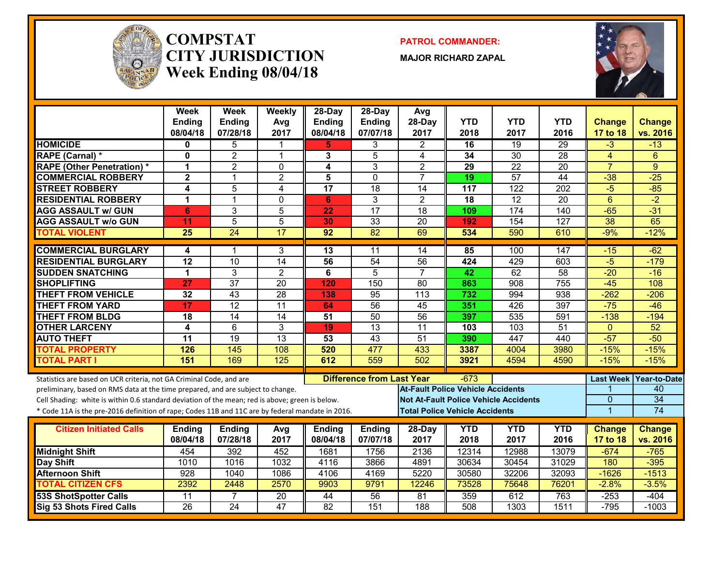

#### **COMPSTATCITY JURISDICTIONWeek Ending 08/04/18**

**PATROL COMMANDER:**

**MAJOR RICHARD ZAPAL**



|                                                                                                  | <b>Week</b><br><b>Ending</b><br>08/04/18 | Week<br><b>Ending</b><br>07/28/18 | Weekly<br>Avg<br>2017 | 28-Day<br><b>Ending</b><br>08/04/18 | $28-Dav$<br><b>Ending</b><br>07/07/18 | Avg<br>28-Day<br>2017                        | <b>YTD</b><br>2018 | <b>YTD</b><br>2017 | <b>YTD</b><br>2016 | <b>Change</b><br>17 to 18 | Change<br>vs. 2016 |
|--------------------------------------------------------------------------------------------------|------------------------------------------|-----------------------------------|-----------------------|-------------------------------------|---------------------------------------|----------------------------------------------|--------------------|--------------------|--------------------|---------------------------|--------------------|
| <b>HOMICIDE</b>                                                                                  | 0                                        | 5                                 | 1                     | 5.                                  | 3                                     | $\overline{2}$                               | 16                 | 19                 | 29                 | $-3$                      | $-13$              |
| <b>RAPE (Carnal) *</b>                                                                           | $\bf{0}$                                 | $\overline{2}$                    | $\mathbf{1}$          | 3                                   | 5                                     | 4                                            | 34                 | $\overline{30}$    | $\overline{28}$    | $\overline{4}$            | 6                  |
| <b>RAPE (Other Penetration)*</b>                                                                 | 1                                        | $\overline{2}$                    | $\mathbf 0$           | 4                                   | 3                                     | $\overline{2}$                               | $\overline{29}$    | $\overline{22}$    | $\overline{20}$    | $\overline{7}$            | 9                  |
| <b>COMMERCIAL ROBBERY</b>                                                                        | $\mathbf{2}$                             | $\overline{1}$                    | $\overline{2}$        | 5                                   | $\mathbf{0}$                          | $\overline{7}$                               | 19                 | $\overline{57}$    | 44                 | $-38$                     | $-25$              |
| <b>STREET ROBBERY</b>                                                                            | 4                                        | 5                                 | 4                     | $\overline{17}$                     | $\overline{18}$                       | 14                                           | 117                | $\overline{122}$   | 202                | $-5$                      | $-85$              |
| <b>RESIDENTIAL ROBBERY</b>                                                                       | 1                                        | $\overline{1}$                    | $\Omega$              | 6                                   | 3                                     | $\overline{2}$                               | 18                 | $\overline{12}$    | $\overline{20}$    | $6\phantom{1}$            | $-2$               |
| <b>AGG ASSAULT w/ GUN</b>                                                                        | 6                                        | 3                                 | 5                     | 22                                  | 17                                    | $\overline{18}$                              | 109                | 174                | $\overline{140}$   | $-65$                     | $-31$              |
| <b>AGG ASSAULT W/o GUN</b>                                                                       | 11                                       | $\overline{5}$                    | 5                     | 30                                  | $\overline{33}$                       | $\overline{20}$                              | 192                | 154                | 127                | $\overline{38}$           | 65                 |
| <b>TOTAL VIOLENT</b>                                                                             | $\overline{25}$                          | $\overline{24}$                   | 17                    | 92                                  | 82                                    | 69                                           | 534                | 590                | 610                | $-9%$                     | $-12%$             |
| <b>COMMERCIAL BURGLARY</b>                                                                       | 4                                        | -1                                | 3                     | 13                                  | 11                                    | 14                                           | 85                 | 100                | 147                | $-15$                     | $-62$              |
| <b>RESIDENTIAL BURGLARY</b>                                                                      | $\overline{12}$                          | 10                                | $\overline{14}$       | 56                                  | 54                                    | $\overline{56}$                              | 424                | 429                | 603                | $-5$                      | $-179$             |
| <b>SUDDEN SNATCHING</b>                                                                          | 1                                        | 3                                 | $\overline{2}$        | 6                                   | $\overline{5}$                        | $\overline{7}$                               | 42                 | 62                 | $\overline{58}$    | $-20$                     | $-16$              |
| <b>SHOPLIFTING</b>                                                                               | $\overline{27}$                          | $\overline{37}$                   | $\overline{20}$       | 120                                 | 150                                   | $\overline{80}$                              | 863                | 908                | $\overline{755}$   | $-45$                     | 108                |
| <b>THEFT FROM VEHICLE</b>                                                                        | $\overline{32}$                          | $\overline{43}$                   | 28                    | 138                                 | $\overline{95}$                       | $\overline{113}$                             | 732                | 994                | 938                | $-262$                    | $-206$             |
| <b>THEFT FROM YARD</b>                                                                           | $\overline{17}$                          | 12                                | 11                    | 64                                  | 56                                    | $\overline{45}$                              | 351                | 426                | 397                | $-75$                     | $-46$              |
| <b>THEFT FROM BLDG</b>                                                                           | 18                                       | $\overline{14}$                   | $\overline{14}$       | 51                                  | 50                                    | 56                                           | 397                | 535                | 591                | $-138$                    | $-194$             |
| <b>OTHER LARCENY</b>                                                                             | 4                                        | 6                                 | 3                     | 19                                  | 13                                    | 11                                           | 103                | 103                | $\overline{51}$    | $\Omega$                  | 52                 |
| <b>AUTO THEFT</b>                                                                                | $\overline{11}$                          | 19                                | 13                    | 53                                  | $\overline{43}$                       | 51                                           | 390                | 447                | 440                | $-57$                     | $-50$              |
| <b>TOTAL PROPERTY</b>                                                                            | 126                                      | 145                               | 108                   | 520                                 | 477                                   | 433                                          | 3387               | 4004               | 3980               | $-15%$                    | $-15%$             |
| <b>TOTAL PART I</b>                                                                              | 151                                      | 169                               | 125                   | 612                                 | 559                                   | 502                                          | 3921               | 4594               | 4590               | $-15%$                    | $-15%$             |
| Statistics are based on UCR criteria, not GA Criminal Code, and are                              |                                          |                                   |                       |                                     | <b>Difference from Last Year</b>      |                                              | $-673$             |                    |                    | <b>Last Week</b>          | Year-to-Date       |
| preliminary, based on RMS data at the time prepared, and are subject to change.                  |                                          |                                   |                       |                                     |                                       | <b>At-Fault Police Vehicle Accidents</b>     |                    |                    |                    |                           | 40                 |
| Cell Shading: white is within 0.6 standard deviation of the mean; red is above; green is below.  |                                          |                                   |                       |                                     |                                       | <b>Not At-Fault Police Vehicle Accidents</b> |                    |                    |                    | $\mathbf{0}$              | $\overline{34}$    |
| * Code 11A is the pre-2016 definition of rape; Codes 11B and 11C are by federal mandate in 2016. |                                          |                                   |                       |                                     |                                       | <b>Total Police Vehicle Accidents</b>        |                    |                    |                    | $\overline{1}$            | 74                 |
| <b>Citizen Initiated Calls</b>                                                                   | <b>Ending</b>                            | <b>Ending</b>                     | Avg                   | <b>Ending</b>                       | <b>Ending</b>                         | 28-Day                                       | <b>YTD</b>         | <b>YTD</b>         | <b>YTD</b>         | <b>Change</b>             | Change             |
|                                                                                                  | 08/04/18                                 | 07/28/18                          | 2017                  | 08/04/18                            | 07/07/18                              | 2017                                         | 2018               | 2017               | 2016               | 17 to 18                  | vs. 2016           |
| <b>Midnight Shift</b>                                                                            | 454                                      | 392                               | 452                   | 1681                                | 1756                                  | 2136                                         | 12314              | 12988              | 13079              | $-674$                    | $-765$             |
| Day Shift                                                                                        | 1010                                     | 1016                              | 1032                  | 4116                                | 3866                                  | 4891                                         | 30634              | 30454              | 31029              | 180                       | $-395$             |
| <b>Afternoon Shift</b>                                                                           | 928                                      | 1040                              | 1086                  | 4106                                | 4169                                  | 5220                                         | 30580              | 32206              | 32093              | $-1626$                   | $-1513$            |
| <b>TOTAL CITIZEN CFS</b>                                                                         | 2392                                     | 2448                              | 2570                  | 9903                                | 9791                                  | 12246                                        | 73528              | 75648              | 76201              | $-2.8%$                   | $-3.5%$            |
| <b>53S ShotSpotter Calls</b>                                                                     | 11                                       | 7                                 | $\overline{20}$       | 44                                  | 56                                    | 81                                           | 359                | 612                | 763                | $-253$                    | $-404$             |
| Sig 53 Shots Fired Calls                                                                         | $\overline{26}$                          | $\overline{24}$                   | 47                    | $\overline{82}$                     | 151                                   | 188                                          | 508                | 1303               | 1511               | $-795$                    | $-1003$            |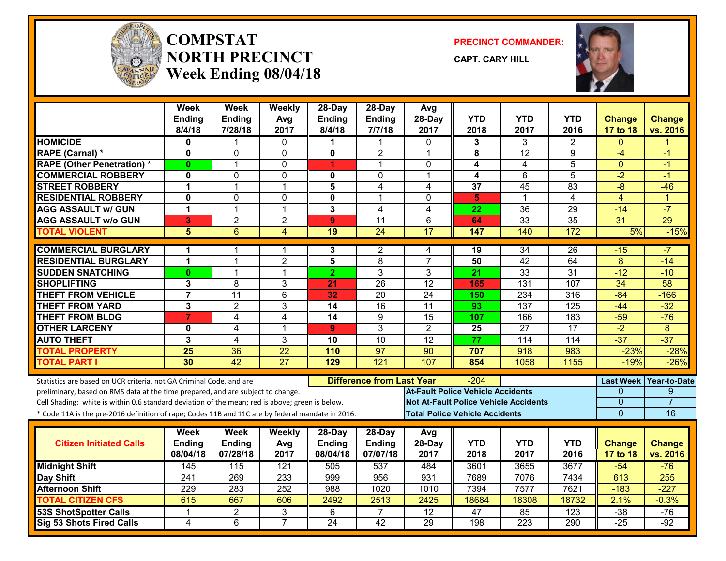

#### **COMPSTATNORTH PRECINCTWeek Ending 08/04/18**

**PRECINCT COMMANDER:**

**CAPT. CARY HILL**



|                                                                                                  | Week<br><b>Ending</b> | <b>Week</b><br><b>Ending</b> | Weekly<br>Avg       | $28$ -Day<br><b>Ending</b> | $28$ -Day<br>Ending              | Avg<br>28-Day                            | <b>YTD</b>                            | <b>YTD</b>                                   | YTD              | <b>Change</b>       | <b>Change</b>       |
|--------------------------------------------------------------------------------------------------|-----------------------|------------------------------|---------------------|----------------------------|----------------------------------|------------------------------------------|---------------------------------------|----------------------------------------------|------------------|---------------------|---------------------|
| <b>HOMICIDE</b>                                                                                  | 8/4/18                | 7/28/18                      | 2017                | 8/4/18                     | 7/7/18                           | 2017                                     | 2018                                  | 2017                                         | 2016             | 17 to 18            | vs. 2016            |
| <b>RAPE (Carnal) *</b>                                                                           | 0<br>0                | 0                            | 0<br>0              | 0                          | $\overline{2}$                   | $\Omega$<br>$\overline{1}$               | 3<br>8                                | 3<br>$\overline{12}$                         | 2<br>9           | $\Omega$<br>$-4$    |                     |
|                                                                                                  |                       | $\mathbf 1$                  |                     |                            | 1                                |                                          |                                       |                                              | 5                |                     | -1                  |
| <b>RAPE (Other Penetration) *</b><br><b>COMMERCIAL ROBBERY</b>                                   | $\mathbf{0}$<br>0     | $\Omega$                     | 0<br>0              | 1<br>$\mathbf{0}$          | $\Omega$                         | $\mathbf{0}$<br>$\overline{1}$           | 4<br>$\overline{\mathbf{4}}$          | 4<br>6                                       | $\overline{5}$   | $\mathbf 0$<br>$-2$ | -1<br>$-1$          |
| <b>STREET ROBBERY</b>                                                                            | 1                     | $\mathbf{1}$                 | $\mathbf 1$         | 5                          | 4                                | 4                                        | $\overline{37}$                       | 45                                           | 83               | $-8$                | $-46$               |
| <b>RESIDENTIAL ROBBERY</b>                                                                       | 0                     | $\mathbf{0}$                 |                     | 0                          | $\mathbf{1}$                     | $\overline{0}$                           |                                       | 1                                            | $\overline{4}$   | $\overline{4}$      | 1                   |
| <b>AGG ASSAULT w/ GUN</b>                                                                        | 1                     | $\overline{1}$               | 0<br>$\overline{1}$ | $\overline{3}$             | $\overline{4}$                   | 4                                        | 5<br>$\overline{22}$                  | 36                                           | 29               | $-14$               | $-7$                |
| <b>AGG ASSAULT W/o GUN</b>                                                                       | 3                     | $\overline{2}$               | $\overline{2}$      | $\mathbf{9}$               | 11                               | 6                                        | 64                                    | $\overline{33}$                              | 35               | 31                  | $\overline{29}$     |
| <b>TOTAL VIOLENT</b>                                                                             | 5                     | $\overline{6}$               | $\overline{4}$      | 19                         | $\overline{24}$                  | 17                                       | 147                                   | 140                                          | 172              | 5%                  | $-15%$              |
|                                                                                                  |                       |                              |                     |                            |                                  |                                          |                                       |                                              |                  |                     |                     |
| <b>COMMERCIAL BURGLARY</b>                                                                       | 1                     | -1                           | 1                   | 3                          | 2                                | 4                                        | 19                                    | 34                                           | 26               | $-15$               | -7                  |
| <b>RESIDENTIAL BURGLARY</b>                                                                      | 1                     | 1                            | $\overline{2}$      | 5                          | 8                                | $\overline{7}$                           | 50                                    | $\overline{42}$                              | 64               | 8                   | $-14$               |
| <b>SUDDEN SNATCHING</b>                                                                          | $\mathbf{0}$          | 1                            | $\mathbf 1$         | $\overline{2}$             | 3                                | 3                                        | 21                                    | 33                                           | 31               | $-12$               | $-10$               |
| <b>SHOPLIFTING</b>                                                                               | 3                     | 8                            | 3                   | 21                         | 26                               | 12                                       | 165                                   | 131                                          | 107              | $\overline{34}$     | 58                  |
| <b>THEFT FROM VEHICLE</b>                                                                        | $\overline{7}$        | $\overline{11}$              | $6\phantom{1}$      | $\overline{32}$            | 20                               | 24                                       | 150                                   | 234                                          | 316              | $-84$               | $-166$              |
| <b>THEFT FROM YARD</b>                                                                           | 3                     | $\overline{2}$               | 3                   | $\overline{14}$            | $\overline{16}$                  | $\overline{11}$                          | 93                                    | $\overline{137}$                             | $\overline{125}$ | $-44$               | $-32$               |
| <b>THEFT FROM BLDG</b>                                                                           | $\overline{7}$        | 4                            | 4                   | 14                         | 9                                | $\overline{15}$                          | 107                                   | 166                                          | 183              | $-59$               | $-76$               |
| <b>OTHER LARCENY</b>                                                                             | 0                     | 4                            | $\overline{1}$      | $\mathbf{9}$               | 3                                | 2                                        | 25                                    | $\overline{27}$                              | $\overline{17}$  | $-2$                | 8                   |
| <b>AUTO THEFT</b>                                                                                | $\overline{3}$        | 4                            | 3                   | 10                         | 10                               | $\overline{12}$                          | $\overline{77}$                       | 114                                          | 114              | $-37$               | $-37$               |
| <b>TOTAL PROPERTY</b>                                                                            | 25                    | $\overline{36}$              | $\overline{22}$     | 110                        | $\overline{97}$                  | 90                                       | 707                                   | 918                                          | 983              | $-23%$              | $-28%$              |
| <b>TOTAL PART I</b>                                                                              | 30                    | $\overline{42}$              | $\overline{27}$     | 129                        | $\overline{121}$                 | 107                                      | 854                                   | 1058                                         | 1155             | $-19%$              | $-26%$              |
| Statistics are based on UCR criteria, not GA Criminal Code, and are                              |                       |                              |                     |                            | <b>Difference from Last Year</b> |                                          | -204                                  |                                              |                  | <b>Last Week</b>    | <b>Year-to-Date</b> |
| preliminary, based on RMS data at the time prepared, and are subject to change.                  |                       |                              |                     |                            |                                  | <b>At-Fault Police Vehicle Accidents</b> |                                       |                                              |                  | 0                   | 9                   |
| Cell Shading: white is within 0.6 standard deviation of the mean; red is above; green is below.  |                       |                              |                     |                            |                                  |                                          |                                       | <b>Not At-Fault Police Vehicle Accidents</b> |                  | $\Omega$            | $\overline{7}$      |
| * Code 11A is the pre-2016 definition of rape; Codes 11B and 11C are by federal mandate in 2016. |                       |                              |                     |                            |                                  |                                          | <b>Total Police Vehicle Accidents</b> |                                              |                  | $\overline{0}$      | 16                  |
|                                                                                                  |                       |                              |                     |                            |                                  |                                          |                                       |                                              |                  |                     |                     |
|                                                                                                  | Week                  | Week                         | Weekly              | 28-Day                     | $28-Day$                         | Avg                                      |                                       |                                              |                  |                     |                     |
| <b>Citizen Initiated Calls</b>                                                                   | <b>Ending</b>         | <b>Ending</b>                | Avg                 | Ending                     | Ending                           | 28-Day                                   | <b>YTD</b>                            | <b>YTD</b>                                   | <b>YTD</b>       | <b>Change</b>       | <b>Change</b>       |
|                                                                                                  | 08/04/18              | 07/28/18                     | 2017                | 08/04/18                   | 07/07/18                         | 2017                                     | 2018                                  | 2017                                         | 2016             | 17 to 18            | vs. 2016            |
| <b>Midnight Shift</b>                                                                            | 145                   | 115                          | $\overline{121}$    | 505                        | 537                              | 484                                      | 3601                                  | 3655                                         | 3677             | $-54$               | $-76$               |
| <b>Day Shift</b>                                                                                 | 241                   | 269                          | 233                 | 999                        | 956                              | 931                                      | 7689                                  | 7076                                         | 7434             | 613                 | 255                 |
| <b>Afternoon Shift</b>                                                                           | 229                   | 283                          | 252                 | 988                        | 1020                             | 1010                                     | 7394                                  | 7577                                         | 7621             | $-183$              | $-227$              |
| <b>TOTAL CITIZEN CFS</b>                                                                         | 615                   | 667                          | 606                 | 2492                       | 2513                             | 2425                                     | 18684                                 | 18308                                        | 18732            | 2.1%                | $-0.3%$             |
| <b>53S ShotSpotter Calls</b>                                                                     | 1                     | $\overline{2}$               | 3                   | 6                          | $\overline{7}$                   | $\overline{12}$                          | 47                                    | 85                                           | $\overline{123}$ | $-38$               | $-76$               |
| Sig 53 Shots Fired Calls                                                                         | 4                     | 6                            | $\overline{7}$      | $\overline{24}$            | 42                               | 29                                       | 198                                   | $\overline{223}$                             | 290              | $-25$               | $-92$               |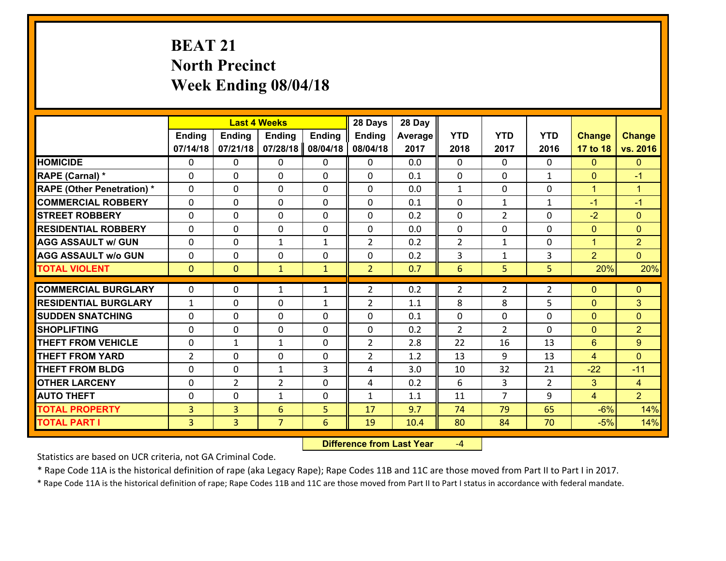# **BEAT 21 North Precinct Week Ending 08/04/18**

|                                   |                |                | <b>Last 4 Weeks</b> |               | 28 Days        | 28 Day  |                |                |                |                |                      |
|-----------------------------------|----------------|----------------|---------------------|---------------|----------------|---------|----------------|----------------|----------------|----------------|----------------------|
|                                   | <b>Ending</b>  | <b>Ending</b>  | <b>Ending</b>       | <b>Ending</b> | <b>Ending</b>  | Average | <b>YTD</b>     | <b>YTD</b>     | <b>YTD</b>     | <b>Change</b>  | <b>Change</b>        |
|                                   | 07/14/18       | 07/21/18       | 07/28/18            | 08/04/18      | 08/04/18       | 2017    | 2018           | 2017           | 2016           | 17 to 18       | vs. 2016             |
| <b>HOMICIDE</b>                   | $\Omega$       | 0              | 0                   | 0             | 0              | 0.0     | 0              | $\Omega$       | 0              | $\Omega$       | $\Omega$             |
| RAPE (Carnal) *                   | $\Omega$       | 0              | $\mathbf{0}$        | $\Omega$      | 0              | 0.1     | $\mathbf{0}$   | $\Omega$       | $\mathbf{1}$   | $\mathbf{0}$   | $-1$                 |
| <b>RAPE (Other Penetration) *</b> | 0              | 0              | $\mathbf 0$         | 0             | 0              | 0.0     | $\mathbf{1}$   | $\mathbf{0}$   | 0              | $\mathbf{1}$   | $\blacktriangleleft$ |
| <b>COMMERCIAL ROBBERY</b>         | 0              | 0              | $\mathbf 0$         | 0             | 0              | 0.1     | 0              | $\mathbf{1}$   | $\mathbf{1}$   | $-1$           | $-1$                 |
| <b>STREET ROBBERY</b>             | 0              | 0              | $\mathbf 0$         | 0             | 0              | 0.2     | $\mathbf 0$    | $\overline{2}$ | 0              | $-2$           | $\overline{0}$       |
| <b>RESIDENTIAL ROBBERY</b>        | 0              | 0              | $\mathbf 0$         | $\mathbf 0$   | 0              | 0.0     | $\mathbf 0$    | 0              | 0              | $\mathbf{0}$   | $\overline{0}$       |
| <b>AGG ASSAULT w/ GUN</b>         | 0              | 0              | 1                   | $\mathbf{1}$  | $\overline{2}$ | 0.2     | $\overline{2}$ | $\mathbf{1}$   | 0              | $\mathbf{1}$   | $\overline{2}$       |
| <b>AGG ASSAULT w/o GUN</b>        | 0              | 0              | $\mathbf 0$         | 0             | 0              | 0.2     | 3              | $\mathbf{1}$   | 3              | $\overline{2}$ | $\overline{0}$       |
| <b>TOTAL VIOLENT</b>              | $\mathbf{0}$   | $\overline{0}$ | $\mathbf{1}$        | $\mathbf{1}$  | $\overline{2}$ | 0.7     | 6              | 5              | 5              | 20%            | 20%                  |
| <b>COMMERCIAL BURGLARY</b>        | $\Omega$       |                |                     |               |                |         |                |                |                |                |                      |
|                                   |                | 0              | 1                   | $\mathbf{1}$  | $\overline{2}$ | 0.2     | 2              | $\overline{2}$ | $\overline{2}$ | $\mathbf{0}$   | $\mathbf{0}$         |
| <b>RESIDENTIAL BURGLARY</b>       | $\mathbf{1}$   | 0              | 0                   | $\mathbf{1}$  | $\overline{2}$ | 1.1     | 8              | 8              | 5              | $\mathbf{0}$   | 3                    |
| <b>SUDDEN SNATCHING</b>           | $\Omega$       | 0              | $\mathbf 0$         | $\Omega$      | 0              | 0.1     | 0              | $\mathbf{0}$   | 0              | $\mathbf{0}$   | $\Omega$             |
| <b>SHOPLIFTING</b>                | 0              | 0              | $\mathbf 0$         | 0             | 0              | 0.2     | $\overline{2}$ | $\overline{2}$ | 0              | $\mathbf{0}$   | $\overline{2}$       |
| <b>THEFT FROM VEHICLE</b>         | 0              | $\mathbf{1}$   | $\mathbf{1}$        | $\mathbf{0}$  | $\overline{2}$ | 2.8     | 22             | 16             | 13             | 6              | 9                    |
| <b>THEFT FROM YARD</b>            | $\overline{2}$ | 0              | $\mathbf 0$         | 0             | $\overline{2}$ | 1.2     | 13             | 9              | 13             | $\overline{4}$ | $\overline{0}$       |
| <b>THEFT FROM BLDG</b>            | 0              | 0              | 1                   | 3             | 4              | 3.0     | 10             | 32             | 21             | $-22$          | $-11$                |
| <b>OTHER LARCENY</b>              | $\mathbf 0$    | $\overline{2}$ | $\overline{2}$      | $\Omega$      | 4              | 0.2     | 6              | $\overline{3}$ | $\overline{2}$ | 3              | $\overline{4}$       |
| <b>AUTO THEFT</b>                 | 0              | 0              | $\mathbf{1}$        | $\mathbf 0$   | $\mathbf{1}$   | 1.1     | 11             | $\overline{7}$ | 9              | $\overline{4}$ | $\overline{2}$       |
| <b>TOTAL PROPERTY</b>             | $\overline{3}$ | 3              | 6                   | 5             | 17             | 9.7     | 74             | 79             | 65             | $-6%$          | 14%                  |
| <b>TOTAL PART I</b>               | $\overline{3}$ | $\overline{3}$ | $\overline{7}$      | 6             | 19             | 10.4    | 80             | 84             | 70             | $-5%$          | 14%                  |

 **Difference from Last Year**‐4

Statistics are based on UCR criteria, not GA Criminal Code.

\* Rape Code 11A is the historical definition of rape (aka Legacy Rape); Rape Codes 11B and 11C are those moved from Part II to Part I in 2017.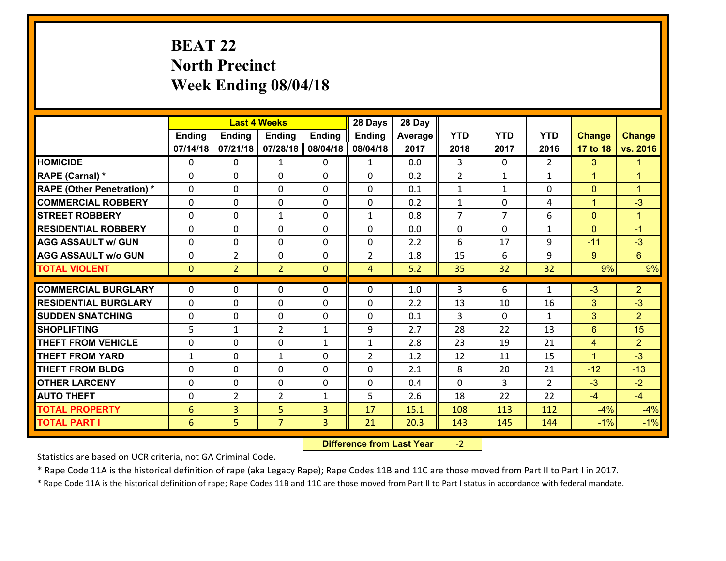# **BEAT 22 North Precinct Week Ending 08/04/18**

|                                   |                 |                | <b>Last 4 Weeks</b> |               | 28 Days        | 28 Day  |                |                |                |                |                      |
|-----------------------------------|-----------------|----------------|---------------------|---------------|----------------|---------|----------------|----------------|----------------|----------------|----------------------|
|                                   | <b>Ending</b>   | <b>Ending</b>  | <b>Ending</b>       | <b>Ending</b> | <b>Ending</b>  | Average | <b>YTD</b>     | <b>YTD</b>     | <b>YTD</b>     | <b>Change</b>  | <b>Change</b>        |
|                                   | 07/14/18        | 07/21/18       | 07/28/18            | 08/04/18      | 08/04/18       | 2017    | 2018           | 2017           | 2016           | 17 to 18       | vs. 2016             |
| <b>HOMICIDE</b>                   | $\Omega$        | 0              | 1                   | 0             | $\mathbf{1}$   | 0.0     | 3              | $\Omega$       | $\mathfrak{D}$ | 3              | 1.                   |
| RAPE (Carnal) *                   | $\Omega$        | 0              | $\mathbf{0}$        | $\Omega$      | 0              | 0.2     | 2              | $\mathbf{1}$   | $\mathbf{1}$   | $\mathbf{1}$   | $\blacktriangleleft$ |
| <b>RAPE (Other Penetration) *</b> | 0               | 0              | $\mathbf 0$         | 0             | 0              | 0.1     | $\mathbf{1}$   | $\mathbf{1}$   | 0              | $\mathbf{0}$   | $\blacktriangleleft$ |
| <b>COMMERCIAL ROBBERY</b>         | 0               | 0              | $\mathbf 0$         | 0             | 0              | 0.2     | $\mathbf{1}$   | 0              | 4              | $\mathbf{1}$   | $-3$                 |
| <b>STREET ROBBERY</b>             | 0               | 0              | $\mathbf{1}$        | 0             | $\mathbf{1}$   | 0.8     | $\overline{7}$ | $\overline{7}$ | 6              | $\overline{0}$ | $\mathbf{1}$         |
| <b>RESIDENTIAL ROBBERY</b>        | 0               | 0              | $\mathbf 0$         | 0             | 0              | 0.0     | $\mathbf 0$    | 0              | $\mathbf{1}$   | $\mathbf{0}$   | $-1$                 |
| <b>AGG ASSAULT w/ GUN</b>         | 0               | 0              | $\mathbf 0$         | 0             | 0              | 2.2     | 6              | 17             | 9              | $-11$          | $-3$                 |
| <b>AGG ASSAULT w/o GUN</b>        | 0               | $\overline{2}$ | 0                   | $\mathbf{0}$  | $\overline{2}$ | 1.8     | 15             | 6              | 9              | 9 <sup>°</sup> | $6\phantom{1}$       |
| <b>TOTAL VIOLENT</b>              | $\mathbf{0}$    | $\overline{2}$ | $\overline{2}$      | $\mathbf{0}$  | $\overline{4}$ | 5.2     | 35             | 32             | 32             | 9%             | 9%                   |
| <b>COMMERCIAL BURGLARY</b>        | $\Omega$        |                |                     |               |                |         |                |                |                |                |                      |
|                                   |                 | 0              | 0                   | 0             | $\Omega$       | 1.0     | 3              | 6              | $\mathbf{1}$   | $-3$           | $\overline{2}$       |
| <b>RESIDENTIAL BURGLARY</b>       | $\mathbf{0}$    | 0              | 0                   | 0             | 0              | 2.2     | 13             | 10             | 16             | 3              | $-3$                 |
| <b>SUDDEN SNATCHING</b>           | 0               | 0              | $\mathbf 0$         | $\Omega$      | 0              | 0.1     | 3              | $\Omega$       | $\mathbf{1}$   | 3              | $\overline{2}$       |
| <b>SHOPLIFTING</b>                | 5               | $\mathbf{1}$   | $\overline{2}$      | $\mathbf{1}$  | 9              | 2.7     | 28             | 22             | 13             | 6              | 15                   |
| <b>THEFT FROM VEHICLE</b>         | 0               | 0              | $\mathbf 0$         | $\mathbf{1}$  | $\mathbf{1}$   | 2.8     | 23             | 19             | 21             | $\overline{4}$ | 2                    |
| <b>THEFT FROM YARD</b>            | $\mathbf{1}$    | 0              | 1                   | 0             | $\overline{2}$ | 1.2     | 12             | 11             | 15             | $\mathbf{1}$   | $-3$                 |
| <b>THEFT FROM BLDG</b>            | 0               | $\Omega$       | $\mathbf 0$         | $\Omega$      | 0              | 2.1     | 8              | 20             | 21             | $-12$          | $-13$                |
| <b>OTHER LARCENY</b>              | $\mathbf 0$     | 0              | $\mathbf 0$         | $\Omega$      | 0              | 0.4     | $\Omega$       | $\overline{3}$ | $\overline{2}$ | $-3$           | $-2$                 |
| <b>AUTO THEFT</b>                 | 0               | $\overline{2}$ | $\overline{2}$      | $\mathbf{1}$  | 5              | 2.6     | 18             | 22             | 22             | $-4$           | $-4$                 |
| <b>TOTAL PROPERTY</b>             | $6\phantom{1}6$ | 3              | 5                   | 3             | 17             | 15.1    | 108            | 113            | 112            | $-4%$          | $-4%$                |
| <b>TOTAL PART I</b>               | $6\phantom{1}6$ | 5              | $\overline{7}$      | 3             | 21             | 20.3    | 143            | 145            | 144            | $-1%$          | $-1%$                |

 **Difference from Last Year**‐2

Statistics are based on UCR criteria, not GA Criminal Code.

\* Rape Code 11A is the historical definition of rape (aka Legacy Rape); Rape Codes 11B and 11C are those moved from Part II to Part I in 2017.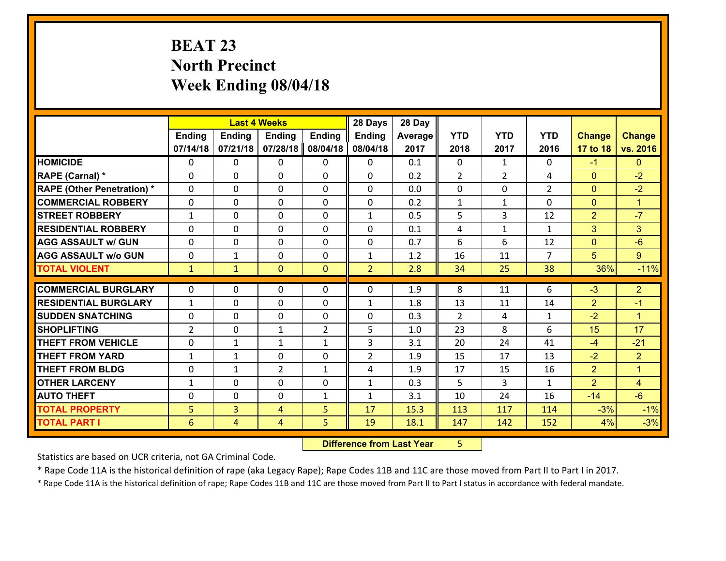# **BEAT 23 North Precinct Week Ending 08/04/18**

|                                              |                              |                     | <b>Last 4 Weeks</b> |                | 28 Days        | 28 Day       |                |                |                |                |                      |
|----------------------------------------------|------------------------------|---------------------|---------------------|----------------|----------------|--------------|----------------|----------------|----------------|----------------|----------------------|
|                                              | Ending                       | <b>Ending</b>       | <b>Ending</b>       | <b>Ending</b>  | <b>Ending</b>  | Average      | <b>YTD</b>     | <b>YTD</b>     | <b>YTD</b>     | <b>Change</b>  | <b>Change</b>        |
|                                              | 07/14/18                     | 07/21/18            | 07/28/18            | 08/04/18       | 08/04/18       | 2017         | 2018           | 2017           | 2016           | 17 to 18       | vs. 2016             |
| <b>HOMICIDE</b>                              | 0                            | 0                   | 0                   | 0              | 0              | 0.1          | 0              | $\mathbf{1}$   | 0              | $-1$           | $\overline{0}$       |
| RAPE (Carnal) *                              | 0                            | 0                   | $\mathbf{0}$        | 0              | $\Omega$       | 0.2          | 2              | $\overline{2}$ | 4              | $\mathbf{0}$   | $-2$                 |
| <b>RAPE (Other Penetration) *</b>            | $\Omega$                     | 0                   | $\mathbf{0}$        | $\Omega$       | $\Omega$       | 0.0          | $\Omega$       | 0              | $\overline{2}$ | $\mathbf{0}$   | $-2$                 |
| <b>COMMERCIAL ROBBERY</b>                    | 0                            | 0                   | $\mathbf 0$         | $\Omega$       | 0              | 0.2          | $\mathbf{1}$   | $\mathbf{1}$   | $\Omega$       | $\mathbf{0}$   | $\blacktriangleleft$ |
| <b>ISTREET ROBBERY</b>                       | $\mathbf{1}$                 | 0                   | $\mathbf 0$         | 0              | $\mathbf{1}$   | 0.5          | 5              | 3              | 12             | $\overline{2}$ | $-7$                 |
| <b>RESIDENTIAL ROBBERY</b>                   | $\Omega$                     | 0                   | $\mathbf 0$         | 0              | 0              | 0.1          | 4              | $\mathbf{1}$   | $\mathbf{1}$   | 3              | 3 <sup>1</sup>       |
| <b>AGG ASSAULT w/ GUN</b>                    | 0                            | 0                   | $\mathbf 0$         | 0              | 0              | 0.7          | 6              | 6              | 12             | $\mathbf{0}$   | $-6$                 |
| <b>AGG ASSAULT w/o GUN</b>                   | 0                            | $\mathbf{1}$        | $\mathbf 0$         | $\mathbf{0}$   | $\mathbf{1}$   | 1.2          | 16             | 11             | $\overline{7}$ | 5              | 9 <sup>°</sup>       |
| <b>TOTAL VIOLENT</b>                         | $\mathbf{1}$                 | $\mathbf{1}$        | $\mathbf{0}$        | $\mathbf{0}$   | $\overline{2}$ | 2.8          | 34             | 25             | 38             | 36%            | $-11%$               |
|                                              |                              |                     |                     |                |                |              |                |                |                |                |                      |
|                                              |                              |                     |                     |                |                |              |                |                |                |                |                      |
| <b>COMMERCIAL BURGLARY</b>                   | $\mathbf{0}$                 | 0                   | $\mathbf{0}$        | 0              | $\Omega$       | 1.9          | 8              | 11             | 6              | $-3$           | $\overline{2}$       |
| <b>RESIDENTIAL BURGLARY</b>                  | $\mathbf{1}$                 | 0                   | $\mathbf{0}$        | 0              | $\mathbf{1}$   | 1.8          | 13             | 11             | 14             | $\overline{2}$ | $-1$                 |
| <b>SUDDEN SNATCHING</b>                      | $\Omega$                     | 0                   | $\mathbf 0$         | $\Omega$       | $\Omega$       | 0.3          | $\overline{2}$ | 4              | $\mathbf{1}$   | $-2$           | $\blacktriangleleft$ |
| <b>SHOPLIFTING</b>                           | $\overline{2}$               | 0                   | $\mathbf{1}$        | $\overline{2}$ | 5              | 1.0          | 23             | 8              | 6              | 15             | 17                   |
| <b>THEFT FROM VEHICLE</b>                    | $\mathbf{0}$                 | 1                   | 1                   | $\mathbf{1}$   | 3              | 3.1          | 20             | 24             | 41             | $-4$           | $-21$                |
| <b>THEFT FROM YARD</b>                       | $\mathbf{1}$                 | $\mathbf{1}$        | $\mathbf 0$         | 0              | $\overline{2}$ | 1.9          | 15             | 17             | 13             | $-2$           | $\overline{2}$       |
| <b>THEFT FROM BLDG</b>                       | 0                            | $\mathbf{1}$        | $\overline{2}$      | $\mathbf{1}$   | 4              | 1.9          | 17             | 15             | 16             | $\overline{2}$ | $\mathbf{1}$         |
| <b>OTHER LARCENY</b>                         | $\mathbf{1}$<br>$\mathbf{0}$ | 0<br>0              | $\mathbf 0$         | 0              | $\mathbf{1}$   | 0.3          | 5              | 3              | $\mathbf{1}$   | $\overline{2}$ | $\overline{4}$       |
| <b>AUTO THEFT</b>                            |                              |                     | 0                   | $\mathbf{1}$   | $\mathbf{1}$   | 3.1          | 10             | 24             | 16             | $-14$          | $-6$                 |
| <b>TOTAL PROPERTY</b><br><b>TOTAL PART I</b> | 5<br>$6\phantom{1}6$         | 3<br>$\overline{4}$ | 4<br>$\overline{4}$ | 5<br>5         | 17<br>19       | 15.3<br>18.1 | 113<br>147     | 117<br>142     | 114<br>152     | $-3%$<br>4%    | $-1%$<br>$-3%$       |

 **Difference from Last Year**r 5

Statistics are based on UCR criteria, not GA Criminal Code.

\* Rape Code 11A is the historical definition of rape (aka Legacy Rape); Rape Codes 11B and 11C are those moved from Part II to Part I in 2017.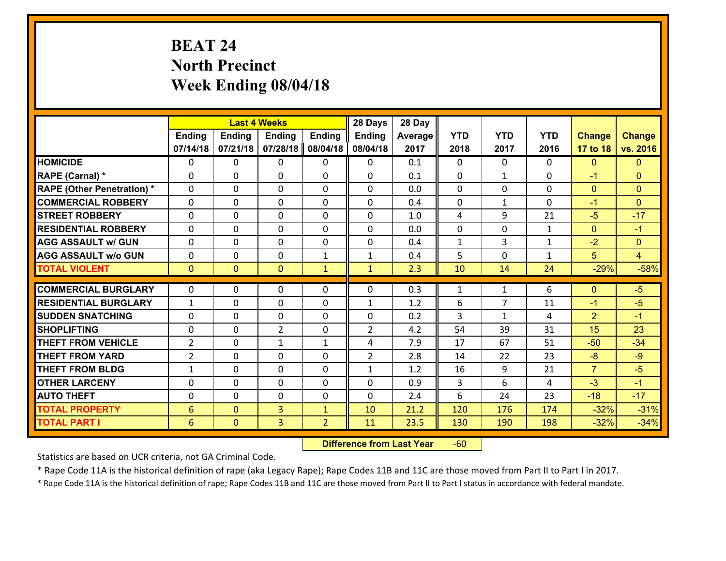# **BEAT 24 North Precinct Week Ending 08/04/18**

|                                   |                 |                | <b>Last 4 Weeks</b>           |                | 28 Days        | 28 Day     |              |                |              |                      |                |
|-----------------------------------|-----------------|----------------|-------------------------------|----------------|----------------|------------|--------------|----------------|--------------|----------------------|----------------|
|                                   | <b>Ending</b>   | <b>Ending</b>  | <b>Ending</b>                 | <b>Ending</b>  | <b>Ending</b>  | Average    | <b>YTD</b>   | <b>YTD</b>     | <b>YTD</b>   | <b>Change</b>        | <b>Change</b>  |
|                                   | 07/14/18        | 07/21/18       | 07/28/18                      | 08/04/18       | 08/04/18       | 2017       | 2018         | 2017           | 2016         | 17 to 18             | vs. 2016       |
| <b>HOMICIDE</b>                   | $\Omega$        | 0              | $\Omega$                      | 0              | 0              | 0.1        | $\Omega$     | $\Omega$       | 0            | $\mathbf{0}$         | $\mathbf{0}$   |
| <b>RAPE (Carnal)</b> *            | 0               | 0              | $\mathbf{0}$                  | 0              | $\Omega$       | 0.1        | $\mathbf{0}$ | $\mathbf{1}$   | $\Omega$     | $-1$                 | $\mathbf{0}$   |
| <b>RAPE (Other Penetration) *</b> | $\Omega$        | 0              | $\mathbf{0}$                  | $\Omega$       | $\Omega$       | 0.0        | $\Omega$     | $\Omega$       | $\Omega$     | $\mathbf{0}$         | $\mathbf{0}$   |
| <b>COMMERCIAL ROBBERY</b>         | 0               | 0              | 0                             | 0              | $\Omega$       | 0.4        | $\mathbf{0}$ | $\mathbf{1}$   | $\Omega$     | $-1$                 | $\mathbf{0}$   |
| <b>STREET ROBBERY</b>             | $\Omega$        | 0              | $\mathbf 0$                   | $\Omega$       | 0              | 1.0        | 4            | 9              | 21           | $-5$                 | $-17$          |
| <b>RESIDENTIAL ROBBERY</b>        | $\Omega$        | $\Omega$       | $\mathbf 0$                   | $\Omega$       | 0              | 0.0        | $\mathbf 0$  | $\Omega$       | $\mathbf{1}$ | $\overline{0}$       | $-1$           |
| <b>AGG ASSAULT w/ GUN</b>         | $\Omega$        | 0              | $\mathbf 0$                   | $\Omega$       | 0              | 0.4        | $\mathbf 1$  | 3              | $\mathbf{1}$ | $-2$                 | $\overline{0}$ |
| <b>AGG ASSAULT w/o GUN</b>        | 0               | 0              | $\mathbf 0$                   | $\mathbf{1}$   | $\mathbf{1}$   | 0.4        | 5            | $\mathbf 0$    | $\mathbf{1}$ | 5                    | $\overline{4}$ |
| <b>TOTAL VIOLENT</b>              | $\mathbf{0}$    | $\overline{0}$ | $\overline{0}$                | $\mathbf{1}$   | $\mathbf{1}$   | 2.3        | 10           | 14             | 24           | $-29%$               | $-58%$         |
| <b>COMMERCIAL BURGLARY</b>        | $\Omega$        | 0              | $\mathbf{0}$                  | $\Omega$       | $\Omega$       | 0.3        | $\mathbf{1}$ | $\mathbf{1}$   | 6            | $\mathbf{0}$         | $-5$           |
|                                   |                 |                |                               |                |                |            |              | $\overline{7}$ |              |                      |                |
| <b>RESIDENTIAL BURGLARY</b>       | $\mathbf{1}$    | 0              | $\mathbf 0$                   | 0              | $\mathbf{1}$   | 1.2        | 6            |                | 11           | $-1$                 | $-5$           |
| <b>SUDDEN SNATCHING</b>           | 0               | 0              | $\mathbf 0$<br>$\overline{2}$ | 0              | 0              | 0.2<br>4.2 | 3            | $\mathbf{1}$   | 4<br>31      | $\overline{2}$<br>15 | $-1$<br>23     |
| <b>SHOPLIFTING</b>                | 0               | 0              |                               | 0              | $\overline{2}$ |            | 54           | 39             |              |                      |                |
| <b>THEFT FROM VEHICLE</b>         | $\overline{2}$  | 0              | 1                             | $\mathbf{1}$   | 4              | 7.9        | 17           | 67             | 51           | $-50$                | $-34$          |
| <b>THEFT FROM YARD</b>            | $\overline{2}$  | 0              | $\mathbf 0$                   | 0              | $\overline{2}$ | 2.8        | 14           | 22             | 23           | $-8$                 | $-9$           |
| <b>THEFT FROM BLDG</b>            | $\mathbf{1}$    | 0              | $\mathbf 0$                   | 0              | $\mathbf{1}$   | 1.2        | 16           | 9              | 21           | $\overline{7}$       | $-5$           |
| <b>OTHER LARCENY</b>              | 0               | 0              | $\mathbf 0$                   | 0              | 0              | 0.9        | 3            | 6              | 4            | $-3$                 | $-1$           |
| <b>AUTO THEFT</b>                 | $\mathbf{0}$    | 0              | $\mathbf{0}$                  | 0              | 0              | 2.4        | 6            | 24             | 23           | $-18$                | $-17$          |
| <b>TOTAL PROPERTY</b>             | $6\phantom{1}6$ | $\overline{0}$ | $\overline{3}$                | $\mathbf{1}$   | 10             | 21.2       | 120          | 176            | 174          | $-32%$               | $-31%$         |
| <b>TOTAL PART I</b>               | 6               | $\overline{0}$ | 3                             | $\overline{2}$ | 11             | 23.5       | 130          | 190            | 198          | $-32%$               | $-34%$         |

 **Difference from Last Year**r -60

Statistics are based on UCR criteria, not GA Criminal Code.

\* Rape Code 11A is the historical definition of rape (aka Legacy Rape); Rape Codes 11B and 11C are those moved from Part II to Part I in 2017.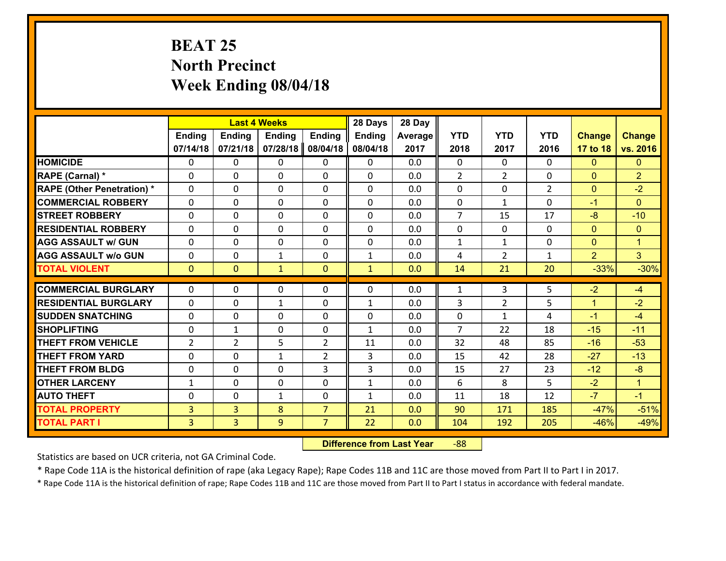# **BEAT 25 North Precinct Week Ending 08/04/18**

|                                               |                | <b>Last 4 Weeks</b> |               |                | 28 Days       | 28 Day  |                     |                    |                |                |                |
|-----------------------------------------------|----------------|---------------------|---------------|----------------|---------------|---------|---------------------|--------------------|----------------|----------------|----------------|
|                                               | <b>Ending</b>  | <b>Ending</b>       | <b>Ending</b> | <b>Ending</b>  | <b>Ending</b> | Average | <b>YTD</b>          | <b>YTD</b>         | <b>YTD</b>     | <b>Change</b>  | <b>Change</b>  |
|                                               | 07/14/18       | 07/21/18            | 07/28/18      | 08/04/18       | 08/04/18      | 2017    | 2018                | 2017               | 2016           | 17 to 18       | vs. 2016       |
| <b>HOMICIDE</b>                               | $\Omega$       | 0                   | $\Omega$      | 0              | $\Omega$      | 0.0     | $\Omega$            | $\Omega$           | 0              | $\Omega$       | $\mathbf{0}$   |
| RAPE (Carnal) *                               | 0              | 0                   | $\mathbf{0}$  | 0              | $\Omega$      | 0.0     | 2                   | $\overline{2}$     | $\Omega$       | $\mathbf{0}$   | $\overline{2}$ |
| <b>RAPE (Other Penetration) *</b>             | $\Omega$       | 0                   | $\mathbf{0}$  | $\Omega$       | $\Omega$      | 0.0     | $\Omega$            | $\Omega$           | $\overline{2}$ | $\mathbf{0}$   | $-2$           |
| <b>COMMERCIAL ROBBERY</b>                     | 0              | 0                   | 0             | 0              | 0             | 0.0     | $\mathbf{0}$        | $\mathbf{1}$       | $\Omega$       | $-1$           | $\mathbf{0}$   |
| <b>STREET ROBBERY</b>                         | $\Omega$       | 0                   | $\mathbf 0$   | 0              | 0             | 0.0     | $\overline{7}$      | 15                 | 17             | $-8$           | $-10$          |
| <b>RESIDENTIAL ROBBERY</b>                    | $\Omega$       | $\Omega$            | $\mathbf 0$   | $\Omega$       | 0             | 0.0     | $\mathbf 0$         | $\Omega$           | $\Omega$       | $\overline{0}$ | $\overline{0}$ |
| <b>AGG ASSAULT w/ GUN</b>                     | $\Omega$       | 0                   | $\mathbf 0$   | $\Omega$       | 0             | 0.0     | $\mathbf 1$         | $\mathbf{1}$       | 0              | $\overline{0}$ | $\mathbf{1}$   |
| <b>AGG ASSAULT w/o GUN</b>                    | 0              | 0                   | $\mathbf{1}$  | 0              | $\mathbf{1}$  | 0.0     | 4                   | $\overline{2}$     | $\mathbf{1}$   | $\overline{2}$ | 3 <sup>1</sup> |
| <b>TOTAL VIOLENT</b>                          | $\mathbf{0}$   | $\overline{0}$      | $\mathbf{1}$  | $\mathbf{0}$   | $\mathbf{1}$  | 0.0     | 14                  | 21                 | 20             | $-33%$         | $-30%$         |
| <b>COMMERCIAL BURGLARY</b>                    | $\Omega$       | 0                   | $\mathbf{0}$  | $\Omega$       | $\Omega$      | 0.0     | $\mathbf{1}$        | 3                  | 5              | $-2$           | $-4$           |
|                                               |                |                     |               |                |               |         |                     |                    |                |                |                |
| <b>RESIDENTIAL BURGLARY</b>                   | 0              | 0                   | $\mathbf{1}$  | 0              | $\mathbf{1}$  | 0.0     | 3                   | $\overline{2}$     | 5              | $\mathbf{1}$   | $-2$           |
| <b>SUDDEN SNATCHING</b><br><b>SHOPLIFTING</b> | 0              | 0                   | $\mathbf 0$   | 0              | 0             | 0.0     | 0<br>$\overline{7}$ | $\mathbf{1}$<br>22 | 4<br>18        | $-1$<br>$-15$  | $-4$<br>$-11$  |
|                                               | 0              | 1                   | $\mathbf 0$   | 0              | $\mathbf{1}$  | 0.0     |                     |                    |                |                |                |
| <b>THEFT FROM VEHICLE</b>                     | $\overline{2}$ | $\overline{2}$      | 5             | $\overline{2}$ | 11            | 0.0     | 32                  | 48                 | 85             | $-16$          | $-53$          |
| <b>THEFT FROM YARD</b>                        | 0              | 0                   | $\mathbf{1}$  | $\overline{2}$ | 3             | 0.0     | 15                  | 42                 | 28             | $-27$          | $-13$          |
| <b>THEFT FROM BLDG</b>                        | 0              | 0                   | $\mathbf 0$   | 3              | 3             | 0.0     | 15                  | 27                 | 23             | $-12$          | $-8$           |
| <b>OTHER LARCENY</b>                          | $\mathbf{1}$   | 0                   | $\mathbf 0$   | 0              | $\mathbf{1}$  | 0.0     | 6                   | 8                  | 5              | $-2$           | $\mathbf{1}$   |
| <b>AUTO THEFT</b>                             | 0              | 0                   | $\mathbf{1}$  | 0              | $\mathbf{1}$  | 0.0     | 11                  | 18                 | 12             | $-7$           | $-1$           |
| <b>TOTAL PROPERTY</b>                         | $\overline{3}$ | 3                   | 8             | $\overline{7}$ | 21            | 0.0     | 90                  | 171                | 185            | $-47%$         | $-51%$         |
| <b>TOTAL PART I</b>                           | $\overline{3}$ | $\overline{3}$      | 9             | $\overline{7}$ | 22            | 0.0     | 104                 | 192                | 205            | $-46%$         | $-49%$         |

 **Difference from Last Year**r -88

Statistics are based on UCR criteria, not GA Criminal Code.

\* Rape Code 11A is the historical definition of rape (aka Legacy Rape); Rape Codes 11B and 11C are those moved from Part II to Part I in 2017.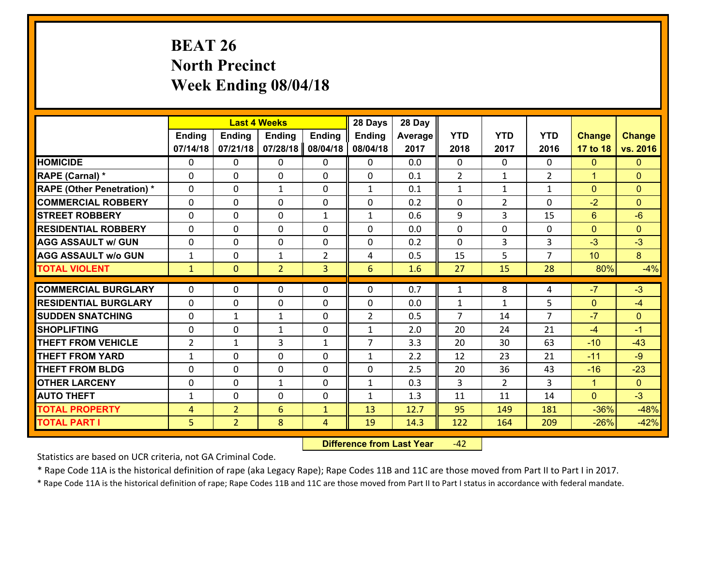# **BEAT 26 North Precinct Week Ending 08/04/18**

|                                   |                |                | <b>Last 4 Weeks</b> |               | 28 Days        | 28 Day  |                |                |                |                |                |
|-----------------------------------|----------------|----------------|---------------------|---------------|----------------|---------|----------------|----------------|----------------|----------------|----------------|
|                                   | Ending         | <b>Ending</b>  | <b>Ending</b>       | <b>Ending</b> | <b>Ending</b>  | Average | <b>YTD</b>     | <b>YTD</b>     | <b>YTD</b>     | <b>Change</b>  | <b>Change</b>  |
|                                   | 07/14/18       | 07/21/18       | 07/28/18            | 08/04/18      | 08/04/18       | 2017    | 2018           | 2017           | 2016           | 17 to 18       | vs. 2016       |
| <b>HOMICIDE</b>                   | $\Omega$       | 0              | 0                   | 0             | $\Omega$       | 0.0     | 0              | $\Omega$       | 0              | $\mathbf{0}$   | $\Omega$       |
| RAPE (Carnal) *                   | $\Omega$       | 0              | $\Omega$            | 0             | $\Omega$       | 0.1     | 2              | $\mathbf{1}$   | $\overline{2}$ | $\mathbf{1}$   | $\Omega$       |
| <b>RAPE (Other Penetration) *</b> | 0              | 0              | $\mathbf{1}$        | 0             | $\mathbf{1}$   | 0.1     | $\mathbf{1}$   | $\mathbf{1}$   | $\mathbf{1}$   | $\overline{0}$ | $\overline{0}$ |
| <b>COMMERCIAL ROBBERY</b>         | 0              | 0              | $\mathbf 0$         | 0             | 0              | 0.2     | 0              | $\overline{2}$ | 0              | $-2$           | $\Omega$       |
| <b>STREET ROBBERY</b>             | $\mathbf{0}$   | 0              | $\mathbf 0$         | $\mathbf{1}$  | $\mathbf{1}$   | 0.6     | 9              | 3              | 15             | $6\phantom{1}$ | $-6$           |
| <b>RESIDENTIAL ROBBERY</b>        | 0              | 0              | $\mathbf 0$         | 0             | 0              | 0.0     | 0              | $\mathbf{0}$   | 0              | $\mathbf{0}$   | $\mathbf{0}$   |
| <b>AGG ASSAULT w/ GUN</b>         | 0              | 0              | $\mathbf 0$         | 0             | 0              | 0.2     | 0              | $\overline{3}$ | 3              | $-3$           | $-3$           |
| <b>AGG ASSAULT w/o GUN</b>        | $\mathbf{1}$   | 0              | 1                   | 2             | 4              | 0.5     | 15             | 5              | $\overline{7}$ | 10             | 8              |
| <b>TOTAL VIOLENT</b>              | $\mathbf{1}$   | $\mathbf{0}$   | $\overline{2}$      | 3             | 6              | 1.6     | 27             | 15             | 28             | 80%            | $-4%$          |
| <b>COMMERCIAL BURGLARY</b>        | $\Omega$       | 0              | $\mathbf{0}$        | 0             | $\Omega$       | 0.7     | $\mathbf{1}$   | 8              | 4              | $-7$           | $-3$           |
| <b>RESIDENTIAL BURGLARY</b>       | $\mathbf{0}$   | 0              | 0                   | 0             | 0              | 0.0     | $\mathbf{1}$   | $\mathbf{1}$   | 5              | $\mathbf{0}$   | $-4$           |
| <b>SUDDEN SNATCHING</b>           | $\mathbf{0}$   | $\mathbf{1}$   | 1                   | 0             | $\overline{2}$ | 0.5     | $\overline{7}$ | 14             | $\overline{7}$ | $-7$           | $\mathbf{0}$   |
| <b>SHOPLIFTING</b>                | 0              | 0              | 1                   | 0             | $\mathbf{1}$   | 2.0     | 20             | 24             | 21             | $-4$           | $-1$           |
| <b>THEFT FROM VEHICLE</b>         | $\overline{2}$ | 1              | 3                   | $\mathbf{1}$  | $\overline{7}$ | 3.3     | 20             | 30             | 63             | $-10$          | $-43$          |
| <b>THEFT FROM YARD</b>            | $\mathbf{1}$   | 0              | $\mathbf 0$         | 0             | $\mathbf{1}$   | 2.2     | 12             | 23             | 21             | $-11$          | $-9$           |
| <b>THEFT FROM BLDG</b>            | 0              | 0              | $\mathbf 0$         | $\mathbf{0}$  | 0              | 2.5     | 20             | 36             | 43             | $-16$          | $-23$          |
| <b>OTHER LARCENY</b>              | 0              | 0              | $\mathbf{1}$        | 0             | $\mathbf{1}$   | 0.3     | 3              | $\overline{2}$ | 3              | $\mathbf{1}$   | $\overline{0}$ |
| <b>AUTO THEFT</b>                 | $\mathbf{1}$   | 0              | $\mathbf 0$         | 0             | $\mathbf{1}$   | 1.3     | 11             | 11             | 14             | $\mathbf{0}$   | $-3$           |
| <b>TOTAL PROPERTY</b>             | $\overline{4}$ | $\overline{2}$ | 6                   | $\mathbf{1}$  | 13             | 12.7    | 95             | 149            | 181            | $-36%$         | $-48%$         |
| <b>TOTAL PART I</b>               | 5              | $\overline{2}$ | 8                   | 4             | 19             | 14.3    | 122            | 164            | 209            | $-26%$         | $-42%$         |
|                                   |                |                |                     |               |                |         |                |                |                |                |                |

 **Difference from Last Year**r -42

Statistics are based on UCR criteria, not GA Criminal Code.

\* Rape Code 11A is the historical definition of rape (aka Legacy Rape); Rape Codes 11B and 11C are those moved from Part II to Part I in 2017.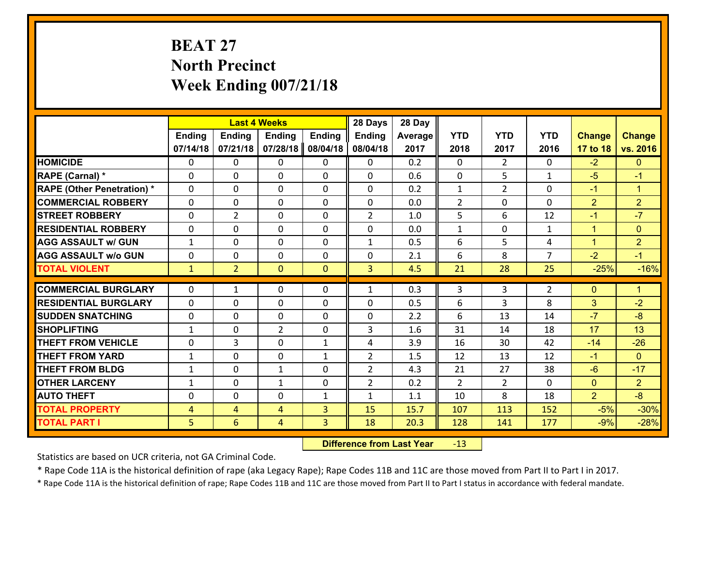# **BEAT 27 North Precinct Week Ending 007/21/18**

|                                               |                | <b>Last 4 Weeks</b> |                               |               | 28 Days        | 28 Day  |                |                |                |                |                      |
|-----------------------------------------------|----------------|---------------------|-------------------------------|---------------|----------------|---------|----------------|----------------|----------------|----------------|----------------------|
|                                               | <b>Ending</b>  | <b>Ending</b>       | <b>Ending</b>                 | <b>Ending</b> | <b>Ending</b>  | Average | <b>YTD</b>     | <b>YTD</b>     | <b>YTD</b>     | <b>Change</b>  | <b>Change</b>        |
|                                               | 07/14/18       | 07/21/18            | 07/28/18                      | 08/04/18      | 08/04/18       | 2017    | 2018           | 2017           | 2016           | 17 to 18       | vs. 2016             |
| <b>HOMICIDE</b>                               | $\Omega$       | 0                   | $\Omega$                      | 0             | 0              | 0.2     | $\Omega$       | $\overline{2}$ | 0              | $-2$           | $\mathbf{0}$         |
| RAPE (Carnal) *                               | 0              | 0                   | $\mathbf{0}$                  | 0             | $\Omega$       | 0.6     | $\mathbf{0}$   | 5              | $\mathbf{1}$   | $-5$           | $-1$                 |
| <b>RAPE (Other Penetration) *</b>             | $\Omega$       | 0                   | $\mathbf{0}$                  | $\Omega$      | $\Omega$       | 0.2     | $\mathbf{1}$   | $\overline{2}$ | $\Omega$       | $-1$           | $\blacktriangleleft$ |
| <b>COMMERCIAL ROBBERY</b>                     | 0              | 0                   | 0                             | 0             | 0              | 0.0     | $\overline{2}$ | 0              | $\Omega$       | $\overline{2}$ | $\overline{2}$       |
| <b>STREET ROBBERY</b>                         | $\Omega$       | $\overline{2}$      | $\mathbf 0$                   | 0             | $\overline{2}$ | 1.0     | 5              | 6              | 12             | $-1$           | $-7$                 |
| <b>RESIDENTIAL ROBBERY</b>                    | $\Omega$       | $\Omega$            | $\mathbf 0$                   | $\Omega$      | 0              | 0.0     | $\mathbf{1}$   | 0              | $\mathbf{1}$   | $\mathbf{1}$   | $\mathbf{0}$         |
| <b>AGG ASSAULT w/ GUN</b>                     | $\mathbf{1}$   | 0                   | $\mathbf 0$                   | $\Omega$      | $\mathbf{1}$   | 0.5     | 6              | 5              | 4              | $\mathbf{1}$   | $\overline{2}$       |
| <b>AGG ASSAULT w/o GUN</b>                    | 0              | 0                   | $\mathbf 0$                   | 0             | 0              | 2.1     | 6              | 8              | $\overline{7}$ | $-2$           | $-1$                 |
| <b>TOTAL VIOLENT</b>                          | $\mathbf{1}$   | $\overline{2}$      | $\mathbf{O}$                  | $\mathbf{0}$  | $\overline{3}$ | 4.5     | 21             | 28             | 25             | $-25%$         | $-16%$               |
| <b>COMMERCIAL BURGLARY</b>                    | $\Omega$       | 1                   | $\mathbf{0}$                  | $\Omega$      | $\mathbf{1}$   | 0.3     | 3              | 3              | $\overline{2}$ | $\mathbf{0}$   | $\blacktriangleleft$ |
|                                               |                |                     |                               |               |                |         |                |                |                |                |                      |
| <b>RESIDENTIAL BURGLARY</b>                   | 0              | 0                   | $\mathbf 0$                   | 0             | 0              | 0.5     | 6              | 3              | 8              | 3              | $-2$                 |
| <b>SUDDEN SNATCHING</b><br><b>SHOPLIFTING</b> | 0              | 0                   | $\mathbf 0$<br>$\overline{2}$ | 0             | 0<br>3         | 2.2     | 6<br>31        | 13             | 14             | $-7$<br>17     | $-8$<br>13           |
|                                               | $\mathbf{1}$   | 0                   |                               | 0             |                | 1.6     |                | 14             | 18             |                |                      |
| <b>THEFT FROM VEHICLE</b>                     | 0              | 3                   | $\mathbf 0$                   | $\mathbf{1}$  | 4              | 3.9     | 16             | 30             | 42             | $-14$          | $-26$                |
| <b>THEFT FROM YARD</b>                        | $\mathbf{1}$   | 0                   | $\mathbf 0$                   | $\mathbf{1}$  | $\overline{2}$ | 1.5     | 12             | 13             | 12             | $-1$           | $\overline{0}$       |
| <b>THEFT FROM BLDG</b>                        | $\mathbf{1}$   | 0                   | 1                             | 0             | $\overline{2}$ | 4.3     | 21             | 27             | 38             | $-6$           | $-17$                |
| <b>OTHER LARCENY</b>                          | $\mathbf{1}$   | 0                   | $\mathbf{1}$                  | 0             | $\overline{2}$ | 0.2     | $\overline{2}$ | $\overline{2}$ | $\Omega$       | $\mathbf{0}$   | $\overline{2}$       |
| <b>AUTO THEFT</b>                             | 0              | 0                   | $\mathbf{0}$                  | $\mathbf{1}$  | $\mathbf{1}$   | 1.1     | 10             | 8              | 18             | $\overline{2}$ | $-8$                 |
| <b>TOTAL PROPERTY</b>                         | $\overline{4}$ | 4                   | 4                             | 3             | 15             | 15.7    | 107            | 113            | 152            | $-5%$          | $-30%$               |
| <b>TOTAL PART I</b>                           | 5              | 6                   | 4                             | 3             | 18             | 20.3    | 128            | 141            | 177            | $-9%$          | $-28%$               |

 **Difference from Last Year**r -13

Statistics are based on UCR criteria, not GA Criminal Code.

\* Rape Code 11A is the historical definition of rape (aka Legacy Rape); Rape Codes 11B and 11C are those moved from Part II to Part I in 2017.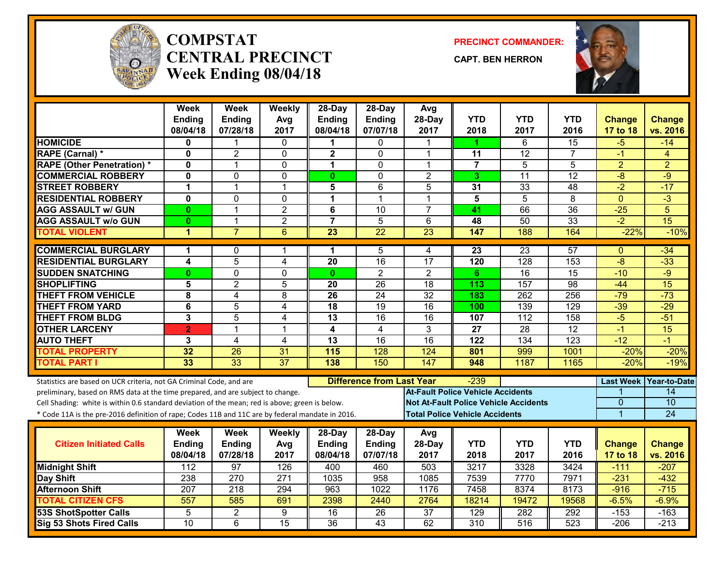

#### **COMPSTATCENTRAL PRECINCTWeek Ending 08/04/18**

**PRECINCT COMMANDER:**

**CAPT. BEN HERRON**



|                                                                                                  | <b>Week</b><br><b>Ending</b> | Week<br><b>Ending</b> | Weekly<br>Avg           | 28-Day<br><b>Ending</b> | 28-Day<br><b>Ending</b>          | Avg<br>28-Day                            | <b>YTD</b>      | <b>YTD</b>                            | <b>YTD</b>      | <b>Change</b>    | <b>Change</b>       |
|--------------------------------------------------------------------------------------------------|------------------------------|-----------------------|-------------------------|-------------------------|----------------------------------|------------------------------------------|-----------------|---------------------------------------|-----------------|------------------|---------------------|
| <b>HOMICIDE</b>                                                                                  | 08/04/18                     | 07/28/18              | 2017                    | 08/04/18                | 07/07/18<br>0                    | 2017                                     | 2018            | 2017<br>6                             | 2016<br>15      | 17 to 18         | vs. 2016<br>$-14$   |
| RAPE (Carnal) *                                                                                  | 0<br>$\mathbf 0$             | $\overline{2}$        | 0<br>$\Omega$           | $\mathbf{2}$            | $\Omega$                         | 1                                        | 11              | $\overline{12}$                       | $\overline{7}$  | $-5$<br>$-1$     | 4                   |
| <b>RAPE (Other Penetration) *</b>                                                                | $\mathbf 0$                  | 1                     | $\mathbf 0$             | $\mathbf 1$             | $\mathbf 0$                      | 1                                        | $\overline{7}$  | 5                                     | $\overline{5}$  | $\overline{2}$   | $\overline{2}$      |
| <b>COMMERCIAL ROBBERY</b>                                                                        | $\mathbf 0$                  | 0                     | $\Omega$                | $\mathbf{0}$            | $\Omega$                         | $\overline{2}$                           | 3               | 11                                    | 12              | $-8$             | $-9$                |
| <b>STREET ROBBERY</b>                                                                            | 1                            | $\mathbf{1}$          | $\mathbf 1$             | 5                       | 6                                | 5                                        | 31              | 33                                    | 48              | $-2$             | $-17$               |
| <b>RESIDENTIAL ROBBERY</b>                                                                       | $\mathbf 0$                  | 0                     | $\Omega$                | 1                       | 1                                | 1                                        | 5               | $\overline{5}$                        | 8               | $\mathbf{0}$     | $-3$                |
| <b>AGG ASSAULT w/ GUN</b>                                                                        | $\mathbf{0}$                 | $\mathbf{1}$          | $\overline{2}$          | 6                       | 10                               | $\overline{7}$                           | 41              | 66                                    | $\overline{36}$ | $-25$            | 5                   |
| <b>AGG ASSAULT w/o GUN</b>                                                                       | $\mathbf{0}$                 | $\mathbf{1}$          | $\overline{2}$          | $\overline{7}$          | $\overline{5}$                   | 6                                        | 48              | 50                                    | $\overline{33}$ | $\overline{-2}$  | 15                  |
| <b>TOTAL VIOLENT</b>                                                                             | 1                            | $\overline{7}$        | 6                       | $\overline{23}$         | $\overline{22}$                  | $\overline{23}$                          | 147             | 188                                   | 164             | $-22%$           | $-10%$              |
|                                                                                                  |                              |                       |                         |                         |                                  |                                          |                 |                                       |                 |                  |                     |
| <b>COMMERCIAL BURGLARY</b>                                                                       | 1                            | 0                     | 1                       | 1                       | 5                                | 4                                        | 23              | 23                                    | 57              | $\Omega$         | $-34$               |
| <b>RESIDENTIAL BURGLARY</b>                                                                      | $\overline{\mathbf{4}}$      | $\overline{5}$        | $\overline{\mathbf{4}}$ | 20                      | $\overline{16}$                  | $\overline{17}$                          | 120             | 128                                   | 153             | $-8$             | $-33$               |
| <b>SUDDEN SNATCHING</b>                                                                          | $\mathbf{0}$                 | $\overline{0}$        | 0                       | $\mathbf{0}$            | $\overline{2}$                   | $\overline{2}$                           | 6               | $\overline{16}$                       | $\overline{15}$ | $-10$            | $-9$                |
| <b>SHOPLIFTING</b>                                                                               | 5                            | $\overline{2}$        | 5                       | 20                      | $\overline{26}$                  | $\overline{18}$                          | 113             | 157                                   | 98              | $-44$            | $\overline{15}$     |
| <b>THEFT FROM VEHICLE</b>                                                                        | 8                            | 4                     | 8                       | 26                      | 24                               | $\overline{32}$                          | 183             | 262                                   | 256             | $-79$            | $-73$               |
| <b>THEFT FROM YARD</b>                                                                           | $\overline{6}$               | $\overline{5}$        | 4                       | 18                      | 19                               | 16                                       | 100             | 139                                   | 129             | $-39$            | $-29$               |
| <b>THEFT FROM BLDG</b>                                                                           | 3                            | 5                     | $\overline{4}$          | 13                      | 16                               | 16                                       | 107             | 112                                   | 158             | $-5$             | $-51$               |
| <b>OTHER LARCENY</b>                                                                             | $\overline{2}$               | 1                     | $\mathbf{1}$            | $\overline{\mathbf{4}}$ | $\overline{4}$                   | $\overline{3}$                           | $\overline{27}$ | $\overline{28}$                       | $\overline{12}$ | $-1$             | 15                  |
| <b>AUTO THEFT</b>                                                                                | 3                            | 4                     | 4                       | 13                      | 16                               | 16                                       | 122             | 134                                   | 123             | $-12$            | $-1$                |
| <b>TOTAL PROPERTY</b>                                                                            | 32                           | 26                    | 31                      | 115                     | 128                              | 124                                      | 801             | 999                                   | 1001            | $-20%$           | $-20%$              |
| <b>TOTAL PART I</b>                                                                              | 33                           | $\overline{33}$       | $\overline{37}$         | 138                     | 150                              | 147                                      | 948             | 1187                                  | 1165            | $-20%$           | $-19%$              |
| Statistics are based on UCR criteria, not GA Criminal Code, and are                              |                              |                       |                         |                         | <b>Difference from Last Year</b> |                                          | -239            |                                       |                 | <b>Last Week</b> | <b>Year-to-Date</b> |
| preliminary, based on RMS data at the time prepared, and are subject to change.                  |                              |                       |                         |                         |                                  | <b>At-Fault Police Vehicle Accidents</b> |                 |                                       |                 |                  | 14                  |
| Cell Shading: white is within 0.6 standard deviation of the mean; red is above; green is below.  |                              |                       |                         |                         |                                  |                                          |                 | Not At-Fault Police Vehicle Accidents |                 | $\overline{0}$   | 10                  |
| * Code 11A is the pre-2016 definition of rape; Codes 11B and 11C are by federal mandate in 2016. |                              |                       |                         |                         |                                  | <b>Total Police Vehicle Accidents</b>    |                 |                                       |                 | 1                | 24                  |
|                                                                                                  | Week                         | Week                  | Weekly                  | 28-Day                  | 28-Day                           | Avg                                      |                 |                                       |                 |                  |                     |
| <b>Citizen Initiated Calls</b>                                                                   | <b>Ending</b>                | <b>Ending</b>         | Avg                     | <b>Ending</b>           | <b>Ending</b>                    | 28-Day                                   | <b>YTD</b>      | <b>YTD</b>                            | <b>YTD</b>      | <b>Change</b>    | <b>Change</b>       |
|                                                                                                  | 08/04/18                     | 07/28/18              | 2017                    | 08/04/18                | 07/07/18                         | 2017                                     | 2018            | 2017                                  | 2016            | <b>17 to 18</b>  | vs. 2016            |
| <b>Midnight Shift</b>                                                                            | 112                          | 97                    | 126                     | 400                     | 460                              | 503                                      | 3217            | 3328                                  | 3424            | $-111$           | $-207$              |
| Day Shift                                                                                        | 238                          | $\overline{270}$      | $\overline{271}$        | 1035                    | $\overline{958}$                 | 1085                                     | 7539            | 7770                                  | 7971            | $-231$           | $-432$              |
| <b>Afternoon Shift</b>                                                                           | 207                          | 218                   | 294                     | 963                     | 1022                             | 1176                                     | 7458            | 8374                                  | 8173            | $-916$           | $-715$              |
| <b>TOTAL CITIZEN CFS</b>                                                                         | 557                          | 585                   | 691                     | 2398                    | 2440                             | 2764                                     | 18214           | 19472                                 | 19568           | $-6.5%$          | $-6.9%$             |
| <b>53S ShotSpotter Calls</b>                                                                     | $\overline{5}$               | $\overline{2}$        | 9                       | 16                      | $\overline{26}$                  | $\overline{37}$                          | 129             | 282                                   | 292             | $-153$           | $-163$              |
| <b>Sig 53 Shots Fired Calls</b>                                                                  | 10                           | 6                     | $\overline{15}$         | $\overline{36}$         | 43                               | 62                                       | 310             | 516                                   | 523             | $-206$           | $-213$              |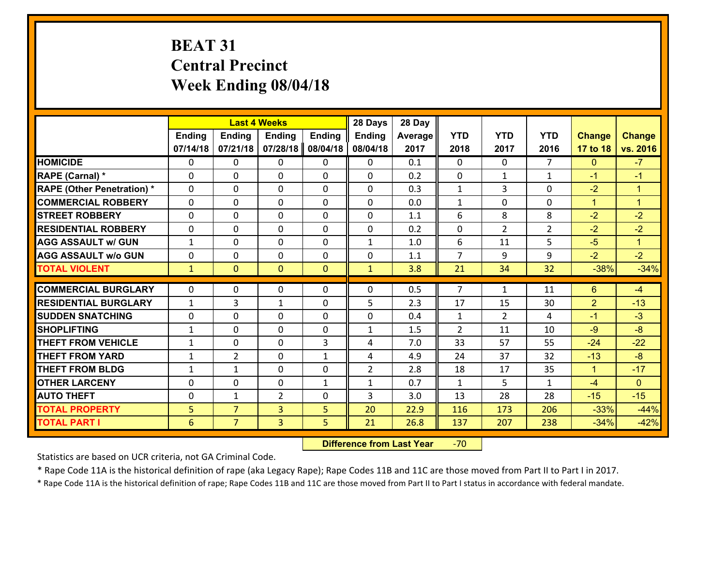# **BEAT 31 Central Precinct Week Ending 08/04/18**

|                                   |              |                |                | <b>Last 4 Weeks</b><br><b>Ending</b><br><b>Endina</b><br><b>Endina</b><br><b>Ending</b> |                |         |                |                |                |                |                      |
|-----------------------------------|--------------|----------------|----------------|-----------------------------------------------------------------------------------------|----------------|---------|----------------|----------------|----------------|----------------|----------------------|
|                                   |              |                |                |                                                                                         | <b>Ending</b>  | Average | <b>YTD</b>     | <b>YTD</b>     | <b>YTD</b>     | <b>Change</b>  | <b>Change</b>        |
|                                   | 07/14/18     | 07/21/18       | 07/28/18       | 08/04/18                                                                                | 08/04/18       | 2017    | 2018           | 2017           | 2016           | 17 to 18       | vs. 2016             |
| <b>HOMICIDE</b>                   | $\Omega$     | 0              | 0              | 0                                                                                       | 0              | 0.1     | 0              | $\Omega$       | $\overline{7}$ | $\mathbf{0}$   | $-7$                 |
| RAPE (Carnal) *                   | $\Omega$     | $\Omega$       | $\mathbf 0$    | $\Omega$                                                                                | $\Omega$       | 0.2     | $\Omega$       | $\mathbf{1}$   | $\mathbf{1}$   | $-1$           | $-1$                 |
| <b>RAPE (Other Penetration) *</b> | 0            | 0              | $\mathbf 0$    | 0                                                                                       | 0              | 0.3     | $\mathbf{1}$   | 3              | 0              | $-2$           | $\overline{1}$       |
| <b>COMMERCIAL ROBBERY</b>         | 0            | 0              | $\mathbf 0$    | 0                                                                                       | 0              | 0.0     | $\mathbf{1}$   | 0              | 0              | $\mathbf{1}$   | $\blacktriangleleft$ |
| <b>STREET ROBBERY</b>             | 0            | 0              | $\mathbf 0$    | 0                                                                                       | 0              | 1.1     | 6              | 8              | 8              | $-2$           | $-2$                 |
| <b>RESIDENTIAL ROBBERY</b>        | 0            | 0              | $\mathbf 0$    | $\Omega$                                                                                | 0              | 0.2     | $\mathbf 0$    | $\overline{2}$ | $\overline{2}$ | $-2$           | $-2$                 |
| <b>AGG ASSAULT w/ GUN</b>         | $\mathbf{1}$ | 0              | $\mathbf 0$    | 0                                                                                       | $\mathbf{1}$   | 1.0     | 6              | 11             | 5              | $-5$           | $\blacktriangleleft$ |
| <b>AGG ASSAULT w/o GUN</b>        | 0            | 0              | $\mathbf 0$    | $\Omega$                                                                                | 0              | 1.1     | $\overline{7}$ | 9              | 9              | $-2$           | $-2$                 |
| <b>TOTAL VIOLENT</b>              | $\mathbf{1}$ | $\overline{0}$ | $\mathbf{0}$   | $\mathbf{0}$                                                                            | $\mathbf{1}$   | 3.8     | 21             | 34             | 32             | $-38%$         | $-34%$               |
| <b>COMMERCIAL BURGLARY</b>        | $\Omega$     | 0              | 0              | $\Omega$                                                                                | 0              | 0.5     | $\overline{7}$ | $\mathbf{1}$   | 11             | 6              | $-4$                 |
| <b>RESIDENTIAL BURGLARY</b>       | $\mathbf{1}$ | 3              | $\mathbf{1}$   | 0                                                                                       | 5              | 2.3     | 17             | 15             | 30             | $\overline{2}$ | $-13$                |
| <b>SUDDEN SNATCHING</b>           | 0            | $\Omega$       | $\mathbf 0$    | $\Omega$                                                                                | 0              | 0.4     | $\mathbf{1}$   | $\overline{2}$ | 4              | $-1$           | $-3$                 |
| <b>SHOPLIFTING</b>                | $\mathbf{1}$ | 0              | $\mathbf 0$    | 0                                                                                       | $\mathbf{1}$   | 1.5     | $\overline{2}$ | 11             | 10             | $-9$           | $-8$                 |
| <b>THEFT FROM VEHICLE</b>         | $\mathbf{1}$ | 0              | 0              | 3                                                                                       | 4              | 7.0     | 33             | 57             | 55             | $-24$          | $-22$                |
| <b>THEFT FROM YARD</b>            | $\mathbf{1}$ | $\overline{2}$ | $\mathbf 0$    | $\mathbf{1}$                                                                            | 4              | 4.9     | 24             | 37             | 32             | $-13$          | $-8$                 |
| <b>THEFT FROM BLDG</b>            | $\mathbf{1}$ | $\mathbf{1}$   | $\mathbf{0}$   | $\Omega$                                                                                | $\overline{2}$ | 2.8     | 18             | 17             | 35             | $\mathbf{1}$   | $-17$                |
| <b>OTHER LARCENY</b>              | $\mathbf 0$  | 0              | $\mathbf 0$    | $\mathbf{1}$                                                                            | $\mathbf{1}$   | 0.7     | $\mathbf 1$    | 5              | $\mathbf{1}$   | $-4$           | $\overline{0}$       |
| <b>AUTO THEFT</b>                 | 0            | $\mathbf{1}$   | $\overline{2}$ | $\Omega$                                                                                | 3              | 3.0     | 13             | 28             | 28             | $-15$          | $-15$                |
| <b>TOTAL PROPERTY</b>             | 5            | $\overline{7}$ | 3              | 5                                                                                       | 20             | 22.9    | 116            | 173            | 206            | $-33%$         | $-44%$               |
| <b>TOTAL PART I</b>               | 6            | $\overline{7}$ | $\overline{3}$ | 5                                                                                       | 21             | 26.8    | 137            | 207            | 238            | $-34%$         | $-42%$               |
|                                   |              |                |                |                                                                                         |                |         |                |                |                |                |                      |

 **Difference from Last Year**r -70

Statistics are based on UCR criteria, not GA Criminal Code.

\* Rape Code 11A is the historical definition of rape (aka Legacy Rape); Rape Codes 11B and 11C are those moved from Part II to Part I in 2017.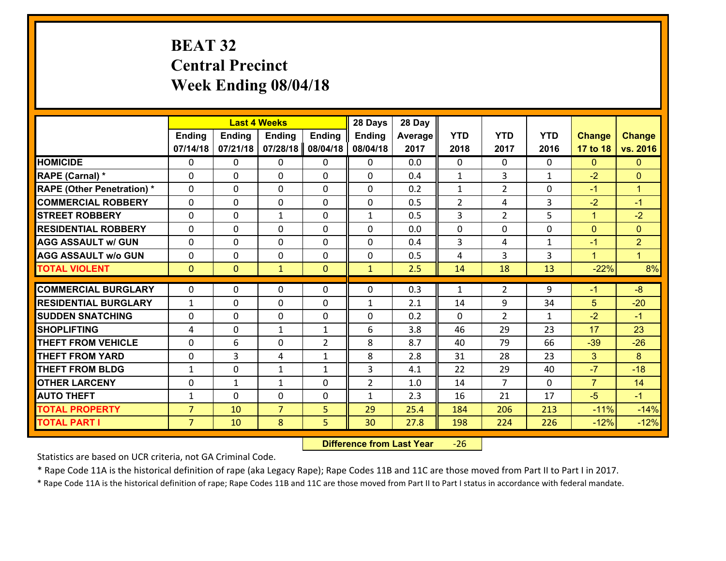# **BEAT 32 Central Precinct Week Ending 08/04/18**

|                                   |                |               | <b>Last 4 Weeks</b> |                | 28 Days        | 28 Day  |                |                |              |                |                |
|-----------------------------------|----------------|---------------|---------------------|----------------|----------------|---------|----------------|----------------|--------------|----------------|----------------|
|                                   | Ending         | <b>Ending</b> | <b>Ending</b>       | <b>Ending</b>  | <b>Ending</b>  | Average | <b>YTD</b>     | <b>YTD</b>     | <b>YTD</b>   | <b>Change</b>  | <b>Change</b>  |
|                                   | 07/14/18       | 07/21/18      | 07/28/18            | 08/04/18       | 08/04/18       | 2017    | 2018           | 2017           | 2016         | 17 to 18       | vs. 2016       |
| <b>HOMICIDE</b>                   | $\Omega$       | 0             | 0                   | 0              | $\Omega$       | 0.0     | 0              | $\Omega$       | 0            | $\Omega$       | $\Omega$       |
| RAPE (Carnal) *                   | $\mathbf{0}$   | 0             | $\mathbf{0}$        | 0              | $\Omega$       | 0.4     | $\mathbf{1}$   | 3              | $\mathbf{1}$ | $-2$           | $\mathbf{0}$   |
| <b>RAPE (Other Penetration) *</b> | $\Omega$       | 0             | $\mathbf{0}$        | $\Omega$       | $\Omega$       | 0.2     | $\mathbf{1}$   | $\overline{2}$ | 0            | $-1$           | $\mathbf{1}$   |
| <b>COMMERCIAL ROBBERY</b>         | $\mathbf{0}$   | 0             | 0                   | 0              | $\Omega$       | 0.5     | $\overline{2}$ | 4              | 3            | $-2$           | $-1$           |
| <b>STREET ROBBERY</b>             | 0              | 0             | 1                   | 0              | $\mathbf{1}$   | 0.5     | 3              | $\overline{2}$ | 5            | $\mathbf{1}$   | $-2$           |
| <b>RESIDENTIAL ROBBERY</b>        | $\Omega$       | $\Omega$      | $\mathbf 0$         | $\Omega$       | 0              | 0.0     | 0              | $\Omega$       | 0            | $\mathbf{0}$   | $\Omega$       |
| <b>AGG ASSAULT w/ GUN</b>         | 0              | 0             | $\mathbf 0$         | $\Omega$       | 0              | 0.4     | 3              | 4              | $\mathbf{1}$ | $-1$           | $\overline{2}$ |
| <b>AGG ASSAULT w/o GUN</b>        | 0              | 0             | $\mathbf 0$         | $\mathbf 0$    | 0              | 0.5     | 4              | 3              | 3            | $\mathbf{1}$   | $\mathbf{1}$   |
| <b>TOTAL VIOLENT</b>              | $\mathbf{0}$   | $\mathbf{0}$  | $\mathbf{1}$        | $\mathbf{0}$   | $\mathbf{1}$   | 2.5     | 14             | 18             | 13           | $-22%$         | 8%             |
| <b>COMMERCIAL BURGLARY</b>        | $\Omega$       | 0             | $\mathbf{0}$        | $\Omega$       | $\Omega$       | 0.3     | $\mathbf{1}$   | $\overline{2}$ | 9            | $-1$           | $-8$           |
| <b>RESIDENTIAL BURGLARY</b>       | $\mathbf{1}$   | 0             | $\mathbf 0$         | 0              | $\mathbf{1}$   | 2.1     | 14             | 9              | 34           | 5              | $-20$          |
| <b>SUDDEN SNATCHING</b>           | 0              | 0             | $\mathbf 0$         | 0              | 0              | 0.2     | 0              | $\overline{2}$ | $\mathbf{1}$ | $-2$           | $-1$           |
| <b>SHOPLIFTING</b>                | 4              | 0             | 1                   | $\mathbf{1}$   | 6              | 3.8     | 46             | 29             | 23           | 17             | 23             |
| <b>THEFT FROM VEHICLE</b>         | $\Omega$       | 6             | $\mathbf 0$         | $\overline{2}$ | 8              | 8.7     | 40             | 79             | 66           | $-39$          | $-26$          |
| <b>THEFT FROM YARD</b>            | 0              | 3             | 4                   | $\mathbf{1}$   | 8              | 2.8     | 31             | 28             | 23           | 3              | 8              |
| <b>THEFT FROM BLDG</b>            | $\mathbf{1}$   | 0             | 1                   | $\mathbf{1}$   | 3              | 4.1     | 22             | 29             | 40           | $-7$           | $-18$          |
| <b>OTHER LARCENY</b>              | 0              | $\mathbf{1}$  | $\mathbf{1}$        | 0              | $\overline{2}$ | 1.0     | 14             | $\overline{7}$ | 0            | $\overline{7}$ | 14             |
| <b>AUTO THEFT</b>                 | $\mathbf{1}$   | 0             | $\mathbf{0}$        | 0              | $\mathbf{1}$   | 2.3     | 16             | 21             | 17           | $-5$           | $-1$           |
| <b>TOTAL PROPERTY</b>             | $\overline{7}$ | 10            | $\overline{7}$      | 5              | 29             | 25.4    | 184            | 206            | 213          | $-11%$         | $-14%$         |
| <b>TOTAL PART I</b>               | $\overline{7}$ | 10            | 8                   | 5              | 30             | 27.8    | 198            | 224            | 226          | $-12%$         | $-12%$         |

 **Difference from Last Year**‐26

Statistics are based on UCR criteria, not GA Criminal Code.

\* Rape Code 11A is the historical definition of rape (aka Legacy Rape); Rape Codes 11B and 11C are those moved from Part II to Part I in 2017.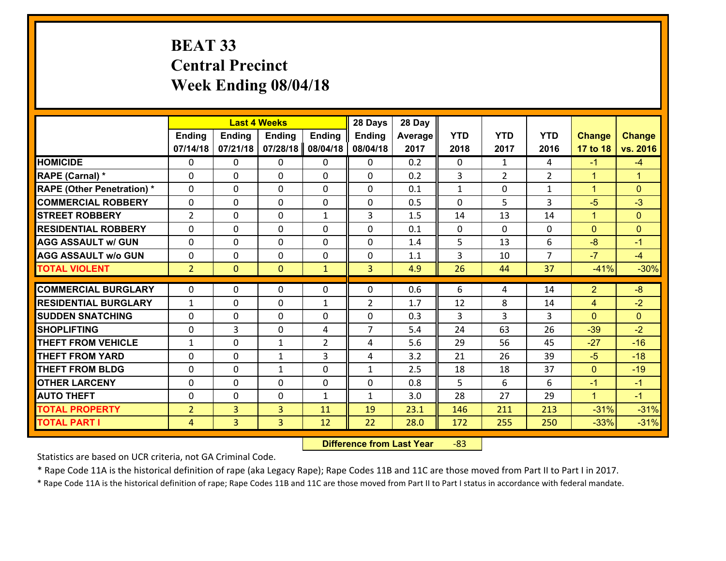# **BEAT 33 Central Precinct Week Ending 08/04/18**

|                                   |                |                | <b>Last 4 Weeks</b>         |                | 28 Days        | 28 Day  |              |                |                |                      |                |
|-----------------------------------|----------------|----------------|-----------------------------|----------------|----------------|---------|--------------|----------------|----------------|----------------------|----------------|
|                                   | Ending         | <b>Ending</b>  | <b>Ending</b>               | <b>Ending</b>  | <b>Ending</b>  | Average | <b>YTD</b>   | <b>YTD</b>     | <b>YTD</b>     | <b>Change</b>        | <b>Change</b>  |
|                                   | 07/14/18       | 07/21/18       | 07/28/18                    | 08/04/18       | 08/04/18       | 2017    | 2018         | 2017           | 2016           | 17 to 18             | vs. 2016       |
| <b>HOMICIDE</b>                   | 0              | 0              | 0                           | 0              | 0              | 0.2     | 0            | $\mathbf{1}$   | 4              | $-1$                 | $-4$           |
| RAPE (Carnal) *                   | 0              | 0              | $\mathbf{0}$                | 0              | $\Omega$       | 0.2     | 3            | $\overline{2}$ | $\overline{2}$ | $\mathbf{1}$         | $\mathbf{1}$   |
| <b>RAPE (Other Penetration) *</b> | $\Omega$       | 0              | $\Omega$                    | $\Omega$       | $\Omega$       | 0.1     | 1            | 0              | $\mathbf{1}$   | $\mathbf{1}$         | $\Omega$       |
| <b>COMMERCIAL ROBBERY</b>         | 0              | 0              | $\mathbf 0$                 | $\Omega$       | $\Omega$       | 0.5     | $\Omega$     | 5              | $\overline{3}$ | $-5$                 | $-3$           |
| <b>ISTREET ROBBERY</b>            | 2              | 0              | $\mathbf 0$                 | $\mathbf{1}$   | 3              | 1.5     | 14           | 13             | 14             | $\mathbf{1}$         | $\overline{0}$ |
| <b>RESIDENTIAL ROBBERY</b>        | $\Omega$       | 0              | 0                           | 0              | 0              | 0.1     | $\mathbf{0}$ | $\Omega$       | $\Omega$       | $\mathbf{0}$         | $\Omega$       |
| <b>AGG ASSAULT w/ GUN</b>         | 0              | 0              | $\mathbf 0$                 | 0              | 0              | 1.4     | 5            | 13             | 6              | $-8$                 | $-1$           |
| <b>AGG ASSAULT w/o GUN</b>        | 0              | 0              | $\mathbf 0$                 | $\mathbf{0}$   | $\mathbf 0$    | 1.1     | 3            | 10             | $\overline{7}$ | $-7$                 | $-4$           |
| <b>TOTAL VIOLENT</b>              | $\overline{2}$ | $\overline{0}$ | $\mathbf{0}$                | $\mathbf{1}$   | 3              | 4.9     | 26           | 44             | 37             | $-41%$               | $-30%$         |
| <b>COMMERCIAL BURGLARY</b>        | $\mathbf{0}$   | 0              | $\mathbf{0}$                | 0              | $\Omega$       | 0.6     | 6            | 4              | 14             | $\overline{2}$       | $-8$           |
| <b>RESIDENTIAL BURGLARY</b>       | $\mathbf{1}$   | 0              | $\mathbf{0}$                | $\mathbf{1}$   | $\overline{2}$ | 1.7     | 12           | 8              | 14             |                      | $-2$           |
| <b>SUDDEN SNATCHING</b>           | $\Omega$       | 0              |                             | $\Omega$       | $\Omega$       | 0.3     | 3            | 3              | 3              | 4<br>$\Omega$        | $\Omega$       |
| <b>SHOPLIFTING</b>                | $\mathbf{0}$   | 3              | $\mathbf 0$<br>$\mathbf{0}$ | 4              | $\overline{7}$ | 5.4     | 24           | 63             | 26             |                      | $-2$           |
| <b>THEFT FROM VEHICLE</b>         |                | 0              |                             | $\overline{2}$ |                | 5.6     | 29           | 56             | 45             | $-39$<br>$-27$       | $-16$          |
| <b>THEFT FROM YARD</b>            | 1              |                | 1                           | 3              | 4              | 3.2     |              | 26             | 39             |                      | $-18$          |
| <b>THEFT FROM BLDG</b>            | 0              | 0              | $\mathbf{1}$                |                | 4              |         | 21           |                |                | $-5$                 |                |
|                                   | 0              | 0              | $\mathbf{1}$                | 0              | $\mathbf{1}$   | 2.5     | 18           | 18             | 37             | $\mathbf{0}$         | $-19$          |
| <b>OTHER LARCENY</b>              | 0              | 0              | $\mathbf 0$                 | 0              | 0              | 0.8     | 5            | 6              | 6              | $-1$                 | $-1$           |
| <b>AUTO THEFT</b>                 | $\mathbf{0}$   | 0              | 0                           | $\mathbf{1}$   | $\mathbf{1}$   | 3.0     | 28           | 27             | 29             | $\blacktriangleleft$ | $-1$           |
| <b>TOTAL PROPERTY</b>             | $\overline{2}$ | 3              | 3                           | 11             | 19             | 23.1    | 146          | 211            | 213            | $-31%$               | $-31%$         |
| <b>TOTAL PART I</b>               | 4              | 3              | 3                           | 12             | 22             | 28.0    | 172          | 255            | 250            | $-33%$               | $-31%$         |

 **Difference from Last Year**r -83

Statistics are based on UCR criteria, not GA Criminal Code.

\* Rape Code 11A is the historical definition of rape (aka Legacy Rape); Rape Codes 11B and 11C are those moved from Part II to Part I in 2017.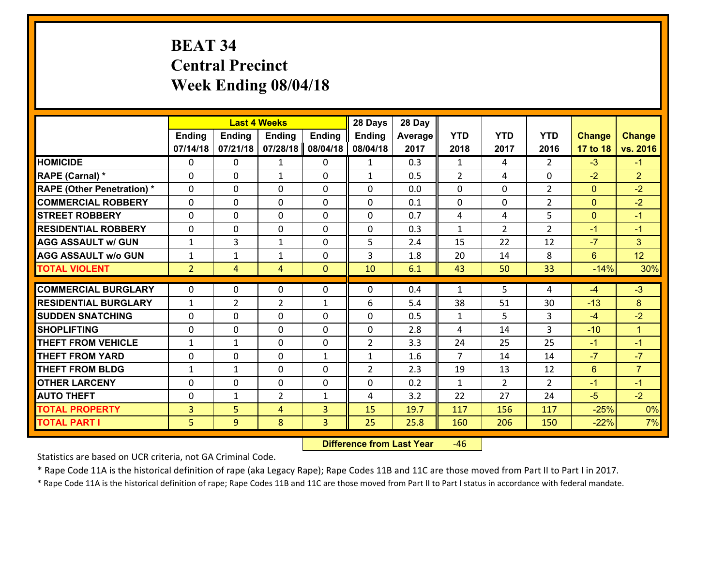# **BEAT 34 Central Precinct Week Ending 08/04/18**

|                                   |                | <b>Last 4 Weeks</b> |                |               | 28 Days        | 28 Day  |                |                |                |                |                              |
|-----------------------------------|----------------|---------------------|----------------|---------------|----------------|---------|----------------|----------------|----------------|----------------|------------------------------|
|                                   | <b>Ending</b>  | <b>Ending</b>       | <b>Ending</b>  | <b>Ending</b> | <b>Ending</b>  | Average | <b>YTD</b>     | <b>YTD</b>     | <b>YTD</b>     | <b>Change</b>  | <b>Change</b>                |
|                                   | 07/14/18       | 07/21/18            | 07/28/18       | 08/04/18      | 08/04/18       | 2017    | 2018           | 2017           | 2016           | 17 to 18       | vs. 2016                     |
| <b>HOMICIDE</b>                   | $\Omega$       | 0                   | 1              | 0             | $\mathbf{1}$   | 0.3     | 1              | 4              | $\mathcal{L}$  | $-3$           | $-1$                         |
| RAPE (Carnal) *                   | 0              | 0                   | $\mathbf{1}$   | 0             | $\mathbf{1}$   | 0.5     | 2              | 4              | $\Omega$       | $-2$           | $\overline{2}$               |
| <b>RAPE (Other Penetration) *</b> | $\Omega$       | 0                   | $\mathbf{0}$   | $\Omega$      | $\Omega$       | 0.0     | $\Omega$       | $\Omega$       | $\overline{2}$ | $\mathbf{0}$   | $-2$                         |
| <b>COMMERCIAL ROBBERY</b>         | 0              | 0                   | 0              | 0             | $\Omega$       | 0.1     | $\mathbf{0}$   | 0              | $\overline{2}$ | $\mathbf{0}$   | $-2$                         |
| <b>STREET ROBBERY</b>             | $\Omega$       | 0                   | $\mathbf 0$    | 0             | 0              | 0.7     | 4              | 4              | 5              | $\overline{0}$ | $-1$                         |
| <b>RESIDENTIAL ROBBERY</b>        | $\Omega$       | 0                   | $\mathbf 0$    | $\Omega$      | 0              | 0.3     | $\mathbf{1}$   | $\overline{2}$ | $\overline{2}$ | $-1$           | $-1$                         |
| <b>AGG ASSAULT w/ GUN</b>         | $\mathbf{1}$   | 3                   | $\mathbf{1}$   | 0             | 5              | 2.4     | 15             | 22             | 12             | $-7$           | 3                            |
| <b>AGG ASSAULT w/o GUN</b>        | $\mathbf{1}$   | 1                   | 1              | 0             | 3              | 1.8     | 20             | 14             | 8              | $6^{\circ}$    | 12                           |
| <b>TOTAL VIOLENT</b>              | 2 <sup>1</sup> | $\overline{4}$      | 4              | $\mathbf{0}$  | 10             | 6.1     | 43             | 50             | 33             | $-14%$         | 30%                          |
| <b>COMMERCIAL BURGLARY</b>        | $\Omega$       | 0                   | $\mathbf{0}$   | $\Omega$      | $\Omega$       | 0.4     | $\mathbf{1}$   | 5.             | 4              | $-4$           | $-3$                         |
|                                   |                |                     |                |               |                |         |                |                |                |                |                              |
| <b>RESIDENTIAL BURGLARY</b>       | $\mathbf{1}$   | $\overline{2}$      | $\overline{2}$ | $\mathbf{1}$  | 6              | 5.4     | 38             | 51             | 30             | $-13$          | 8                            |
| <b>SUDDEN SNATCHING</b>           | 0              | 0                   | $\mathbf 0$    | 0             | 0              | 0.5     | $\mathbf{1}$   | 5              | 3<br>3         | $-4$           | $-2$<br>$\blacktriangleleft$ |
| <b>SHOPLIFTING</b>                | 0              | 0                   | $\mathbf 0$    | 0             | 0              | 2.8     | 4              | 14             |                | $-10$          |                              |
| <b>THEFT FROM VEHICLE</b>         | $\mathbf{1}$   | $\mathbf{1}$        | $\mathbf 0$    | 0             | $\overline{2}$ | 3.3     | 24             | 25             | 25             | $-1$           | $-1$                         |
| <b>THEFT FROM YARD</b>            | 0              | 0                   | $\mathbf 0$    | $\mathbf{1}$  | $\mathbf{1}$   | 1.6     | $\overline{7}$ | 14             | 14             | $-7$           | $-7$                         |
| <b>THEFT FROM BLDG</b>            | $\mathbf{1}$   | 1                   | $\mathbf 0$    | 0             | $\overline{2}$ | 2.3     | 19             | 13             | 12             | $6^{\circ}$    | $\overline{7}$               |
| <b>OTHER LARCENY</b>              | 0              | 0                   | $\mathbf 0$    | 0             | 0              | 0.2     | $\mathbf{1}$   | $\overline{2}$ | $\overline{2}$ | $-1$           | $-1$                         |
| <b>AUTO THEFT</b>                 | $\mathbf{0}$   | 1                   | $\overline{2}$ | $\mathbf{1}$  | 4              | 3.2     | 22             | 27             | 24             | $-5$           | $-2$                         |
| <b>TOTAL PROPERTY</b>             | $\overline{3}$ | 5                   | 4              | 3             | 15             | 19.7    | 117            | 156            | 117            | $-25%$         | 0%                           |
| <b>TOTAL PART I</b>               | 5              | 9                   | 8              | 3             | 25             | 25.8    | 160            | 206            | 150            | $-22%$         | 7%                           |

 **Difference from Last Year**r -46

Statistics are based on UCR criteria, not GA Criminal Code.

\* Rape Code 11A is the historical definition of rape (aka Legacy Rape); Rape Codes 11B and 11C are those moved from Part II to Part I in 2017.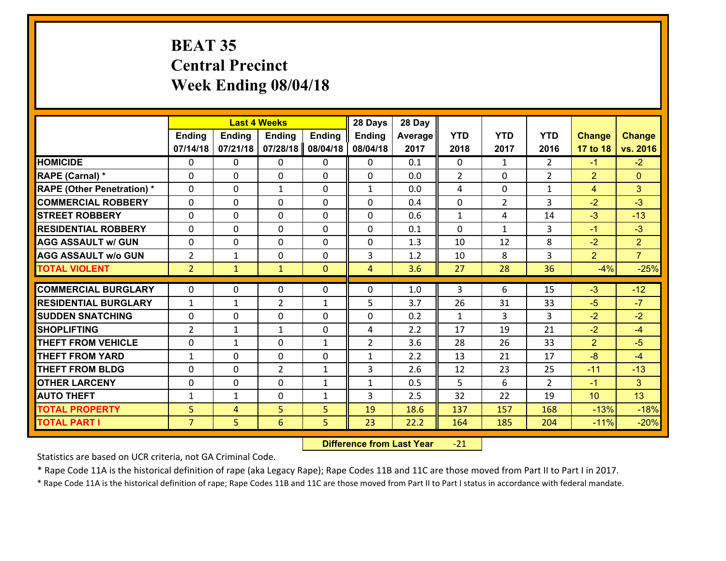# **BEAT 35 Central Precinct Week Ending 08/04/18**

|                                   |                |               | <b>Last 4 Weeks</b> |               | 28 Days        | 28 Day     |              |                |                |                |                |
|-----------------------------------|----------------|---------------|---------------------|---------------|----------------|------------|--------------|----------------|----------------|----------------|----------------|
|                                   | <b>Ending</b>  | <b>Ending</b> | <b>Ending</b>       | <b>Ending</b> | <b>Ending</b>  | Average    | <b>YTD</b>   | <b>YTD</b>     | <b>YTD</b>     | <b>Change</b>  | <b>Change</b>  |
|                                   | 07/14/18       | 07/21/18      | 07/28/18            | 08/04/18      | 08/04/18       | 2017       | 2018         | 2017           | 2016           | 17 to 18       | vs. 2016       |
| <b>HOMICIDE</b>                   | $\Omega$       | 0             | $\Omega$            | 0             | 0              | 0.1        | $\Omega$     | $\mathbf{1}$   | $\mathcal{L}$  | $-1$           | $-2$           |
| RAPE (Carnal) *                   | 0              | 0             | $\mathbf{0}$        | 0             | 0              | 0.0        | 2            | 0              | $\overline{2}$ | $\overline{2}$ | $\mathbf{0}$   |
| <b>RAPE (Other Penetration) *</b> | $\Omega$       | 0             | $\mathbf{1}$        | $\Omega$      | $\mathbf{1}$   | 0.0        | 4            | $\Omega$       | $\mathbf{1}$   | 4              | 3              |
| <b>COMMERCIAL ROBBERY</b>         | 0              | 0             | 0                   | 0             | 0              | 0.4        | $\mathbf 0$  | $\overline{2}$ | 3              | $-2$           | $-3$           |
| <b>STREET ROBBERY</b>             | $\Omega$       | 0             | $\mathbf 0$         | 0             | 0              | 0.6        | $\mathbf{1}$ | 4              | 14             | $-3$           | $-13$          |
| <b>RESIDENTIAL ROBBERY</b>        | $\Omega$       | $\Omega$      | $\mathbf 0$         | $\Omega$      | 0              | 0.1        | $\Omega$     | $\mathbf{1}$   | 3              | $-1$           | $-3$           |
| <b>AGG ASSAULT w/ GUN</b>         | 0              | 0             | $\mathbf 0$         | $\Omega$      | 0              | 1.3        | 10           | 12             | 8              | $-2$           | $\overline{2}$ |
| <b>AGG ASSAULT w/o GUN</b>        | $\overline{2}$ | 1             | $\mathbf 0$         | 0             | 3              | 1.2        | 10           | 8              | 3              | $\overline{2}$ | $\overline{7}$ |
| <b>TOTAL VIOLENT</b>              | 2 <sup>1</sup> | $\mathbf{1}$  | $\mathbf{1}$        | $\mathbf{0}$  | $\overline{4}$ | 3.6        | 27           | 28             | 36             | $-4%$          | $-25%$         |
| <b>COMMERCIAL BURGLARY</b>        | $\Omega$       | 0             | $\mathbf{0}$        | $\Omega$      | $\Omega$       | 1.0        | 3            | 6              | 15             | $-3$           | $-12$          |
|                                   |                |               |                     |               |                |            |              |                |                |                | $-7$           |
| <b>RESIDENTIAL BURGLARY</b>       | $\mathbf{1}$   | 1             | $\overline{2}$      | $\mathbf{1}$  | 5              | 3.7        | 26           | 31             | 33             | $-5$           |                |
| <b>SUDDEN SNATCHING</b>           | 0              | 0             | $\mathbf 0$         | 0             | 0              | 0.2<br>2.2 | $\mathbf{1}$ | 3              | 3<br>21        | $-2$<br>$-2$   | $-2$<br>$-4$   |
| <b>SHOPLIFTING</b>                | $\overline{2}$ | 1             | 1                   | 0             | 4              |            | 17           | 19             |                |                |                |
| <b>THEFT FROM VEHICLE</b>         | 0              | $\mathbf{1}$  | $\mathbf 0$         | $\mathbf{1}$  | $\overline{2}$ | 3.6        | 28           | 26             | 33             | $\overline{2}$ | $-5$           |
| <b>THEFT FROM YARD</b>            | $\mathbf{1}$   | 0             | $\mathbf 0$         | 0             | $\mathbf{1}$   | 2.2        | 13           | 21             | 17             | $-8$           | $-4$           |
| <b>THEFT FROM BLDG</b>            | 0              | 0             | $\overline{2}$      | $\mathbf{1}$  | 3              | 2.6        | 12           | 23             | 25             | $-11$          | $-13$          |
| <b>OTHER LARCENY</b>              | 0              | 0             | $\mathbf 0$         | $\mathbf{1}$  | $\mathbf{1}$   | 0.5        | 5            | 6              | $\overline{2}$ | $-1$           | 3 <sup>1</sup> |
| <b>AUTO THEFT</b>                 | $\mathbf{1}$   | 1             | $\mathbf{0}$        | $\mathbf{1}$  | 3              | 2.5        | 32           | 22             | 19             | 10             | 13             |
| <b>TOTAL PROPERTY</b>             | 5              | 4             | 5                   | 5             | 19             | 18.6       | 137          | 157            | 168            | $-13%$         | $-18%$         |
| <b>TOTAL PART I</b>               | $\overline{7}$ | 5             | 6                   | 5             | 23             | 22.2       | 164          | 185            | 204            | $-11%$         | $-20%$         |

 **Difference from Last Year**r -21

Statistics are based on UCR criteria, not GA Criminal Code.

\* Rape Code 11A is the historical definition of rape (aka Legacy Rape); Rape Codes 11B and 11C are those moved from Part II to Part I in 2017.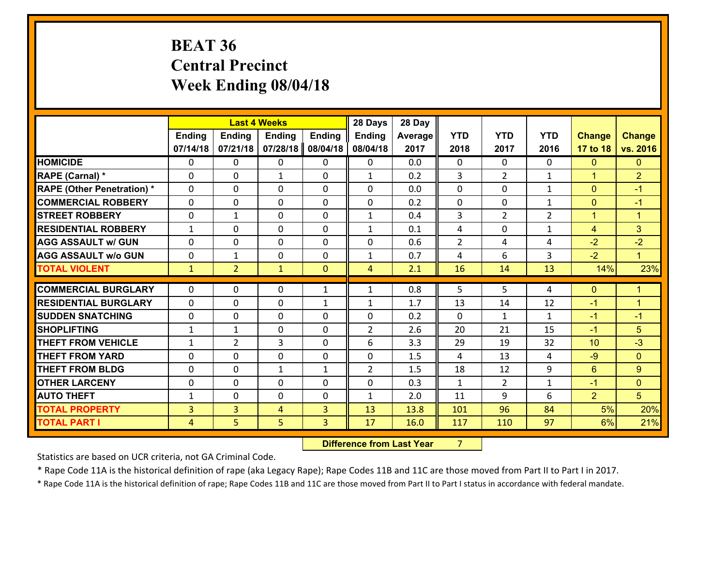# **BEAT 36 Central Precinct Week Ending 08/04/18**

|                                   |                |                | <b>Last 4 Weeks</b> |               | 28 Days        | 28 Day  |                |                |                |                |                |
|-----------------------------------|----------------|----------------|---------------------|---------------|----------------|---------|----------------|----------------|----------------|----------------|----------------|
|                                   | <b>Ending</b>  | <b>Ending</b>  | <b>Ending</b>       | <b>Ending</b> | Ending         | Average | <b>YTD</b>     | <b>YTD</b>     | <b>YTD</b>     | <b>Change</b>  | <b>Change</b>  |
|                                   | 07/14/18       | 07/21/18       | 07/28/18            | 08/04/18      | 08/04/18       | 2017    | 2018           | 2017           | 2016           | 17 to 18       | vs. 2016       |
| <b>HOMICIDE</b>                   | $\Omega$       | 0              | 0                   | 0             | 0              | 0.0     | 0              | $\Omega$       | 0              | $\mathbf{0}$   | $\mathbf{0}$   |
| RAPE (Carnal) *                   | 0              | 0              | 1                   | 0             | $\mathbf{1}$   | 0.2     | 3              | $\overline{2}$ | $\mathbf{1}$   | $\mathbf{1}$   | $\overline{2}$ |
| <b>RAPE (Other Penetration) *</b> | $\Omega$       | 0              | $\mathbf{0}$        | $\Omega$      | $\Omega$       | 0.0     | $\Omega$       | $\Omega$       | $\mathbf{1}$   | $\mathbf{0}$   | $-1$           |
| <b>COMMERCIAL ROBBERY</b>         | $\Omega$       | $\Omega$       | $\mathbf 0$         | $\Omega$      | $\Omega$       | 0.2     | $\Omega$       | $\Omega$       | $\mathbf{1}$   | $\mathbf{0}$   | $-1$           |
| <b>STREET ROBBERY</b>             | 0              | 1              | $\mathbf 0$         | 0             | $\mathbf{1}$   | 0.4     | 3              | $\overline{2}$ | $\overline{2}$ | $\mathbf{1}$   | $\mathbf{1}$   |
| <b>RESIDENTIAL ROBBERY</b>        | $\mathbf{1}$   | $\Omega$       | $\mathbf 0$         | $\Omega$      | $\mathbf{1}$   | 0.1     | 4              | $\Omega$       | $\mathbf{1}$   | $\overline{4}$ | 3              |
| <b>AGG ASSAULT w/ GUN</b>         | 0              | 0              | $\mathbf 0$         | 0             | 0              | 0.6     | $\overline{2}$ | 4              | 4              | $-2$           | $-2$           |
| <b>AGG ASSAULT w/o GUN</b>        | 0              | $\mathbf 1$    | $\mathbf 0$         | 0             | $\mathbf{1}$   | 0.7     | 4              | 6              | 3              | $-2$           | $\mathbf{1}$   |
| <b>TOTAL VIOLENT</b>              | $\mathbf{1}$   | $\overline{2}$ | $\mathbf{1}$        | $\mathbf{0}$  | $\overline{4}$ | 2.1     | 16             | 14             | 13             | 14%            | 23%            |
|                                   |                |                |                     |               |                |         |                |                |                |                |                |
|                                   |                |                |                     |               |                |         |                |                |                |                |                |
| <b>COMMERCIAL BURGLARY</b>        | 0              | 0              | $\mathbf{0}$        | $\mathbf{1}$  | $\mathbf{1}$   | 0.8     | 5              | 5              | 4              | $\mathbf{0}$   | 1              |
| <b>RESIDENTIAL BURGLARY</b>       | $\Omega$       | 0              | $\mathbf{0}$        | $\mathbf{1}$  | $\mathbf{1}$   | 1.7     | 13             | 14             | 12             | $-1$           | $\overline{1}$ |
| <b>SUDDEN SNATCHING</b>           | 0              | 0              | $\mathbf{0}$        | $\Omega$      | $\Omega$       | 0.2     | $\Omega$       | $\mathbf{1}$   | $\mathbf{1}$   | $-1$           | $-1$           |
| <b>SHOPLIFTING</b>                | $\mathbf{1}$   | $\mathbf{1}$   | $\mathbf{0}$        | 0             | $\overline{2}$ | 2.6     | 20             | 21             | 15             | $-1$           | 5              |
| <b>THEFT FROM VEHICLE</b>         | 1              | $\overline{2}$ | 3                   | $\Omega$      | 6              | 3.3     | 29             | 19             | 32             | 10             | $-3$           |
| <b>THEFT FROM YARD</b>            | 0              | 0              | $\mathbf 0$         | 0             | 0              | 1.5     | 4              | 13             | 4              | $-9$           | $\mathbf{0}$   |
| <b>THEFT FROM BLDG</b>            | $\Omega$       | 0              | $\mathbf{1}$        | $\mathbf{1}$  | $\overline{2}$ | 1.5     | 18             | 12             | 9              | 6              | 9              |
| <b>OTHER LARCENY</b>              | 0              | 0              | $\mathbf{0}$        | $\Omega$      | 0              | 0.3     | $\mathbf{1}$   | $\overline{2}$ | $\mathbf{1}$   | $-1$           | $\mathbf{0}$   |
| <b>AUTO THEFT</b>                 | $\mathbf{1}$   | 0              | $\mathbf{0}$        | $\Omega$      | $\mathbf{1}$   | 2.0     | 11             | 9              | 6              | $\overline{2}$ | 5 <sup>5</sup> |
| <b>TOTAL PROPERTY</b>             | 3              | $\overline{3}$ | 4                   | 3             | 13             | 13.8    | 101            | 96             | 84             | 5%             | 20%            |
| <b>TOTAL PART I</b>               | $\overline{4}$ | 5.             | 5                   | 3             | 17             | 16.0    | 117            | 110            | 97             | 6%             | 21%            |

**12. Difference from Last Year 7**  $7 \quad \blacksquare$ 

Statistics are based on UCR criteria, not GA Criminal Code.

\* Rape Code 11A is the historical definition of rape (aka Legacy Rape); Rape Codes 11B and 11C are those moved from Part II to Part I in 2017.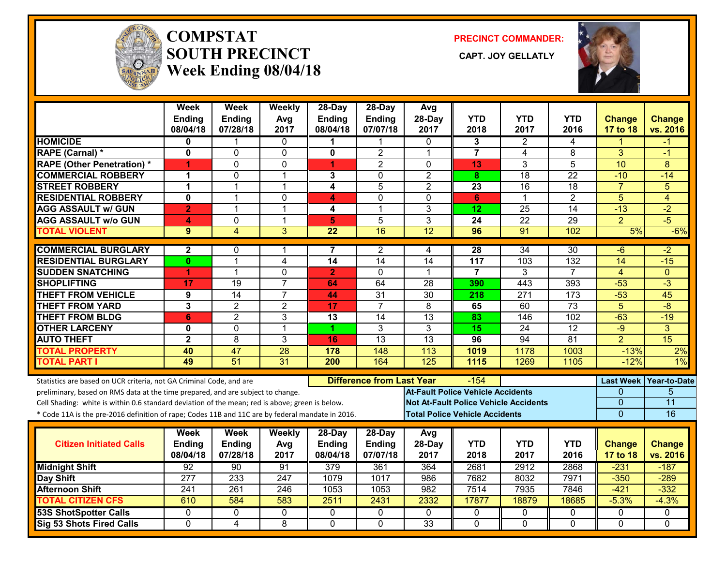

#### **COMPSTATSOUTH PRECINCT** CAPT. JOY GELLATLY **Week Ending 08/04/18**

**PRECINCT COMMANDER:**



|                                                                                                  | <b>Week</b><br><b>Ending</b> | <b>Week</b><br><b>Ending</b> | Weekly<br>Avg   | 28-Day<br><b>Ending</b> | $28-Day$<br><b>Ending</b>        | Avg<br>28-Day   | <b>YTD</b>                               | <b>YTD</b>                                   | <b>YTD</b>      | <b>Change</b>    | <b>Change</b>       |
|--------------------------------------------------------------------------------------------------|------------------------------|------------------------------|-----------------|-------------------------|----------------------------------|-----------------|------------------------------------------|----------------------------------------------|-----------------|------------------|---------------------|
|                                                                                                  | 08/04/18                     | 07/28/18                     | 2017            | 08/04/18                | 07/07/18                         | 2017            | 2018                                     | 2017                                         | 2016            | 17 to 18         | vs. 2016            |
| <b>HOMICIDE</b>                                                                                  | 0                            |                              | $\Omega$        | 1                       | 1                                | $\Omega$        | 3                                        | 2                                            | 4               |                  | -1                  |
| <b>RAPE (Carnal) *</b>                                                                           | $\mathbf 0$                  | 0                            | 0               | 0                       | $\overline{2}$                   | 1               | $\overline{7}$                           | 4                                            | 8               | 3                | -1                  |
| <b>RAPE (Other Penetration) *</b>                                                                | 1                            | 0                            | $\mathbf 0$     | 1                       | $\overline{2}$                   | $\Omega$        | 13                                       | 3                                            | $\overline{5}$  | 10               | 8                   |
| <b>COMMERCIAL ROBBERY</b>                                                                        | 1                            | 0                            | $\mathbf 1$     | 3                       | $\mathbf{0}$                     | $\overline{2}$  | 8                                        | $\overline{18}$                              | $\overline{22}$ | $-10$            | $-14$               |
| <b>STREET ROBBERY</b>                                                                            | $\mathbf{1}$                 | 1                            | $\overline{1}$  | 4                       | 5                                | $\overline{2}$  | 23                                       | 16                                           | 18              | $\overline{7}$   | 5                   |
| <b>RESIDENTIAL ROBBERY</b>                                                                       | $\mathbf 0$                  | 1                            | 0               | 4                       | $\mathbf{0}$                     | $\Omega$        | 6                                        | $\mathbf 1$                                  | $\overline{2}$  | 5                | 4                   |
| <b>AGG ASSAULT w/ GUN</b>                                                                        | $\overline{2}$               | $\mathbf{1}$                 | $\overline{1}$  | 4                       | 1                                | 3               | 12                                       | $\overline{25}$                              | $\overline{14}$ | $-13$            | $-2$                |
| <b>AGG ASSAULT w/o GUN</b>                                                                       | 4                            | 0                            | $\mathbf{1}$    | $\overline{5}$          | 5                                | 3               | 24                                       | $\overline{22}$                              | 29              | $\overline{2}$   | $-5$                |
| <b>TOTAL VIOLENT</b>                                                                             | 9                            | 4                            | 3               | $\overline{22}$         | 16                               | $\overline{12}$ | 96                                       | 91                                           | 102             | 5%               | $-6%$               |
| <b>COMMERCIAL BURGLARY</b>                                                                       | $\mathbf{2}$                 | 0                            | 1               | 7                       | 2                                | 4               | 28                                       | 34                                           | 30              | -6               | $-2$                |
| <b>RESIDENTIAL BURGLARY</b>                                                                      | 0                            | $\mathbf{1}$                 | $\overline{4}$  | 14                      | $\overline{14}$                  | $\overline{14}$ | 117                                      | 103                                          | 132             | $\overline{14}$  | $-15$               |
| <b>SUDDEN SNATCHING</b>                                                                          | 1                            | $\mathbf{1}$                 | $\mathbf 0$     | $\overline{2}$          | $\Omega$                         | $\mathbf 1$     | $\overline{7}$                           | 3                                            | $\overline{7}$  | $\overline{4}$   | $\Omega$            |
| <b>SHOPLIFTING</b>                                                                               | 17                           | 19                           | $\overline{7}$  | 64                      | 64                               | 28              | 390                                      | 443                                          | 393             | $-53$            | $-3$                |
| <b>THEFT FROM VEHICLE</b>                                                                        | 9                            | 14                           | $\overline{7}$  | 44                      | 31                               | 30              | 218                                      | 271                                          | 173             | $-53$            | 45                  |
| <b>THEFT FROM YARD</b>                                                                           | $\overline{\mathbf{3}}$      | $\overline{2}$               | $\overline{2}$  | $\overline{17}$         | $\overline{7}$                   | $\overline{8}$  | 65                                       | 60                                           | 73              | $\overline{5}$   | $-8$                |
| <b>THEFT FROM BLDG</b>                                                                           | $6\phantom{1}6$              | $\overline{2}$               | 3               | 13                      | 14                               | 13              | 83                                       | 146                                          | 102             | $-63$            | $-19$               |
| <b>OTHER LARCENY</b>                                                                             | $\mathbf 0$                  | $\overline{0}$               | $\overline{1}$  | 1                       | 3                                | $\overline{3}$  | 15                                       | 24                                           | 12              | $-9$             | $\overline{3}$      |
| <b>AUTO THEFT</b>                                                                                | $\mathbf{2}$                 | 8                            | $\mathbf{3}$    | 16                      | 13                               | 13              | 96                                       | 94                                           | $\overline{81}$ | $\overline{2}$   | $\overline{15}$     |
| <b>TOTAL PROPERTY</b>                                                                            | 40                           | $\overline{47}$              | 28              | 178                     | 148                              | 113             | 1019                                     | 1178                                         | 1003            | $-13%$           | 2%                  |
| <b>TOTAL PART I</b>                                                                              | 49                           | $\overline{51}$              | $\overline{31}$ | 200                     | 164                              | 125             | 1115                                     | 1269                                         | 1105            | $-12%$           | $1\%$               |
| Statistics are based on UCR criteria, not GA Criminal Code, and are                              |                              |                              |                 |                         | <b>Difference from Last Year</b> |                 | -154                                     |                                              |                 | <b>Last Week</b> | <b>Year-to-Date</b> |
| preliminary, based on RMS data at the time prepared, and are subject to change.                  |                              |                              |                 |                         |                                  |                 | <b>At-Fault Police Vehicle Accidents</b> |                                              |                 | 0                | 5                   |
| Cell Shading: white is within 0.6 standard deviation of the mean; red is above; green is below.  |                              |                              |                 |                         |                                  |                 |                                          | <b>Not At-Fault Police Vehicle Accidents</b> |                 | 0                | 11                  |
| * Code 11A is the pre-2016 definition of rape; Codes 11B and 11C are by federal mandate in 2016. |                              |                              |                 |                         |                                  |                 | <b>Total Police Vehicle Accidents</b>    |                                              |                 | $\overline{0}$   | 16                  |
|                                                                                                  | Week                         | <b>Week</b>                  | Weekly          | 28-Day                  | $28-Day$                         | Avg             |                                          |                                              |                 |                  |                     |
| <b>Citizen Initiated Calls</b>                                                                   | Ending                       | Ending                       | Avg             | <b>Ending</b>           | <b>Ending</b>                    | 28-Day          | <b>YTD</b>                               | YTD                                          | YTD             | <b>Change</b>    | <b>Change</b>       |
|                                                                                                  | 08/04/18                     | 07/28/18                     | 2017            | 08/04/18                | 07/07/18                         | 2017            | 2018                                     | 2017                                         | 2016            | <b>17 to 18</b>  | vs. 2016            |
| <b>Midnight Shift</b>                                                                            | 92                           | 90                           | 91              | 379                     | 361                              | 364             | 2681                                     | 2912                                         | 2868            | $-231$           | $-187$              |
| Day Shift                                                                                        | 277                          | 233                          | 247             | 1079                    | 1017                             | 986             | 7682                                     | 8032                                         | 7971            | $-350$           | $-289$              |
| <b>Afternoon Shift</b>                                                                           | 241                          | 261                          | 246             | 1053                    | 1053                             | 982             | 7514                                     | 7935                                         | 7846            | $-421$           | $-332$              |
| <b>TOTAL CITIZEN CFS</b>                                                                         | 610                          | 584                          | 583             | 2511                    | 2431                             | 2332            | 17877                                    | 18879                                        | 18685           | $-5.3%$          | $-4.3%$             |
| <b>53S ShotSpotter Calls</b>                                                                     | 0                            | 0                            | 0               | 0                       | 0                                | $\Omega$        | 0                                        | 0                                            | 0               | 0                | $\mathbf{0}$        |
| Sig 53 Shots Fired Calls                                                                         | $\mathbf{0}$                 | 4                            | $\overline{8}$  | $\Omega$                | $\Omega$                         | 33              | $\Omega$                                 | $\Omega$                                     | $\Omega$        | $\Omega$         | $\Omega$            |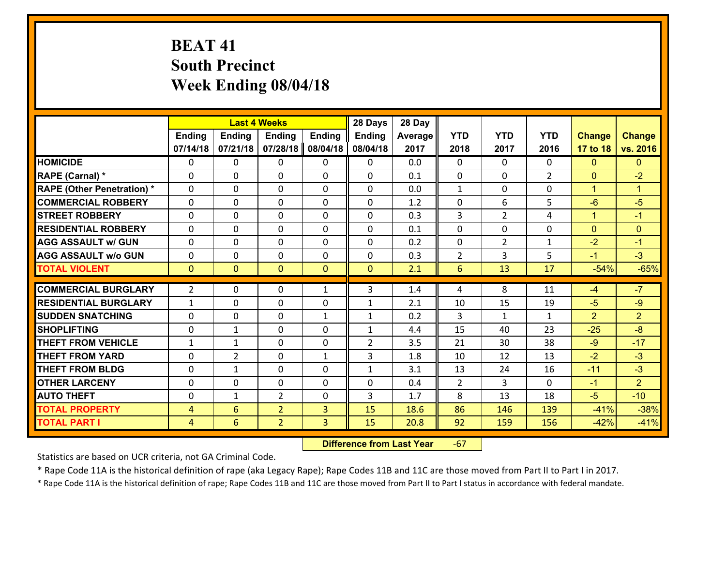# **BEAT 41 South Precinct Week Ending 08/04/18**

|                                   |                | <b>Last 4 Weeks</b> |                |               | 28 Days        | 28 Day  |                |                |                    |                |                        |
|-----------------------------------|----------------|---------------------|----------------|---------------|----------------|---------|----------------|----------------|--------------------|----------------|------------------------|
|                                   | <b>Ending</b>  | <b>Ending</b>       | <b>Ending</b>  | <b>Ending</b> | <b>Ending</b>  | Average | <b>YTD</b>     | <b>YTD</b>     | <b>YTD</b>         | <b>Change</b>  | <b>Change</b>          |
|                                   | 07/14/18       | 07/21/18            | 07/28/18       | 08/04/18      | 08/04/18       | 2017    | 2018           | 2017           | 2016               | 17 to 18       | vs. 2016               |
| <b>HOMICIDE</b>                   | $\Omega$       | 0                   | $\Omega$       | 0             | $\Omega$       | 0.0     | $\Omega$       | $\Omega$       | 0                  | $\mathbf{0}$   | $\mathbf{0}$           |
| RAPE (Carnal) *                   | 0              | 0                   | $\mathbf{0}$   | 0             | $\Omega$       | 0.1     | $\mathbf{0}$   | 0              | $\overline{2}$     | $\mathbf{0}$   | $-2$                   |
| <b>RAPE (Other Penetration) *</b> | $\Omega$       | 0                   | $\mathbf{0}$   | $\Omega$      | $\Omega$       | 0.0     | $\mathbf{1}$   | $\Omega$       | $\Omega$           | $\mathbf{1}$   | $\blacktriangleleft$   |
| <b>COMMERCIAL ROBBERY</b>         | 0              | 0                   | 0              | 0             | $\Omega$       | 1.2     | $\mathbf{0}$   | 6              | 5                  | $-6$           | $-5$                   |
| <b>STREET ROBBERY</b>             | $\Omega$       | 0                   | $\mathbf 0$    | $\Omega$      | 0              | 0.3     | $\overline{3}$ | $\overline{2}$ | 4                  | $\mathbf{1}$   | $-1$                   |
| <b>RESIDENTIAL ROBBERY</b>        | $\Omega$       | $\Omega$            | $\mathbf 0$    | $\Omega$      | 0              | 0.1     | $\Omega$       | $\Omega$       | $\Omega$           | $\overline{0}$ | $\mathbf{0}$           |
| <b>AGG ASSAULT w/ GUN</b>         | $\Omega$       | 0                   | $\mathbf 0$    | $\Omega$      | 0              | 0.2     | $\mathbf 0$    | $\overline{2}$ | $\mathbf{1}$       | $-2$           | $-1$                   |
| <b>AGG ASSAULT w/o GUN</b>        | 0              | 0                   | $\mathbf 0$    | 0             | 0              | 0.3     | $\overline{2}$ | 3              | 5                  | $-1$           | $-3$                   |
| <b>TOTAL VIOLENT</b>              | $\mathbf{0}$   | $\overline{0}$      | $\mathbf{O}$   | $\mathbf{0}$  | $\mathbf{0}$   | 2.1     | $6\phantom{1}$ | 13             | 17                 | $-54%$         | $-65%$                 |
| <b>COMMERCIAL BURGLARY</b>        | $\overline{2}$ | 0                   | $\mathbf{0}$   | $\mathbf{1}$  | 3              | 1.4     | 4              | 8              | 11                 | $-4$           | $-7$                   |
|                                   |                |                     |                |               |                |         |                |                |                    |                |                        |
| <b>RESIDENTIAL BURGLARY</b>       | $\mathbf{1}$   | 0                   | $\mathbf 0$    | 0             | $\mathbf{1}$   | 2.1     | 10             | 15             | 19                 | $-5$           | $-9$                   |
| <b>SUDDEN SNATCHING</b>           | 0              | 0                   | $\mathbf 0$    | $\mathbf{1}$  | $\mathbf{1}$   | 0.2     | 3              | $\mathbf{1}$   | $\mathbf{1}$<br>23 | $\overline{2}$ | $\overline{2}$<br>$-8$ |
| <b>SHOPLIFTING</b>                | 0              | 1                   | $\mathbf 0$    | 0             | $\mathbf{1}$   | 4.4     | 15             | 40             |                    | $-25$          |                        |
| <b>THEFT FROM VEHICLE</b>         | $\mathbf{1}$   | $\mathbf{1}$        | $\mathbf 0$    | 0             | $\overline{2}$ | 3.5     | 21             | 30             | 38                 | $-9$           | $-17$                  |
| <b>THEFT FROM YARD</b>            | 0              | $\overline{2}$      | $\mathbf 0$    | $\mathbf{1}$  | 3              | 1.8     | 10             | 12             | 13                 | $-2$           | $-3$                   |
| <b>THEFT FROM BLDG</b>            | 0              | 1                   | $\mathbf 0$    | 0             | $\mathbf{1}$   | 3.1     | 13             | 24             | 16                 | $-11$          | $-3$                   |
| <b>OTHER LARCENY</b>              | 0              | 0                   | $\mathbf 0$    | 0             | 0              | 0.4     | 2              | 3              | $\Omega$           | $-1$           | $\overline{2}$         |
| <b>AUTO THEFT</b>                 | $\mathbf{0}$   | 1                   | $\overline{2}$ | 0             | 3              | 1.7     | 8              | 13             | 18                 | $-5$           | $-10$                  |
| <b>TOTAL PROPERTY</b>             | $\overline{4}$ | 6                   | $\overline{2}$ | 3             | 15             | 18.6    | 86             | 146            | 139                | $-41%$         | $-38%$                 |
| <b>TOTAL PART I</b>               | $\overline{4}$ | 6                   | $\overline{2}$ | 3             | 15             | 20.8    | 92             | 159            | 156                | $-42%$         | $-41%$                 |

 **Difference from Last Year**‐67

Statistics are based on UCR criteria, not GA Criminal Code.

\* Rape Code 11A is the historical definition of rape (aka Legacy Rape); Rape Codes 11B and 11C are those moved from Part II to Part I in 2017.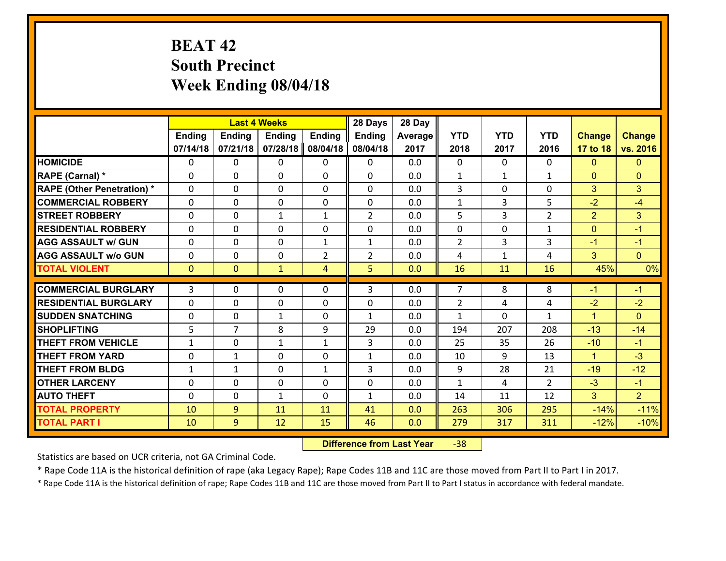# **BEAT 42 South Precinct Week Ending 08/04/18**

|                                              |               |                | <b>Last 4 Weeks</b> |                | 28 Days        | 28 Day     |                |              |                |                  |                  |
|----------------------------------------------|---------------|----------------|---------------------|----------------|----------------|------------|----------------|--------------|----------------|------------------|------------------|
|                                              | <b>Ending</b> | <b>Ending</b>  | Ending              | <b>Ending</b>  | <b>Ending</b>  | Average    | <b>YTD</b>     | <b>YTD</b>   | <b>YTD</b>     | <b>Change</b>    | <b>Change</b>    |
|                                              | 07/14/18      | 07/21/18       | 07/28/18            | 08/04/18       | 08/04/18       | 2017       | 2018           | 2017         | 2016           | 17 to 18         | vs. 2016         |
| <b>HOMICIDE</b>                              | 0             | 0              | $\mathbf{0}$        | 0              | 0              | 0.0        | $\mathbf{0}$   | $\Omega$     | $\Omega$       | $\mathbf{0}$     | $\mathbf{0}$     |
| RAPE (Carnal) *                              | $\Omega$      | 0              | $\mathbf 0$         | $\Omega$       | 0              | 0.0        | 1              | $\mathbf{1}$ | $\mathbf{1}$   | $\mathbf{0}$     | $\mathbf{0}$     |
| <b>RAPE (Other Penetration) *</b>            | $\Omega$      | $\Omega$       | $\mathbf 0$         | $\Omega$       | $\Omega$       | 0.0        | 3              | 0            | $\Omega$       | 3                | 3                |
| <b>COMMERCIAL ROBBERY</b>                    | 0             | 0              | $\mathbf 0$         | 0              | 0              | 0.0        | $\mathbf{1}$   | 3            | 5              | $-2$             | $-4$             |
| <b>STREET ROBBERY</b>                        | $\mathbf{0}$  | 0              | $\mathbf{1}$        | $\mathbf{1}$   | $\overline{2}$ | 0.0        | 5.             | 3            | $\overline{2}$ | $\overline{2}$   | 3                |
| <b>RESIDENTIAL ROBBERY</b>                   | $\Omega$      | 0              | $\mathbf{0}$        | $\Omega$       | 0              | 0.0        | $\Omega$       | 0            | $\mathbf{1}$   | $\mathbf{0}$     | $-1$             |
| <b>AGG ASSAULT w/ GUN</b>                    | $\Omega$      | $\Omega$       | $\mathbf 0$         | $\mathbf{1}$   | $\mathbf{1}$   | 0.0        | $\overline{2}$ | 3            | 3              | $-1$             | $-1$             |
| <b>AGG ASSAULT w/o GUN</b>                   | 0             | 0              | $\mathbf 0$         | $\overline{2}$ | $\overline{2}$ | 0.0        | 4              | $\mathbf{1}$ | 4              | 3                | $\overline{0}$   |
| <b>TOTAL VIOLENT</b>                         | $\mathbf{0}$  | $\mathbf{0}$   | $\mathbf{1}$        | 4              | 5              | 0.0        | 16             | 11           | 16             | 45%              | 0%               |
|                                              |               |                |                     |                |                |            |                |              |                |                  |                  |
|                                              |               |                |                     |                |                |            |                |              |                |                  |                  |
| <b>COMMERCIAL BURGLARY</b>                   | $\mathbf{3}$  | 0              | $\mathbf{0}$        | $\Omega$       | 3              | 0.0        | $\overline{7}$ | 8            | 8              | $-1$             | $-1$             |
| <b>RESIDENTIAL BURGLARY</b>                  | $\mathbf{0}$  | 0              | $\mathbf 0$         | 0              | 0              | 0.0        | $\overline{2}$ | 4            | 4              | $-2$             | $-2$             |
| <b>ISUDDEN SNATCHING</b>                     | $\mathbf{0}$  | 0              | $\mathbf{1}$        | 0              | $\mathbf{1}$   | 0.0        | $\mathbf{1}$   | 0            | $\mathbf{1}$   | $\mathbf{1}$     | $\Omega$         |
| <b>SHOPLIFTING</b>                           | 5             | $\overline{7}$ | 8                   | 9              | 29             | 0.0        | 194            | 207          | 208            | $-13$            | $-14$            |
| <b>THEFT FROM VEHICLE</b>                    | $\mathbf{1}$  | 0              | 1                   | $\mathbf{1}$   | $\mathbf{3}$   | 0.0        | 25             | 35           | 26             | $-10$            | $-1$             |
| <b>THEFT FROM YARD</b>                       | 0             | $\mathbf{1}$   | $\mathbf 0$         | $\Omega$       | $\mathbf{1}$   | 0.0        | 10             | 9            | 13             | $\mathbf{1}$     | $-3$             |
| <b>THEFT FROM BLDG</b>                       | $\mathbf{1}$  | $\mathbf{1}$   | 0                   | $\mathbf{1}$   | 3              | 0.0        | 9              | 28           | 21             | $-19$            | $-12$            |
| <b>OTHER LARCENY</b>                         | 0<br>$\Omega$ | 0              | $\mathbf 0$         | 0<br>$\Omega$  | 0              | 0.0        | $\mathbf{1}$   | 4            | $\overline{2}$ | $-3$             | $-1$             |
| <b>AUTO THEFT</b>                            |               | 0              | $\mathbf{1}$        |                | $\mathbf{1}$   | 0.0        | 14             | 11           | 12             | 3                | $\overline{2}$   |
| <b>TOTAL PROPERTY</b><br><b>TOTAL PART I</b> | 10<br>10      | 9<br>9         | 11<br>12            | 11<br>15       | 41<br>46       | 0.0<br>0.0 | 263<br>279     | 306<br>317   | 295<br>311     | $-14%$<br>$-12%$ | $-11%$<br>$-10%$ |

 **Difference from Last Year**‐38

Statistics are based on UCR criteria, not GA Criminal Code.

\* Rape Code 11A is the historical definition of rape (aka Legacy Rape); Rape Codes 11B and 11C are those moved from Part II to Part I in 2017.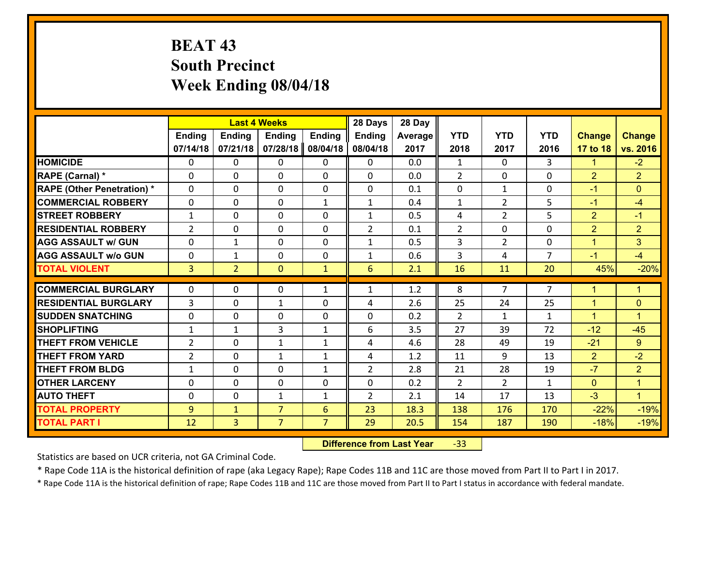# **BEAT 43 South Precinct Week Ending 08/04/18**

|                                   |                |                | <b>Last 4 Weeks</b> |                | 28 Days        | 28 Day  |                |                |                |                |                      |
|-----------------------------------|----------------|----------------|---------------------|----------------|----------------|---------|----------------|----------------|----------------|----------------|----------------------|
|                                   | <b>Ending</b>  | <b>Ending</b>  | <b>Ending</b>       | <b>Ending</b>  | <b>Ending</b>  | Average | <b>YTD</b>     | <b>YTD</b>     | <b>YTD</b>     | <b>Change</b>  | <b>Change</b>        |
|                                   | 07/14/18       | 07/21/18       | 07/28/18            | 08/04/18       | 08/04/18       | 2017    | 2018           | 2017           | 2016           | 17 to 18       | vs. 2016             |
| <b>HOMICIDE</b>                   | 0              | 0              | 0                   | 0              | 0              | 0.0     | $\mathbf{1}$   | $\Omega$       | 3              | $\mathbf{1}$   | $-2$                 |
| RAPE (Carnal) *                   | 0              | 0              | $\mathbf{0}$        | 0              | $\Omega$       | 0.0     | 2              | 0              | $\Omega$       | $\overline{2}$ | $\overline{2}$       |
| <b>RAPE (Other Penetration) *</b> | $\Omega$       | 0              | $\Omega$            | $\Omega$       | $\Omega$       | 0.1     | $\Omega$       | $\mathbf{1}$   | $\Omega$       | $-1$           | $\Omega$             |
| <b>COMMERCIAL ROBBERY</b>         | 0              | $\Omega$       | $\mathbf 0$         | $\mathbf{1}$   | $\mathbf{1}$   | 0.4     | $\mathbf{1}$   | $\overline{2}$ | 5              | $-1$           | $-4$                 |
| <b>STREET ROBBERY</b>             | $\mathbf{1}$   | 0              | $\mathbf 0$         | 0              | $\mathbf{1}$   | 0.5     | 4              | $\overline{2}$ | 5              | $\overline{2}$ | $-1$                 |
| <b>RESIDENTIAL ROBBERY</b>        | $\overline{2}$ | 0              | $\mathbf 0$         | 0              | $\overline{2}$ | 0.1     | $\overline{2}$ | 0              | 0              | $\overline{2}$ | $\overline{2}$       |
| <b>AGG ASSAULT w/ GUN</b>         | 0              | $\mathbf{1}$   | $\mathbf 0$         | 0              | $\mathbf{1}$   | 0.5     | $\overline{3}$ | $\overline{2}$ | 0              | $\mathbf{1}$   | 3                    |
| <b>AGG ASSAULT w/o GUN</b>        | 0              | $\mathbf{1}$   | $\mathbf 0$         | 0              | $\mathbf{1}$   | 0.6     | $\mathbf{3}$   | 4              | $\overline{7}$ | $-1$           | $-4$                 |
| <b>TOTAL VIOLENT</b>              | 3 <sup>1</sup> | $\overline{2}$ | $\mathbf{0}$        | $\mathbf{1}$   | 6              | 2.1     | 16             | 11             | 20             | 45%            | $-20%$               |
|                                   |                |                |                     |                |                |         |                |                |                |                |                      |
| <b>COMMERCIAL BURGLARY</b>        | $\Omega$       | 0              | 0                   | $\mathbf{1}$   | 1              | 1.2     | 8              | $\overline{7}$ | $\overline{7}$ | $\mathbf 1$    | $\mathbf{1}$         |
| <b>RESIDENTIAL BURGLARY</b>       | 3              | 0              | 1                   | $\Omega$       | 4              | 2.6     | 25             | 24             | 25             | $\mathbf{1}$   | $\mathbf{0}$         |
| <b>SUDDEN SNATCHING</b>           | $\Omega$       | 0              | $\mathbf 0$         | $\Omega$       | 0              | 0.2     | $\overline{2}$ | $\mathbf{1}$   | $\mathbf{1}$   | $\mathbf{1}$   | $\blacktriangleleft$ |
| <b>SHOPLIFTING</b>                | $\mathbf{1}$   | 1              | 3                   | $\mathbf{1}$   | 6              | 3.5     | 27             | 39             | 72             | $-12$          | $-45$                |
| <b>THEFT FROM VEHICLE</b>         | $\overline{2}$ | 0              | 1                   | $\mathbf{1}$   | 4              | 4.6     | 28             | 49             | 19             | $-21$          | $9^{\circ}$          |
| <b>THEFT FROM YARD</b>            | $\overline{2}$ | 0              | 1                   | $\mathbf{1}$   | 4              | 1.2     | 11             | 9              | 13             | $\overline{2}$ | $-2$                 |
| <b>THEFT FROM BLDG</b>            | $\mathbf{1}$   | 0              | $\mathbf 0$         | $\mathbf{1}$   | $\overline{2}$ | 2.8     | 21             | 28             | 19             | $-7$           | $\overline{2}$       |
| <b>OTHER LARCENY</b>              | 0              | 0              | $\mathbf 0$         | 0              | 0              | 0.2     | 2              | $\overline{2}$ | $\mathbf{1}$   | $\mathbf{0}$   | $\mathbf{1}$         |
| <b>AUTO THEFT</b>                 | 0              | 0              | 1                   | $\mathbf{1}$   | $\overline{2}$ | 2.1     | 14             | 17             | 13             | $-3$           | $\blacktriangleleft$ |
| <b>TOTAL PROPERTY</b>             | 9              | $\mathbf{1}$   | $\overline{7}$      | 6              | 23             | 18.3    | 138            | 176            | 170            | $-22%$         | $-19%$               |
| <b>TOTAL PART I</b>               | 12             | $\overline{3}$ | $\overline{7}$      | $\overline{7}$ | 29             | 20.5    | 154            | 187            | 190            | $-18%$         | $-19%$               |

 **Difference from Last Year**‐33

Statistics are based on UCR criteria, not GA Criminal Code.

\* Rape Code 11A is the historical definition of rape (aka Legacy Rape); Rape Codes 11B and 11C are those moved from Part II to Part I in 2017.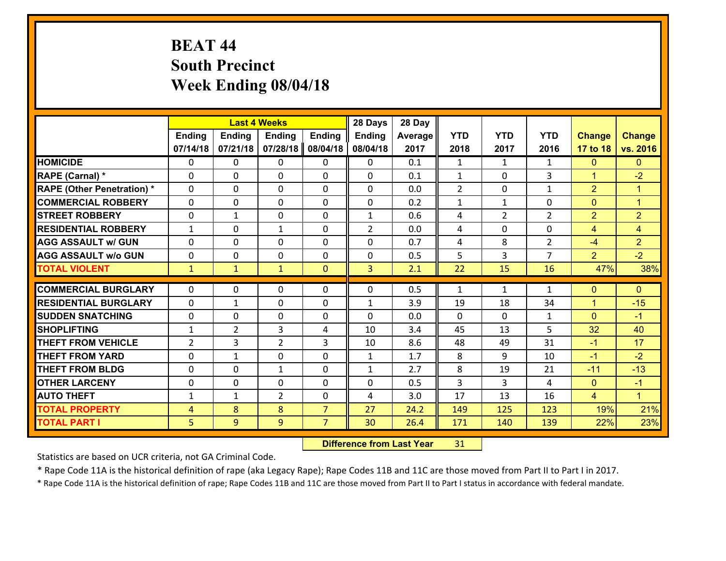# **BEAT 44 South Precinct Week Ending 08/04/18**

|                                   |                |                | <b>Last 4 Weeks</b> |                | 28 Days        | 28 Day  |              |                |                |                |                      |
|-----------------------------------|----------------|----------------|---------------------|----------------|----------------|---------|--------------|----------------|----------------|----------------|----------------------|
|                                   | <b>Ending</b>  | Ending         | <b>Ending</b>       | <b>Ending</b>  | Ending         | Average | <b>YTD</b>   | <b>YTD</b>     | <b>YTD</b>     | <b>Change</b>  | <b>Change</b>        |
|                                   | 07/14/18       | 07/21/18       | 07/28/18            | 08/04/18       | 08/04/18       | 2017    | 2018         | 2017           | 2016           | 17 to 18       | vs. 2016             |
| <b>HOMICIDE</b>                   | $\Omega$       | 0              | $\mathbf{0}$        | 0              | 0              | 0.1     | 1            | $\mathbf{1}$   | $\mathbf{1}$   | $\mathbf{0}$   | $\mathbf{0}$         |
| RAPE (Carnal) *                   | 0              | 0              | $\mathbf{0}$        | 0              | 0              | 0.1     | $\mathbf{1}$ | 0              | 3              | $\mathbf{1}$   | $-2$                 |
| <b>RAPE (Other Penetration) *</b> | $\Omega$       | 0              | $\mathbf{0}$        | $\Omega$       | 0              | 0.0     | 2            | $\Omega$       | $\mathbf{1}$   | $\overline{2}$ | $\blacktriangleleft$ |
| <b>COMMERCIAL ROBBERY</b>         | $\Omega$       | 0              | 0                   | $\Omega$       | 0              | 0.2     | $\mathbf{1}$ | $\mathbf{1}$   | 0              | $\mathbf{0}$   | $\mathbf{1}$         |
| <b>STREET ROBBERY</b>             | 0              | 1              | $\mathbf 0$         | 0              | $\mathbf{1}$   | 0.6     | 4            | $\overline{2}$ | $\overline{2}$ | $\overline{2}$ | $\overline{2}$       |
| <b>RESIDENTIAL ROBBERY</b>        | $\mathbf{1}$   | 0              | 1                   | 0              | $\overline{2}$ | 0.0     | 4            | $\mathbf 0$    | 0              | 4              | $\overline{4}$       |
| <b>AGG ASSAULT w/ GUN</b>         | $\Omega$       | 0              | $\mathbf 0$         | $\Omega$       | 0              | 0.7     | 4            | 8              | $\overline{2}$ | $-4$           | $\overline{2}$       |
| <b>AGG ASSAULT w/o GUN</b>        | 0              | 0              | $\mathbf 0$         | 0              | 0              | 0.5     | 5            | 3              | $\overline{7}$ | 2              | $-2$                 |
| <b>TOTAL VIOLENT</b>              | $\mathbf{1}$   | $\mathbf{1}$   | $\mathbf{1}$        | $\mathbf{0}$   | $\overline{3}$ | 2.1     | 22           | 15             | 16             | 47%            | 38%                  |
| <b>COMMERCIAL BURGLARY</b>        | $\Omega$       | 0              | 0                   | 0              | $\Omega$       | 0.5     | 1            | $\mathbf{1}$   | $\mathbf{1}$   | $\mathbf 0$    | $\mathbf{0}$         |
|                                   |                |                |                     |                |                |         |              |                |                |                |                      |
| <b>RESIDENTIAL BURGLARY</b>       | $\Omega$       | 1              | $\mathbf{0}$        | 0              | 1              | 3.9     | 19           | 18             | 34             | $\mathbf{1}$   | $-15$                |
| <b>SUDDEN SNATCHING</b>           | 0              | 0              | $\mathbf{0}$        | 0              | $\Omega$       | 0.0     | $\Omega$     | $\Omega$       | $\mathbf{1}$   | $\mathbf{0}$   | $-1$                 |
| <b>ISHOPLIFTING</b>               | $\mathbf{1}$   | $\overline{2}$ | 3                   | 4              | 10             | 3.4     | 45           | 13             | 5.             | 32             | 40                   |
| <b>THEFT FROM VEHICLE</b>         | $\overline{2}$ | 3              | $\overline{2}$      | 3              | 10             | 8.6     | 48           | 49             | 31             | $-1$           | 17                   |
| <b>THEFT FROM YARD</b>            | 0              | 1              | $\mathbf 0$         | $\Omega$       | $\mathbf{1}$   | 1.7     | 8            | 9              | 10             | $-1$           | $-2$                 |
| <b>THEFT FROM BLDG</b>            | $\Omega$       | 0              | 1                   | $\Omega$       | $\mathbf{1}$   | 2.7     | 8            | 19             | 21             | $-11$          | $-13$                |
| <b>OTHER LARCENY</b>              | 0              | 0              | $\mathbf 0$         | $\Omega$       | 0              | 0.5     | 3            | 3              | 4              | $\mathbf{0}$   | $-1$                 |
| <b>AUTO THEFT</b>                 | $\mathbf{1}$   | 1              | $\overline{2}$      | 0              | 4              | 3.0     | 17           | 13             | 16             | 4              | $\mathbf{1}$         |
| <b>TOTAL PROPERTY</b>             | $\overline{4}$ | 8              | 8                   | $\overline{7}$ | 27             | 24.2    | 149          | 125            | 123            | 19%            | 21%                  |
|                                   |                |                |                     |                |                |         |              |                |                |                |                      |

 **Difference from Last Year**r 31

Statistics are based on UCR criteria, not GA Criminal Code.

\* Rape Code 11A is the historical definition of rape (aka Legacy Rape); Rape Codes 11B and 11C are those moved from Part II to Part I in 2017.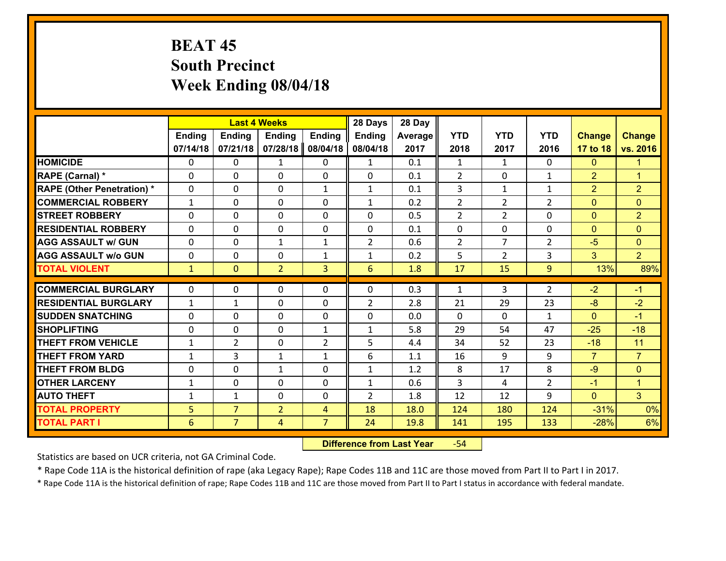# **BEAT 45 South Precinct Week Ending 08/04/18**

|                                   |               |                | <b>Last 4 Weeks</b> |                | 28 Days        | 28 Day  |                |                |                |                |                      |
|-----------------------------------|---------------|----------------|---------------------|----------------|----------------|---------|----------------|----------------|----------------|----------------|----------------------|
|                                   | <b>Ending</b> | <b>Ending</b>  | <b>Ending</b>       | <b>Ending</b>  | <b>Ending</b>  | Average | <b>YTD</b>     | <b>YTD</b>     | <b>YTD</b>     | <b>Change</b>  | <b>Change</b>        |
|                                   | 07/14/18      | 07/21/18       | 07/28/18            | 08/04/18       | 08/04/18       | 2017    | 2018           | 2017           | 2016           | 17 to 18       | vs. 2016             |
| <b>HOMICIDE</b>                   | $\Omega$      | 0              | 1                   | 0              | $\mathbf{1}$   | 0.1     | 1              | $\mathbf{1}$   | 0              | $\mathbf{0}$   | 1                    |
| RAPE (Carnal) *                   | 0             | 0              | $\mathbf{0}$        | 0              | $\Omega$       | 0.1     | 2              | 0              | $\mathbf{1}$   | $\overline{2}$ | $\blacktriangleleft$ |
| <b>RAPE (Other Penetration) *</b> | $\Omega$      | 0              | $\mathbf{0}$        | $\mathbf{1}$   | $\mathbf{1}$   | 0.1     | 3              | $\mathbf{1}$   | $\mathbf{1}$   | $\overline{2}$ | $\overline{2}$       |
| <b>COMMERCIAL ROBBERY</b>         | $\mathbf{1}$  | 0              | 0                   | 0              | $\mathbf{1}$   | 0.2     | $\overline{2}$ | $\overline{2}$ | $\overline{2}$ | $\mathbf{0}$   | $\mathbf{0}$         |
| <b>STREET ROBBERY</b>             | $\Omega$      | 0              | $\mathbf 0$         | 0              | 0              | 0.5     | $\overline{2}$ | $\overline{2}$ | 0              | $\mathbf{0}$   | $\overline{2}$       |
| <b>RESIDENTIAL ROBBERY</b>        | $\Omega$      | $\Omega$       | $\mathbf 0$         | $\Omega$       | 0              | 0.1     | $\mathbf 0$    | 0              | 0              | $\mathbf{0}$   | $\overline{0}$       |
| <b>AGG ASSAULT w/ GUN</b>         | $\Omega$      | 0              | $\mathbf{1}$        | $\mathbf{1}$   | $\overline{2}$ | 0.6     | $\overline{2}$ | $\overline{7}$ | $\overline{2}$ | $-5$           | $\overline{0}$       |
| <b>AGG ASSAULT w/o GUN</b>        | 0             | 0              | $\mathbf 0$         | $\mathbf{1}$   | $\mathbf{1}$   | 0.2     | 5              | $\overline{2}$ | 3              | 3              | 2 <sup>1</sup>       |
| <b>TOTAL VIOLENT</b>              | $\mathbf{1}$  | $\overline{0}$ | $\overline{2}$      | 3              | 6              | 1.8     | 17             | 15             | 9              | 13%            | 89%                  |
| <b>COMMERCIAL BURGLARY</b>        | $\Omega$      | 0              | $\mathbf{0}$        | $\Omega$       | $\Omega$       | 0.3     | $\mathbf{1}$   | 3              | $\overline{2}$ | $-2$           | $-1$                 |
|                                   |               |                |                     |                |                |         |                |                |                |                |                      |
| <b>RESIDENTIAL BURGLARY</b>       | $\mathbf{1}$  | 1              | $\mathbf 0$         | 0              | $\overline{2}$ | 2.8     | 21             | 29             | 23             | $-8$           | $-2$                 |
| <b>SUDDEN SNATCHING</b>           | 0             | 0              | $\mathbf 0$         | 0              | 0              | 0.0     | $\mathbf 0$    | 0              | $\mathbf{1}$   | $\mathbf{0}$   | $-1$                 |
| <b>SHOPLIFTING</b>                | 0             | 0              | $\mathbf 0$         | $\mathbf{1}$   | $\mathbf{1}$   | 5.8     | 29             | 54             | 47             | $-25$          | $-18$                |
| <b>THEFT FROM VEHICLE</b>         | $\mathbf{1}$  | $\overline{2}$ | $\mathbf 0$         | $\overline{2}$ | 5              | 4.4     | 34             | 52             | 23             | $-18$          | 11                   |
| <b>THEFT FROM YARD</b>            | $\mathbf{1}$  | 3              | 1                   | $\mathbf{1}$   | 6              | 1.1     | 16             | 9              | 9              | $\overline{7}$ | $\overline{7}$       |
| <b>THEFT FROM BLDG</b>            | 0             | 0              | 1                   | 0              | $\mathbf{1}$   | 1.2     | 8              | 17             | 8              | $-9$           | $\mathbf{0}$         |
| <b>OTHER LARCENY</b>              | $\mathbf{1}$  | 0              | $\mathbf 0$         | 0              | $\mathbf{1}$   | 0.6     | 3              | 4              | $\overline{2}$ | $-1$           | $\overline{1}$       |
| <b>AUTO THEFT</b>                 | $\mathbf{1}$  | 1              | $\mathbf{0}$        | 0              | $\overline{2}$ | 1.8     | 12             | 12             | 9              | $\mathbf{0}$   | 3 <sup>1</sup>       |
| <b>TOTAL PROPERTY</b>             | 5             | $\overline{7}$ | $\overline{2}$      | 4              | 18             | 18.0    | 124            | 180            | 124            | $-31%$         | 0%                   |
| <b>TOTAL PART I</b>               | 6             | $\overline{7}$ | 4                   | $\overline{7}$ | 24             | 19.8    | 141            | 195            | 133            | $-28%$         | 6%                   |

 **Difference from Last Year**r -54

Statistics are based on UCR criteria, not GA Criminal Code.

\* Rape Code 11A is the historical definition of rape (aka Legacy Rape); Rape Codes 11B and 11C are those moved from Part II to Part I in 2017.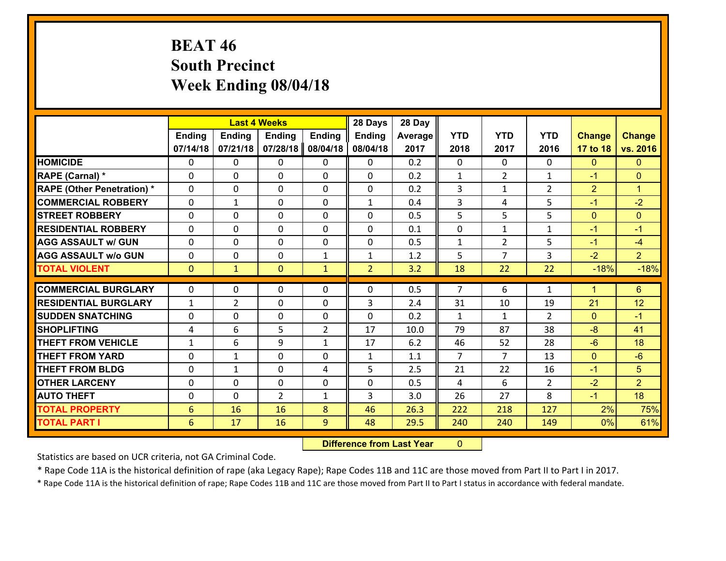# **BEAT 46 South Precinct Week Ending 08/04/18**

|                                   |               |                | <b>Last 4 Weeks</b> |                | 28 Days        | 28 Day  |                |                |                |                |                      |
|-----------------------------------|---------------|----------------|---------------------|----------------|----------------|---------|----------------|----------------|----------------|----------------|----------------------|
|                                   | <b>Ending</b> | <b>Ending</b>  | <b>Ending</b>       | <b>Ending</b>  | <b>Ending</b>  | Average | <b>YTD</b>     | <b>YTD</b>     | <b>YTD</b>     | <b>Change</b>  | <b>Change</b>        |
|                                   | 07/14/18      | 07/21/18       | 07/28/18            | 08/04/18       | 08/04/18       | 2017    | 2018           | 2017           | 2016           | 17 to 18       | vs. 2016             |
| <b>HOMICIDE</b>                   | $\Omega$      | 0              | 0                   | 0              | 0              | 0.2     | $\Omega$       | $\Omega$       | 0              | $\mathbf{0}$   | $\mathbf{0}$         |
| RAPE (Carnal) *                   | $\Omega$      | 0              | $\mathbf{0}$        | 0              | 0              | 0.2     | $\mathbf{1}$   | $\overline{2}$ | $\mathbf{1}$   | $-1$           | $\mathbf{0}$         |
| <b>RAPE (Other Penetration) *</b> | $\Omega$      | 0              | $\mathbf{0}$        | $\Omega$       | 0              | 0.2     | 3              | $\mathbf{1}$   | $\overline{2}$ | $\overline{2}$ | $\blacktriangleleft$ |
| <b>COMMERCIAL ROBBERY</b>         | $\Omega$      | 1              | $\mathbf{0}$        | $\Omega$       | $\mathbf{1}$   | 0.4     | 3              | 4              | 5              | $-1$           | $-2$                 |
| <b>STREET ROBBERY</b>             | $\Omega$      | 0              | $\mathbf{0}$        | $\Omega$       | 0              | 0.5     | 5              | 5              | 5              | $\mathbf{0}$   | $\mathbf{0}$         |
| <b>RESIDENTIAL ROBBERY</b>        | $\Omega$      | 0              | $\mathbf{0}$        | $\Omega$       | $\Omega$       | 0.1     | $\Omega$       | $\mathbf{1}$   | $\mathbf{1}$   | $-1$           | $-1$                 |
| <b>AGG ASSAULT w/ GUN</b>         | 0             | 0              | $\mathbf 0$         | $\Omega$       | 0              | 0.5     | $\mathbf{1}$   | $\overline{2}$ | 5              | $-1$           | $-4$                 |
| <b>AGG ASSAULT w/o GUN</b>        | 0             | 0              | 0                   | $\mathbf{1}$   | $\mathbf{1}$   | 1.2     | 5              | $\overline{7}$ | 3              | $-2$           | 2 <sup>1</sup>       |
| <b>TOTAL VIOLENT</b>              | $\mathbf{0}$  | $\mathbf{1}$   | $\mathbf{0}$        | $\mathbf{1}$   | $\overline{2}$ | 3.2     | 18             | 22             | 22             | $-18%$         | $-18%$               |
| <b>COMMERCIAL BURGLARY</b>        | $\mathbf{0}$  | 0              | 0                   | 0              | $\Omega$       | 0.5     | $\overline{7}$ | 6              | $\mathbf{1}$   | $\mathbf 1$    | $6\phantom{1}$       |
|                                   |               |                |                     |                |                |         |                |                |                |                |                      |
|                                   |               |                |                     |                |                |         |                |                |                |                |                      |
| <b>RESIDENTIAL BURGLARY</b>       | $\mathbf{1}$  | $\overline{2}$ | $\mathbf 0$         | $\Omega$       | 3              | 2.4     | 31             | 10             | 19             | 21             | 12                   |
| <b>SUDDEN SNATCHING</b>           | 0             | 0              | $\mathbf{0}$        | 0              | $\Omega$       | 0.2     | $\mathbf{1}$   | $\mathbf{1}$   | $\overline{2}$ | $\mathbf{0}$   | $-1$                 |
| <b>SHOPLIFTING</b>                | 4             | 6              | 5                   | $\overline{2}$ | 17             | 10.0    | 79             | 87             | 38             | $-8$           | 41                   |
| <b>THEFT FROM VEHICLE</b>         | $\mathbf{1}$  | 6              | 9                   | $\mathbf{1}$   | 17             | 6.2     | 46             | 52             | 28             | $-6$           | 18                   |
| <b>THEFT FROM YARD</b>            | 0             | 1              | $\mathbf{0}$        | 0              | $\mathbf{1}$   | 1.1     | $\overline{7}$ | $\overline{7}$ | 13             | $\mathbf{0}$   | $-6$                 |
| <b>THEFT FROM BLDG</b>            | $\Omega$      | $\mathbf{1}$   | $\Omega$            | 4              | 5              | 2.5     | 21             | 22             | 16             | $-1$           | 5                    |
| <b>OTHER LARCENY</b>              | 0             | 0              | $\mathbf{0}$        | 0              | $\Omega$       | 0.5     | 4              | 6              | $\overline{2}$ | $-2$           | $\overline{2}$       |
| <b>AUTO THEFT</b>                 | 0             | 0              | $\overline{2}$      | $\mathbf{1}$   | $\overline{3}$ | 3.0     | 26             | 27             | 8              | $-1$           | 18                   |
| <b>TOTAL PROPERTY</b>             | 6             | 16             | 16                  | 8              | 46             | 26.3    | 222            | 218            | 127            | 2%             | 75%                  |
| <b>TOTAL PART I</b>               | 6             | 17             | 16                  | 9              | 48             | 29.5    | 240            | 240            | 149            | 0%             | 61%                  |

 **Difference from Last Year**r 0

Statistics are based on UCR criteria, not GA Criminal Code.

\* Rape Code 11A is the historical definition of rape (aka Legacy Rape); Rape Codes 11B and 11C are those moved from Part II to Part I in 2017.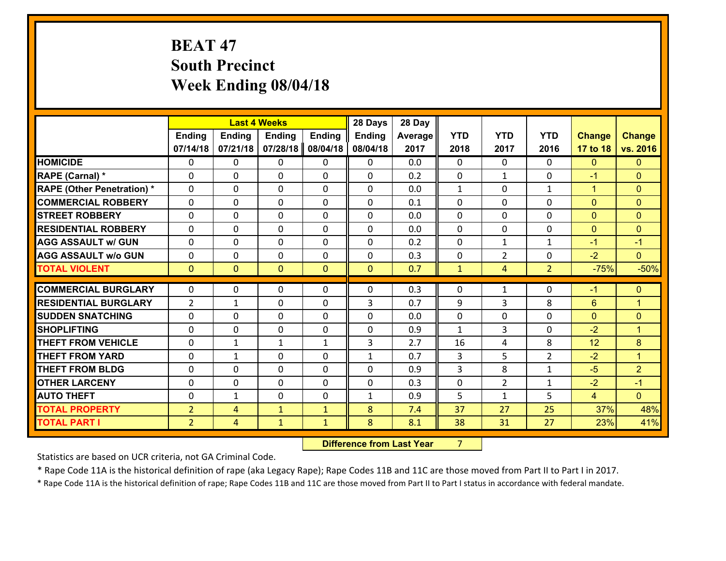# **BEAT 47 South Precinct Week Ending 08/04/18**

|                                   |                | <b>Last 4 Weeks</b><br><b>Ending</b><br><b>Ending</b><br><b>Ending</b><br><b>Ending</b> |              |              |               | 28 Day  |              |                |                |                |                      |
|-----------------------------------|----------------|-----------------------------------------------------------------------------------------|--------------|--------------|---------------|---------|--------------|----------------|----------------|----------------|----------------------|
|                                   |                |                                                                                         |              |              | <b>Ending</b> | Average | <b>YTD</b>   | <b>YTD</b>     | <b>YTD</b>     | <b>Change</b>  | <b>Change</b>        |
|                                   | 07/14/18       | 07/21/18                                                                                | 07/28/18     | 08/04/18     | 08/04/18      | 2017    | 2018         | 2017           | 2016           | 17 to 18       | vs. 2016             |
| <b>HOMICIDE</b>                   | 0              | 0                                                                                       | 0            | 0            | 0             | 0.0     | $\Omega$     | $\Omega$       | 0              | $\mathbf{0}$   | $\mathbf{0}$         |
| RAPE (Carnal) *                   | 0              | 0                                                                                       | $\mathbf{0}$ | 0            | $\Omega$      | 0.2     | $\mathbf{0}$ | $\mathbf{1}$   | $\Omega$       | $-1$           | $\mathbf{0}$         |
| <b>RAPE (Other Penetration) *</b> | $\Omega$       | 0                                                                                       | $\mathbf{0}$ | $\Omega$     | $\Omega$      | 0.0     | $\mathbf{1}$ | $\Omega$       | $\mathbf{1}$   | $\mathbf{1}$   | $\mathbf{0}$         |
| <b>COMMERCIAL ROBBERY</b>         | 0              | 0                                                                                       | $\mathbf{0}$ | 0            | $\Omega$      | 0.1     | $\Omega$     | $\Omega$       | $\Omega$       | $\mathbf{0}$   | $\mathbf{0}$         |
| <b>STREET ROBBERY</b>             | 0              | 0                                                                                       | $\mathbf 0$  | 0            | 0             | 0.0     | 0            | 0              | $\Omega$       | $\mathbf{0}$   | $\mathbf{0}$         |
| <b>RESIDENTIAL ROBBERY</b>        | $\Omega$       | 0                                                                                       | $\mathbf{0}$ | $\Omega$     | 0             | 0.0     | $\mathbf{0}$ | $\mathbf{0}$   | $\Omega$       | $\mathbf{0}$   | $\mathbf{0}$         |
| <b>AGG ASSAULT w/ GUN</b>         | 0              | 0                                                                                       | $\mathbf 0$  | $\Omega$     | 0             | 0.2     | 0            | $\mathbf{1}$   | $\mathbf{1}$   | $-1$           | $-1$                 |
| <b>AGG ASSAULT w/o GUN</b>        | 0              | 0                                                                                       | $\mathbf 0$  | 0            | 0             | 0.3     | $\mathbf 0$  | $\overline{2}$ | 0              | $-2$           | $\overline{0}$       |
| <b>TOTAL VIOLENT</b>              | $\mathbf{0}$   | $\overline{0}$                                                                          | $\mathbf{0}$ | $\mathbf{0}$ | $\mathbf{0}$  | 0.7     | $\mathbf{1}$ | $\overline{4}$ | $\overline{2}$ | $-75%$         | $-50%$               |
|                                   |                |                                                                                         |              |              |               |         |              |                |                |                |                      |
| <b>COMMERCIAL BURGLARY</b>        | 0              | 0                                                                                       | $\mathbf{0}$ | 0            | $\Omega$      | 0.3     | $\mathbf{0}$ | $\mathbf{1}$   | $\Omega$       | $-1$           | $\mathbf{0}$         |
| <b>RESIDENTIAL BURGLARY</b>       | $\overline{2}$ | 1                                                                                       | $\mathbf{0}$ | 0            | 3             | 0.7     | 9            | 3              | 8              | 6              | $\overline{1}$       |
| <b>SUDDEN SNATCHING</b>           | 0              | 0                                                                                       | 0            | 0            | $\Omega$      | 0.0     | $\mathbf{0}$ | 0              | $\Omega$       | $\mathbf{0}$   | $\mathbf{0}$         |
| <b>SHOPLIFTING</b>                | 0              | 0                                                                                       | $\mathbf 0$  | 0            | 0             | 0.9     | $\mathbf{1}$ | 3              | $\Omega$       | $-2$           | $\blacktriangleleft$ |
| <b>THEFT FROM VEHICLE</b>         | 0              | 1                                                                                       | 1            | $\mathbf{1}$ | 3             | 2.7     | 16           | 4              | 8              | 12             | 8                    |
| <b>THEFT FROM YARD</b>            | 0              | 1                                                                                       | $\mathbf{0}$ | $\Omega$     | $\mathbf{1}$  | 0.7     | 3            | 5              | $\overline{2}$ | $-2$           | $\blacktriangleleft$ |
| <b>THEFT FROM BLDG</b>            | 0              | 0                                                                                       | $\mathbf{0}$ | 0            | $\Omega$      | 0.9     | 3            | 8              | $\mathbf{1}$   | $-5$           | $\overline{2}$       |
| <b>OTHER LARCENY</b>              | 0              | 0                                                                                       | $\mathbf{0}$ | $\Omega$     | $\Omega$      | 0.3     | 0            | $\overline{2}$ | $\mathbf{1}$   | $-2$           | $-1$                 |
| <b>AUTO THEFT</b>                 | $\mathbf{0}$   | 1                                                                                       | 0            | 0            | $\mathbf{1}$  | 0.9     | 5            | $\mathbf{1}$   | 5              | $\overline{4}$ | $\Omega$             |
| <b>TOTAL PROPERTY</b>             | $\overline{2}$ | 4                                                                                       | $\mathbf{1}$ | $\mathbf{1}$ | 8             | 7.4     | 37           | 27             | 25             | 37%            | 48%                  |
| <b>TOTAL PART I</b>               | $\overline{2}$ | $\overline{4}$                                                                          | $\mathbf{1}$ | $\mathbf{1}$ | 8             | 8.1     | 38           | 31             | 27             | 23%            | 41%                  |

 **Difference from Last Year**r 7

Statistics are based on UCR criteria, not GA Criminal Code.

\* Rape Code 11A is the historical definition of rape (aka Legacy Rape); Rape Codes 11B and 11C are those moved from Part II to Part I in 2017.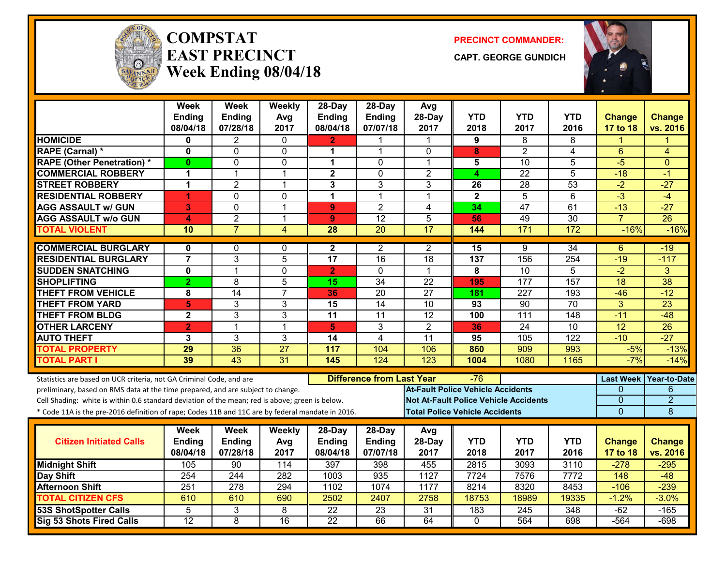

#### **COMPSTATEAST PRECINCTWeek Ending 08/04/18**

**PRECINCT COMMANDER:**

**CAPT. GEORGE GUNDICH**



|                                                                                                  | <b>Week</b><br><b>Ending</b> | <b>Week</b><br>Ending | Weekly<br>Avg           | 28-Day<br><b>Ending</b> | $28$ -Day<br>Ending              | Avg<br>28-Day    | <b>YTD</b>                                   | <b>YTD</b>       | <b>YTD</b>       | <b>Change</b>    | <b>Change</b>       |
|--------------------------------------------------------------------------------------------------|------------------------------|-----------------------|-------------------------|-------------------------|----------------------------------|------------------|----------------------------------------------|------------------|------------------|------------------|---------------------|
|                                                                                                  | 08/04/18                     | 07/28/18              | 2017                    | 08/04/18                | 07/07/18                         | 2017             | 2018                                         | 2017             | 2016             | 17 to 18         | vs. 2016            |
| <b>HOMICIDE</b>                                                                                  | 0                            | 2                     | $\mathbf{0}$            | 2                       |                                  |                  | 9                                            | 8                | 8                |                  |                     |
| RAPE (Carnal) *                                                                                  | 0                            | 0                     | 0                       | 1                       | 1                                | 0                | 8                                            | $\overline{2}$   | 4                | 6                | 4                   |
| <b>RAPE (Other Penetration) *</b>                                                                | $\bf{0}$                     | 0                     | $\mathbf 0$             | 1                       | $\Omega$                         | $\mathbf 1$      | 5                                            | $\overline{10}$  | $\overline{5}$   | $-5$             | $\Omega$            |
| <b>COMMERCIAL ROBBERY</b>                                                                        | 1                            | 1                     | 1                       | $\mathbf{2}$            | $\mathbf 0$                      | $\overline{2}$   | 4                                            | $\overline{22}$  | 5                | $-18$            | $-1$                |
| <b>STREET ROBBERY</b>                                                                            | $\mathbf 1$                  | $\overline{2}$        | $\mathbf 1$             | 3                       | 3                                | 3                | 26                                           | 28               | 53               | $-2$             | $-27$               |
| <b>RESIDENTIAL ROBBERY</b>                                                                       | 1                            | $\Omega$              | $\mathbf 0$             | $\mathbf{1}$            | 1                                | $\mathbf{1}$     | $\overline{2}$                               | $\overline{5}$   | $\overline{6}$   | $-3$             | $-4$                |
| <b>AGG ASSAULT w/ GUN</b>                                                                        | 3                            | $\Omega$              | $\overline{1}$          | 9                       | $\overline{2}$                   | $\overline{4}$   | 34                                           | 47               | 61               | $-13$            | $-27$               |
| <b>AGG ASSAULT w/o GUN</b>                                                                       | 4                            | $\overline{2}$        | $\overline{\mathbf{1}}$ | 9                       | $\overline{12}$                  | 5                | 56                                           | 49               | 30               | $\overline{7}$   | $\overline{26}$     |
| <b>TOTAL VIOLENT</b>                                                                             | 10                           | $\overline{7}$        | $\overline{4}$          | 28                      | 20                               | $\overline{17}$  | 144                                          | 171              | 172              | $-16%$           | $-16%$              |
| <b>COMMERCIAL BURGLARY</b>                                                                       | $\mathbf{0}$                 | 0                     | $\mathbf{0}$            | $\mathbf{2}$            | $\overline{2}$                   | 2                | 15                                           | 9                | $\overline{34}$  | 6                | $-19$               |
| <b>RESIDENTIAL BURGLARY</b>                                                                      | $\overline{7}$               | $\overline{3}$        | 5                       | $\overline{17}$         | 16                               | 18               | 137                                          | 156              | 254              | $-19$            | $-117$              |
| <b>SUDDEN SNATCHING</b>                                                                          | $\mathbf 0$                  | 1                     | $\mathbf 0$             | $\overline{2}$          | $\Omega$                         | $\mathbf 1$      | 8                                            | $\overline{10}$  | 5                | $-2$             | 3                   |
| <b>SHOPLIFTING</b>                                                                               | $\overline{2}$               | 8                     | 5                       | 15                      | $\overline{34}$                  | $\overline{22}$  | 195                                          | 177              | 157              | 18               | $\overline{38}$     |
| <b>THEFT FROM VEHICLE</b>                                                                        | 8                            | 14                    | $\overline{7}$          | 36                      | $\overline{20}$                  | $\overline{27}$  | 181                                          | 227              | $\overline{193}$ | $-46$            | $-12$               |
| <b>THEFT FROM YARD</b>                                                                           | 5                            | $\overline{3}$        | 3                       | 15                      | $\overline{14}$                  | $\overline{10}$  | 93                                           | $\overline{90}$  | $\overline{70}$  | $\overline{3}$   | $\overline{23}$     |
| <b>THEFT FROM BLDG</b>                                                                           | $\mathbf{2}$                 | 3                     | 3                       | 11                      | 11                               | $\overline{12}$  | 100                                          | 111              | 148              | $-11$            | $-48$               |
| <b>OTHER LARCENY</b>                                                                             | $\overline{2}$               | 1                     | $\overline{1}$          | 5                       | 3                                | $\overline{2}$   | 36                                           | $\overline{24}$  | $\overline{10}$  | 12               | 26                  |
| <b>AUTO THEFT</b>                                                                                | 3                            | 3                     | 3                       | 14                      | 4                                | 11               | 95                                           | 105              | 122              | $-10$            | $-27$               |
| <b>TOTAL PROPERTY</b>                                                                            | 29                           | 36                    | 27                      | 117                     | 104                              | 106              | 860                                          | 909              | 993              | $-5%$            | $-13%$              |
| <b>TOTAL PART I</b>                                                                              | 39                           | $\overline{43}$       | 31                      | 145                     | 124                              | $\overline{123}$ | 1004                                         | 1080             | 1165             | $-7%$            | $-14%$              |
| Statistics are based on UCR criteria, not GA Criminal Code, and are                              |                              |                       |                         |                         | <b>Difference from Last Year</b> |                  | -76                                          |                  |                  | <b>Last Week</b> | <b>Year-to-Date</b> |
| preliminary, based on RMS data at the time prepared, and are subject to change.                  |                              |                       |                         |                         |                                  |                  | <b>At-Fault Police Vehicle Accidents</b>     |                  |                  | 0                | 6                   |
| Cell Shading: white is within 0.6 standard deviation of the mean; red is above; green is below.  |                              |                       |                         |                         |                                  |                  | <b>Not At-Fault Police Vehicle Accidents</b> |                  |                  | $\mathbf 0$      | $\overline{2}$      |
| * Code 11A is the pre-2016 definition of rape; Codes 11B and 11C are by federal mandate in 2016. |                              |                       |                         |                         |                                  |                  | <b>Total Police Vehicle Accidents</b>        |                  |                  | $\Omega$         | 8                   |
|                                                                                                  | Week                         | <b>Week</b>           | Weekly                  | 28-Day                  | 28-Day                           | Avg              |                                              |                  |                  |                  |                     |
| <b>Citizen Initiated Calls</b>                                                                   | Ending                       | Ending                | Avg                     | <b>Ending</b>           | <b>Ending</b>                    | 28-Day           | <b>YTD</b>                                   | <b>YTD</b>       | <b>YTD</b>       | <b>Change</b>    | <b>Change</b>       |
|                                                                                                  | 08/04/18                     | 07/28/18              | 2017                    | 08/04/18                | 07/07/18                         | 2017             | 2018                                         | 2017             | 2016             | 17 to 18         | vs. 2016            |
| <b>Midnight Shift</b>                                                                            | 105                          | 90                    | 114                     | 397                     | 398                              | 455              | 2815                                         | 3093             | 3110             | $-278$           | $-295$              |
| Day Shift                                                                                        | 254                          | 244                   | 282                     | 1003                    | 935                              | 1127             | 7724                                         | 7576             | 7772             | 148              | $-48$               |
| <b>Afternoon Shift</b>                                                                           | 251                          | 278                   | 294                     | 1102                    | 1074                             | 1177             | 8214                                         | 8320             | 8453             | $-106$           | $-239$              |
| <b>TOTAL CITIZEN CFS</b>                                                                         | 610                          | 610                   | 690                     | 2502                    | 2407                             | 2758             | 18753                                        | 18989            | 19335            | $-1.2%$          | $-3.0%$             |
| <b>53S ShotSpotter Calls</b>                                                                     | 5                            | 3                     | 8                       | $\overline{22}$         | $\overline{23}$                  | $\overline{31}$  | 183                                          | $\overline{245}$ | 348              | $-62$            | $-165$              |
| <b>Sig 53 Shots Fired Calls</b>                                                                  | $\overline{12}$              | 8                     | $\overline{16}$         | $\overline{22}$         | 66                               | 64               | $\Omega$                                     | 564              | 698              | $-564$           | $-698$              |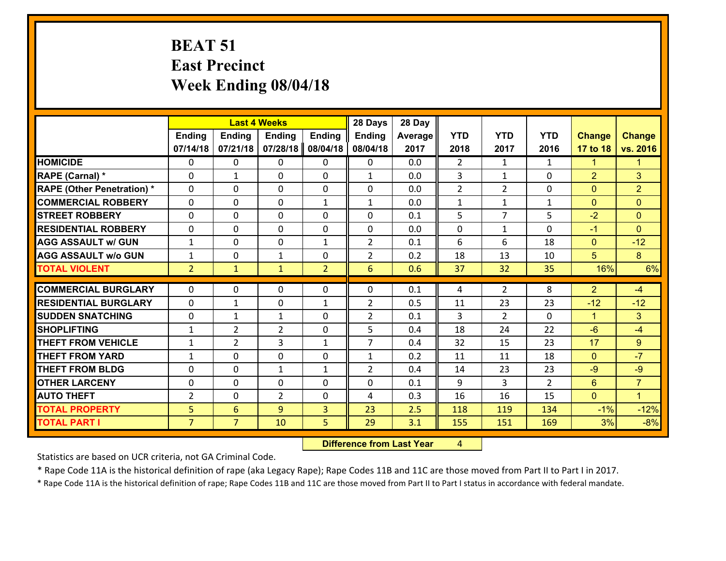# **BEAT 51 East Precinct Week Ending 08/04/18**

|                                   |                | <b>Last 4 Weeks</b> |                |                | 28 Days             | 28 Day         |                |                |                |                      |                |
|-----------------------------------|----------------|---------------------|----------------|----------------|---------------------|----------------|----------------|----------------|----------------|----------------------|----------------|
|                                   | Ending         | Ending              | <b>Ending</b>  | <b>Ending</b>  | Ending              | <b>Average</b> | <b>YTD</b>     | <b>YTD</b>     | <b>YTD</b>     | <b>Change</b>        | <b>Change</b>  |
|                                   | 07/14/18       | 07/21/18            | 07/28/18       | 08/04/18       | 08/04/18            | 2017           | 2018           | 2017           | 2016           | 17 to 18             | vs. 2016       |
| <b>HOMICIDE</b>                   | $\Omega$       | 0                   | $\mathbf{0}$   | $\mathbf{0}$   | 0                   | 0.0            | $\overline{2}$ | $\mathbf{1}$   | $\mathbf{1}$   | 1                    | 1.             |
| RAPE (Carnal) *                   | $\Omega$       | $\mathbf{1}$        | $\Omega$       | $\Omega$       | $\mathbf{1}$        | 0.0            | 3              | $\mathbf{1}$   | 0              | $\overline{2}$       | 3              |
| <b>RAPE (Other Penetration) *</b> | $\Omega$       | 0                   | 0              | 0              | 0                   | 0.0            | $\overline{2}$ | $\overline{2}$ | 0              | $\mathbf{0}$         | $\overline{2}$ |
| <b>COMMERCIAL ROBBERY</b>         | 0              | 0                   | 0              | $\mathbf{1}$   | 1                   | 0.0            | $\mathbf{1}$   | $\mathbf{1}$   | $\mathbf{1}$   | $\mathbf{0}$         | $\overline{0}$ |
| <b>STREET ROBBERY</b>             | $\Omega$       | 0                   | 0              | 0              | 0                   | 0.1            | 5              | $\overline{7}$ | 5              | $-2$                 | $\Omega$       |
| <b>RESIDENTIAL ROBBERY</b>        | 0              | 0                   | 0              | 0              | 0                   | 0.0            | 0              | $\mathbf{1}$   | 0              | $-1$                 | $\overline{0}$ |
| <b>AGG ASSAULT w/ GUN</b>         | $\mathbf{1}$   | 0                   | $\mathbf 0$    | $\mathbf{1}$   | $\overline{2}$      | 0.1            | 6              | 6              | 18             | $\mathbf{0}$         | $-12$          |
| <b>AGG ASSAULT W/o GUN</b>        | $\mathbf{1}$   | 0                   | $\mathbf{1}$   | 0              | $\overline{2}$      | 0.2            | 18             | 13             | 10             | 5 <sup>5</sup>       | 8 <sup>°</sup> |
| <b>TOTAL VIOLENT</b>              | 2 <sup>1</sup> | $\mathbf{1}$        | $\mathbf{1}$   | $\overline{2}$ | 6                   | 0.6            | 37             | 32             | 35             | 16%                  | 6%             |
| <b>COMMERCIAL BURGLARY</b>        | $\Omega$       | 0                   | 0              | $\mathbf{0}$   | $\Omega$            | 0.1            | 4              | $\overline{2}$ | 8              | $\overline{2}$       | $-4$           |
| <b>RESIDENTIAL BURGLARY</b>       | $\Omega$       |                     |                |                |                     |                |                |                |                |                      |                |
|                                   |                | $\mathbf{1}$        | $\mathbf{0}$   | $\mathbf{1}$   | $\overline{2}$      | 0.5            | 11             | 23             | 23             | $-12$                | $-12$          |
| <b>SUDDEN SNATCHING</b>           | 0              | $\mathbf{1}$        | $\mathbf{1}$   | $\Omega$       | $\overline{2}$<br>5 | 0.1<br>0.4     | 3              | $\overline{2}$ | 0<br>22        | $\mathbf{1}$<br>$-6$ | 3              |
| <b>SHOPLIFTING</b>                | $\mathbf{1}$   | $\overline{2}$      | $\overline{2}$ | $\Omega$       |                     |                | 18             | 24             |                |                      | $-4$           |
| <b>THEFT FROM VEHICLE</b>         | $\mathbf{1}$   | $\overline{2}$      | 3              | $\mathbf{1}$   | $\overline{7}$      | 0.4            | 32             | 15             | 23             | 17                   | 9              |
| <b>THEFT FROM YARD</b>            | $\mathbf{1}$   | 0                   | 0              | 0              | $\mathbf{1}$        | 0.2            | 11             | 11             | 18             | $\mathbf{0}$         | $-7$           |
| <b>THEFT FROM BLDG</b>            | 0              | 0                   | $\mathbf{1}$   | $\mathbf{1}$   | $\overline{2}$      | 0.4            | 14             | 23             | 23             | $-9$                 | $-9$           |
| <b>OTHER LARCENY</b>              | 0              | 0                   | 0              | 0              | 0                   | 0.1            | 9              | 3              | $\overline{2}$ | 6                    | $\overline{7}$ |
| <b>AUTO THEFT</b>                 | $\overline{2}$ | 0                   | $\overline{2}$ | 0              | 4                   | 0.3            | 16             | 16             | 15             | $\mathbf{0}$         | $\mathbf{1}$   |
| <b>TOTAL PROPERTY</b>             | 5 <sup>1</sup> | $6\overline{6}$     | 9              | $\overline{3}$ | 23                  | 2.5            | 118            | 119            | 134            | $-1%$                | $-12%$         |
| <b>TOTAL PART I</b>               | $\overline{7}$ | 7 <sup>1</sup>      | 10             | 5              | 29                  | 3.1            | 155            | 151            | 169            | 3%                   | $-8%$          |

 **Difference from Last Year**r 4

Statistics are based on UCR criteria, not GA Criminal Code.

\* Rape Code 11A is the historical definition of rape (aka Legacy Rape); Rape Codes 11B and 11C are those moved from Part II to Part I in 2017.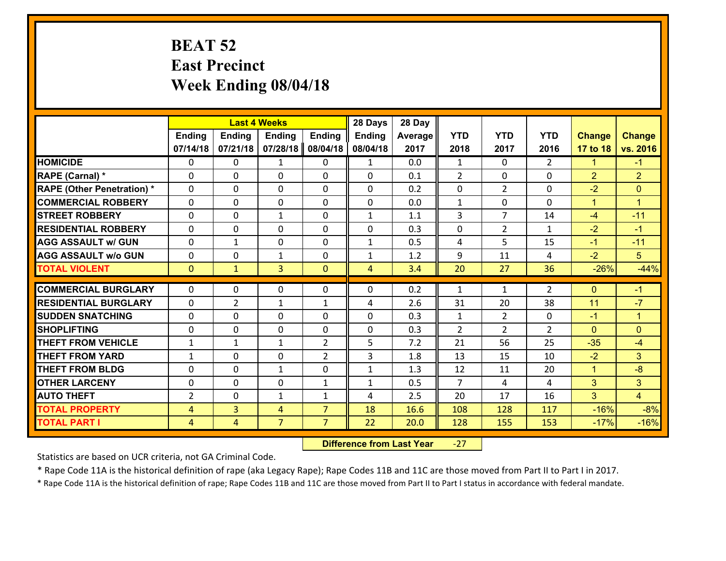### **BEAT 52 East Precinct Week Ending 08/04/18**

|                                              |                     | <b>Last 4 Weeks</b>              |                     |                                  | 28 Days       | 28 Day       |                |                |                |                      |                 |
|----------------------------------------------|---------------------|----------------------------------|---------------------|----------------------------------|---------------|--------------|----------------|----------------|----------------|----------------------|-----------------|
|                                              | <b>Ending</b>       | <b>Ending</b>                    | <b>Ending</b>       | <b>Ending</b>                    | <b>Ending</b> | Average      | <b>YTD</b>     | <b>YTD</b>     | <b>YTD</b>     | <b>Change</b>        | <b>Change</b>   |
|                                              | 07/14/18            | 07/21/18                         | 07/28/18            | 08/04/18                         | 08/04/18      | 2017         | 2018           | 2017           | 2016           | 17 to 18             | vs. 2016        |
| <b>HOMICIDE</b>                              | $\Omega$            | 0                                | $\mathbf{1}$        | 0                                | $\mathbf{1}$  | 0.0          | $\mathbf{1}$   | $\Omega$       | $\overline{2}$ | 1                    | $-1$            |
| RAPE (Carnal) *                              | $\Omega$            | 0                                | $\mathbf{0}$        | $\Omega$                         | 0             | 0.1          | 2              | $\Omega$       | $\Omega$       | 2                    | $\overline{2}$  |
| <b>RAPE (Other Penetration) *</b>            | $\Omega$            | 0                                | $\Omega$            | $\Omega$                         | 0             | 0.2          | $\Omega$       | $\overline{2}$ | $\Omega$       | $-2$                 | $\Omega$        |
| <b>COMMERCIAL ROBBERY</b>                    | $\mathbf 0$         | 0                                | $\mathbf{0}$        | $\Omega$                         | 0             | 0.0          | $\mathbf{1}$   | 0              | 0              | $\blacktriangleleft$ | $\mathbf{1}$    |
| <b>STREET ROBBERY</b>                        | $\mathbf 0$         | 0                                | $\mathbf{1}$        | 0                                | $\mathbf{1}$  | 1.1          | $\overline{3}$ | $\overline{7}$ | 14             | $-4$                 | $-11$           |
| <b>RESIDENTIAL ROBBERY</b>                   | $\mathbf{0}$        | 0                                | $\Omega$            | 0                                | $\Omega$      | 0.3          | 0              | $\overline{2}$ | $\mathbf{1}$   | $-2$                 | $-1$            |
| <b>AGG ASSAULT w/ GUN</b>                    | $\mathbf 0$         | $\mathbf{1}$                     | $\mathbf 0$         | 0                                | $\mathbf{1}$  | 0.5          | 4              | 5              | 15             | $-1$                 | $-11$           |
| <b>AGG ASSAULT w/o GUN</b>                   | $\mathbf 0$         | 0                                | $\mathbf{1}$        | 0                                | $\mathbf{1}$  | 1.2          | 9              | 11             | 4              | $-2$                 | 5               |
| <b>TOTAL VIOLENT</b>                         | $\overline{0}$      | $\mathbf{1}$                     | 3                   | $\mathbf{0}$                     | 4             | 3.4          | 20             | 27             | 36             | $-26%$               | $-44%$          |
| <b>COMMERCIAL BURGLARY</b>                   | $\Omega$            | 0                                | $\Omega$            | $\Omega$                         | 0             | 0.2          | $\mathbf{1}$   | $\mathbf{1}$   | $\overline{2}$ | $\Omega$             | $-1$            |
| <b>RESIDENTIAL BURGLARY</b>                  | $\mathbf 0$         | $\overline{2}$                   | $\mathbf{1}$        | $\mathbf{1}$                     | 4             | 2.6          | 31             | 20             | 38             | 11                   | $-7$            |
| <b>SUDDEN SNATCHING</b>                      | $\mathbf 0$         | 0                                | $\mathbf 0$         | 0                                | 0             | 0.3          | $\mathbf{1}$   | $\overline{2}$ | 0              | $-1$                 | $\mathbf{1}$    |
| <b>SHOPLIFTING</b>                           | $\mathbf 0$         | 0                                | $\mathbf 0$         | 0                                | 0             | 0.3          | $\overline{2}$ | $\overline{2}$ | $\overline{2}$ | $\Omega$             | $\overline{0}$  |
| <b>THEFT FROM VEHICLE</b>                    |                     |                                  |                     |                                  |               |              |                |                |                |                      | $-4$            |
|                                              |                     |                                  |                     |                                  |               |              |                |                |                |                      |                 |
|                                              | $\mathbf{1}$        | 1                                | $\mathbf{1}$        | $\overline{2}$                   | 5             | 7.2          | 21             | 56             | 25             | $-35$                |                 |
| <b>THEFT FROM YARD</b>                       | $\mathbf{1}$        | 0                                | $\mathbf 0$         | $\overline{2}$                   | 3             | 1.8          | 13             | 15             | 10             | $-2$                 | 3 <sup>1</sup>  |
| <b>THEFT FROM BLDG</b>                       | $\mathbf 0$         | 0                                | $\mathbf{1}$        | 0                                | 1             | 1.3          | 12             | 11             | 20             | $\overline{1}$       | $-8$            |
| <b>OTHER LARCENY</b>                         | $\mathbf 0$         | 0                                | $\mathbf 0$         | $\mathbf{1}$                     | $\mathbf{1}$  | 0.5          | $\overline{7}$ | 4              | 4              | $\overline{3}$       | 3 <sup>1</sup>  |
| <b>AUTO THEFT</b>                            | $\overline{2}$      | $\mathbf{0}$                     | 1                   | $\mathbf{1}$                     | 4             | 2.5          | 20             | 17             | 16             | $\mathbf{3}$         | $\overline{4}$  |
| <b>TOTAL PROPERTY</b><br><b>TOTAL PART I</b> | 4<br>$\overline{4}$ | $\overline{3}$<br>$\overline{4}$ | 4<br>$\overline{7}$ | $\overline{7}$<br>$\overline{7}$ | 18<br>22      | 16.6<br>20.0 | 108<br>128     | 128<br>155     | 117<br>153     | $-16%$<br>$-17%$     | $-8%$<br>$-16%$ |

 **Difference from Last Year**‐27

Statistics are based on UCR criteria, not GA Criminal Code.

\* Rape Code 11A is the historical definition of rape (aka Legacy Rape); Rape Codes 11B and 11C are those moved from Part II to Part I in 2017.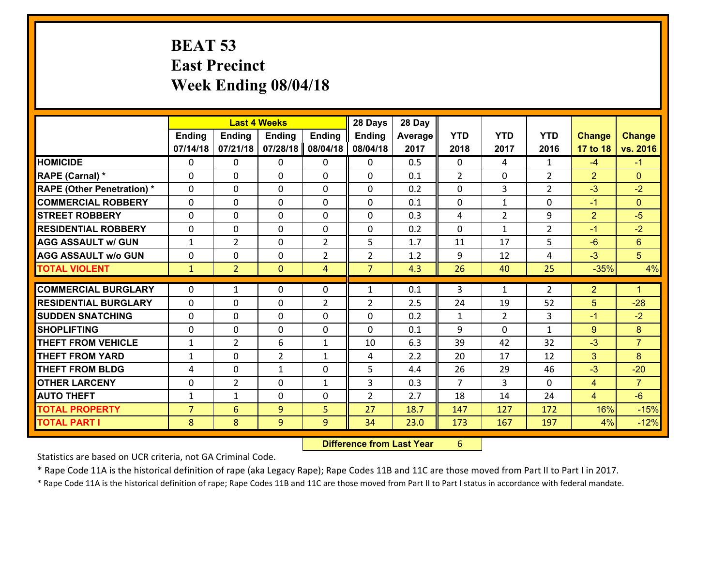### **BEAT 53 East Precinct Week Ending 08/04/18**

|                                              |                                | <b>Last 4 Weeks</b>            |                   |                     | 28 Days             | 28 Day     |                      |                |                |                                  |                        |
|----------------------------------------------|--------------------------------|--------------------------------|-------------------|---------------------|---------------------|------------|----------------------|----------------|----------------|----------------------------------|------------------------|
|                                              | Ending                         | <b>Ending</b>                  | <b>Ending</b>     | <b>Ending</b>       | <b>Ending</b>       | Average    | <b>YTD</b>           | <b>YTD</b>     | <b>YTD</b>     | <b>Change</b>                    | <b>Change</b>          |
|                                              | 07/14/18                       | 07/21/18                       | 07/28/18          | 08/04/18            | 08/04/18            | 2017       | 2018                 | 2017           | 2016           | 17 to 18                         | vs. 2016               |
| <b>HOMICIDE</b>                              | $\mathbf{0}$                   | 0                              | 0                 | $\mathbf{0}$        | 0                   | 0.5        | $\mathbf{0}$         | 4              | $\mathbf{1}$   | $-4$                             | $-1$                   |
| <b>RAPE (Carnal) *</b>                       | $\Omega$                       | 0                              | 0                 | $\mathbf{0}$        | $\Omega$            | 0.1        | 2                    | 0              | $\overline{2}$ | $\overline{2}$                   | $\Omega$               |
| <b>RAPE (Other Penetration) *</b>            | $\Omega$                       | $\Omega$                       | $\Omega$          | $\Omega$            | $\Omega$            | 0.2        | $\Omega$             | 3              | $\overline{2}$ | $-3$                             | $-2$                   |
| <b>COMMERCIAL ROBBERY</b>                    | 0                              | 0                              | $\mathbf 0$       | 0                   | 0                   | 0.1        | $\mathbf 0$          | $\mathbf{1}$   | 0              | $-1$                             | $\Omega$               |
| <b>STREET ROBBERY</b>                        | $\Omega$                       | 0                              | $\mathbf{0}$      | $\Omega$            | 0                   | 0.3        | 4                    | $\overline{2}$ | 9              | $\overline{2}$                   | $-5$                   |
| <b>RESIDENTIAL ROBBERY</b>                   | $\Omega$                       | 0                              | 0                 | $\Omega$            | 0                   | 0.2        | $\Omega$             | $\mathbf{1}$   | $\overline{2}$ | $-1$                             | $-2$                   |
| <b>AGG ASSAULT w/ GUN</b>                    | $\mathbf{1}$                   | $\overline{2}$                 | 0                 | $\overline{2}$      | 5                   | 1.7        | 11                   | 17             | 5              | $-6$                             | 6                      |
| <b>AGG ASSAULT w/o GUN</b>                   | 0                              | 0                              | 0                 | $\overline{2}$      | $\overline{2}$      | 1.2        | 9                    | 12             | 4              | $-3$                             | 5 <sup>5</sup>         |
| <b>TOTAL VIOLENT</b>                         | $\mathbf{1}$                   | $\overline{2}$                 | $\mathbf{0}$      | $\overline{4}$      | $\overline{7}$      | 4.3        | 26                   | 40             | 25             | $-35%$                           | 4%                     |
|                                              |                                |                                |                   |                     |                     |            |                      |                |                |                                  |                        |
|                                              |                                |                                |                   |                     |                     |            |                      |                |                |                                  |                        |
| <b>COMMERCIAL BURGLARY</b>                   | $\Omega$                       | $\mathbf{1}$                   | $\mathbf{0}$      | 0                   | $\mathbf{1}$        | 0.1        | 3                    | $\mathbf{1}$   | 2              | $\overline{2}$                   | $\blacktriangleleft$   |
| <b>RESIDENTIAL BURGLARY</b>                  | $\Omega$                       | 0                              | $\mathbf{0}$      | 2                   | $\overline{2}$      | 2.5        | 24                   | 19             | 52             | 5                                | $-28$                  |
| <b>SUDDEN SNATCHING</b>                      | $\Omega$                       | 0                              | $\mathbf{0}$      | $\Omega$            | $\Omega$            | 0.2        | $\mathbf{1}$         | $\overline{2}$ | 3              | $-1$                             | $-2$                   |
| <b>SHOPLIFTING</b>                           | 0                              | 0                              | 0                 | 0                   | $\Omega$            | 0.1        | 9                    | $\Omega$       | $\mathbf{1}$   | 9                                | 8                      |
| <b>THEFT FROM VEHICLE</b>                    | $\mathbf{1}$                   | $\overline{2}$                 | 6                 | $\mathbf{1}$        | 10                  | 6.3        | 39                   | 42             | 32             | $-3$                             | $\overline{7}$         |
| <b>THEFT FROM YARD</b>                       | 1                              | 0                              | $\overline{2}$    | $\mathbf{1}$        | 4                   | 2.2        | 20                   | 17             | 12             | 3                                | 8                      |
| <b>THEFT FROM BLDG</b>                       | 4                              | 0                              | $\mathbf{1}$      | 0                   | 5                   | 4.4        | 26<br>$\overline{7}$ | 29             | 46<br>$\Omega$ | $-3$                             | $-20$                  |
| <b>OTHER LARCENY</b><br><b>AUTO THEFT</b>    | 0                              | $\overline{2}$<br>$\mathbf{1}$ | 0<br>$\mathbf{0}$ | $\mathbf{1}$<br>0   | 3<br>$\overline{2}$ | 0.3<br>2.7 |                      | 3<br>14        | 24             | $\overline{4}$<br>$\overline{4}$ | $\overline{7}$<br>$-6$ |
|                                              | $\mathbf{1}$<br>$\overline{7}$ |                                |                   |                     | 27                  | 18.7       | 18                   |                | 172            |                                  |                        |
| <b>TOTAL PROPERTY</b><br><b>TOTAL PART I</b> | 8                              | $6\overline{6}$<br>8           | 9<br>9            | 5<br>9 <sup>°</sup> | 34                  | 23.0       | 147<br>173           | 127<br>167     | 197            | 16%<br>4%                        | $-15%$<br>$-12%$       |

 **Difference from Last Year**r 6

Statistics are based on UCR criteria, not GA Criminal Code.

\* Rape Code 11A is the historical definition of rape (aka Legacy Rape); Rape Codes 11B and 11C are those moved from Part II to Part I in 2017.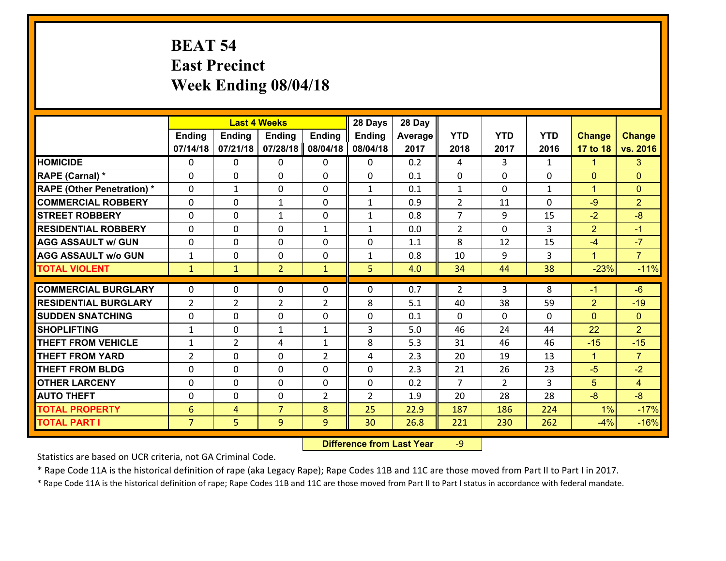# **BEAT 54 East Precinct Week Ending 08/04/18**

|                                   |                | <b>Last 4 Weeks</b> |                |                |                | 28 Day  |                |                |              |                      |                |
|-----------------------------------|----------------|---------------------|----------------|----------------|----------------|---------|----------------|----------------|--------------|----------------------|----------------|
|                                   | <b>Ending</b>  | <b>Ending</b>       | <b>Ending</b>  | <b>Ending</b>  | <b>Ending</b>  | Average | <b>YTD</b>     | <b>YTD</b>     | <b>YTD</b>   | <b>Change</b>        | <b>Change</b>  |
|                                   | 07/14/18       | 07/21/18            | 07/28/18       | 08/04/18       | 08/04/18       | 2017    | 2018           | 2017           | 2016         | 17 to 18             | vs. 2016       |
| <b>HOMICIDE</b>                   | $\Omega$       | 0                   | $\Omega$       | 0              | $\Omega$       | 0.2     | 4              | 3              | $\mathbf{1}$ | 1                    | 3              |
| RAPE (Carnal) *                   | $\Omega$       | 0                   | $\mathbf{0}$   | $\Omega$       | 0              | 0.1     | $\mathbf{0}$   | $\Omega$       | $\Omega$     | $\mathbf{0}$         | $\mathbf{0}$   |
| <b>RAPE (Other Penetration) *</b> | $\Omega$       | $\mathbf{1}$        | $\mathbf{0}$   | $\Omega$       | $\mathbf{1}$   | 0.1     | $\mathbf{1}$   | $\Omega$       | $\mathbf{1}$ | $\overline{1}$       | $\Omega$       |
| <b>COMMERCIAL ROBBERY</b>         | $\mathbf 0$    | 0                   | $\mathbf{1}$   | 0              | $\mathbf{1}$   | 0.9     | 2              | 11             | 0            | $-9$                 | $\overline{2}$ |
| <b>STREET ROBBERY</b>             | $\Omega$       | 0                   | $\mathbf{1}$   | 0              | $\mathbf{1}$   | 0.8     | $\overline{7}$ | 9              | 15           | $-2$                 | $-8$           |
| <b>RESIDENTIAL ROBBERY</b>        | $\mathbf{0}$   | 0                   | $\Omega$       | $\mathbf{1}$   | $\mathbf{1}$   | 0.0     | $\overline{2}$ | $\Omega$       | 3            | 2                    | $-1$           |
| <b>AGG ASSAULT w/ GUN</b>         | $\Omega$       | 0                   | $\mathbf 0$    | 0              | 0              | 1.1     | 8              | 12             | 15           | $-4$                 | $-7$           |
| <b>AGG ASSAULT w/o GUN</b>        | $\mathbf{1}$   | 0                   | $\mathbf 0$    | 0              | $\mathbf{1}$   | 0.8     | 10             | 9              | 3            | $\overline{1}$       | $\overline{7}$ |
| <b>TOTAL VIOLENT</b>              | $\mathbf{1}$   | $\mathbf{1}$        | $\overline{2}$ | $\mathbf{1}$   | 5              | 4.0     | 34             | 44             | 38           | $-23%$               | $-11%$         |
| <b>COMMERCIAL BURGLARY</b>        | $\Omega$       | 0                   | $\Omega$       | $\Omega$       | 0              | 0.7     | $\mathcal{P}$  | 3              | 8            | $-1$                 | $-6$           |
| <b>RESIDENTIAL BURGLARY</b>       | $\overline{2}$ | $\overline{2}$      | $\overline{2}$ | $\overline{2}$ | 8              | 5.1     | 40             | 38             | 59           | $\overline{2}$       | $-19$          |
| <b>SUDDEN SNATCHING</b>           | $\mathbf 0$    | 0                   | 0              | 0              | 0              | 0.1     | $\mathbf 0$    | 0              | 0            | $\Omega$             | $\overline{0}$ |
| <b>SHOPLIFTING</b>                | $\mathbf{1}$   | 0                   | $\mathbf{1}$   | $\mathbf{1}$   | $\overline{3}$ | 5.0     | 46             | 24             | 44           | 22                   | $\overline{2}$ |
| <b>THEFT FROM VEHICLE</b>         | $\mathbf{1}$   | $\overline{2}$      | 4              | $\mathbf{1}$   | 8              | 5.3     | 31             | 46             | 46           | $-15$                | $-15$          |
| <b>THEFT FROM YARD</b>            | $\overline{2}$ | 0                   | $\mathbf 0$    | $\overline{2}$ | 4              | 2.3     | 20             | 19             | 13           | $\blacktriangleleft$ | $\overline{7}$ |
| <b>THEFT FROM BLDG</b>            | $\mathbf 0$    | 0                   | $\mathbf 0$    | 0              | 0              | 2.3     | 21             | 26             | 23           | $-5$                 | $-2$           |
| <b>OTHER LARCENY</b>              | $\mathbf 0$    | 0                   | $\mathbf 0$    | 0              | 0              | 0.2     | $\overline{7}$ | $\overline{2}$ | 3            | 5                    | $\overline{4}$ |
| <b>AUTO THEFT</b>                 | $\mathbf{0}$   | $\mathbf{0}$        | $\mathbf{0}$   | $\overline{2}$ | $\overline{2}$ | 1.9     | 20             | 28             | 28           | $-8$                 | $-8$           |
| <b>TOTAL PROPERTY</b>             | 6              | 4                   | $\overline{7}$ | 8              | 25             | 22.9    | 187            | 186            | 224          | 1%                   | $-17%$         |
| <b>TOTAL PART I</b>               | $\overline{7}$ | 5                   | 9              | 9              | 30             | 26.8    | 221            | 230            | 262          | $-4%$                | $-16%$         |

 **Difference from Last Year**r -9

Statistics are based on UCR criteria, not GA Criminal Code.

\* Rape Code 11A is the historical definition of rape (aka Legacy Rape); Rape Codes 11B and 11C are those moved from Part II to Part I in 2017.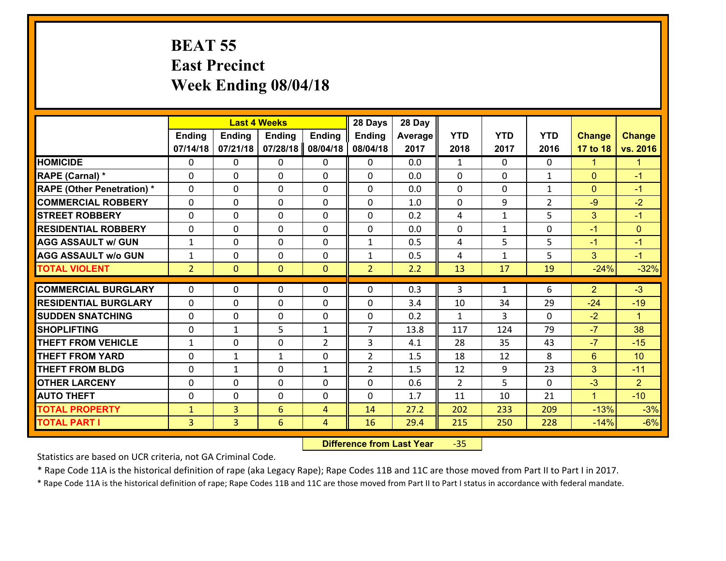### **BEAT 55 East Precinct Week Ending 08/04/18**

|                                   |                |                | <b>Last 4 Weeks</b> |                | 28 Days        | 28 Day  |              |              |                |                      |                      |
|-----------------------------------|----------------|----------------|---------------------|----------------|----------------|---------|--------------|--------------|----------------|----------------------|----------------------|
|                                   | <b>Ending</b>  | <b>Ending</b>  | <b>Ending</b>       | <b>Ending</b>  | <b>Ending</b>  | Average | <b>YTD</b>   | <b>YTD</b>   | <b>YTD</b>     | <b>Change</b>        | <b>Change</b>        |
|                                   | 07/14/18       | 07/21/18       | 07/28/18            | 08/04/18       | 08/04/18       | 2017    | 2018         | 2017         | 2016           | 17 to 18             | vs. 2016             |
| <b>HOMICIDE</b>                   | 0              | 0              | $\Omega$            | 0              | 0              | 0.0     | 1            | $\Omega$     | 0              | $\blacktriangleleft$ | $\blacktriangleleft$ |
| <b>RAPE (Carnal)</b> *            | 0              | 0              | $\mathbf{0}$        | 0              | $\Omega$       | 0.0     | $\mathbf{0}$ | 0            | $\mathbf{1}$   | $\mathbf{0}$         | $-1$                 |
| <b>RAPE (Other Penetration) *</b> | $\Omega$       | 0              | $\mathbf{0}$        | $\Omega$       | $\Omega$       | 0.0     | $\Omega$     | $\Omega$     | $\mathbf{1}$   | $\mathbf{0}$         | $-1$                 |
| <b>COMMERCIAL ROBBERY</b>         | 0              | 0              | 0                   | 0              | $\Omega$       | 1.0     | $\mathbf{0}$ | 9            | $\overline{2}$ | $-9$                 | $-2$                 |
| <b>STREET ROBBERY</b>             | $\Omega$       | 0              | $\mathbf 0$         | 0              | 0              | 0.2     | 4            | $\mathbf{1}$ | 5              | 3                    | $-1$                 |
| <b>RESIDENTIAL ROBBERY</b>        | $\Omega$       | $\Omega$       | $\mathbf 0$         | $\Omega$       | 0              | 0.0     | $\mathbf 0$  | $\mathbf{1}$ | 0              | $-1$                 | $\mathbf{0}$         |
| <b>AGG ASSAULT w/ GUN</b>         | $\mathbf{1}$   | 0              | $\mathbf 0$         | $\Omega$       | $\mathbf{1}$   | 0.5     | 4            | 5            | 5              | $-1$                 | $-1$                 |
| <b>AGG ASSAULT w/o GUN</b>        | $\mathbf{1}$   | 0              | $\mathbf 0$         | 0              | $\mathbf{1}$   | 0.5     | 4            | $\mathbf{1}$ | 5              | 3                    | $-1$                 |
| <b>TOTAL VIOLENT</b>              | 2 <sup>1</sup> | $\overline{0}$ | $\overline{0}$      | $\mathbf{0}$   | $\overline{2}$ | 2.2     | 13           | 17           | 19             | $-24%$               | $-32%$               |
| <b>COMMERCIAL BURGLARY</b>        | $\Omega$       | 0              | $\mathbf{0}$        | $\Omega$       | $\Omega$       | 0.3     | 3            | $\mathbf{1}$ | 6              | $\overline{2}$       | $-3$                 |
|                                   |                |                |                     |                |                |         |              |              |                |                      |                      |
| <b>RESIDENTIAL BURGLARY</b>       | 0              | 0              | $\mathbf 0$         | 0              | 0              | 3.4     | 10           | 34           | 29             | $-24$                | $-19$                |
| <b>SUDDEN SNATCHING</b>           | 0              | 0              | $\mathbf 0$         | 0              | 0              | 0.2     | $\mathbf{1}$ | 3            | 0              | $-2$                 | $\blacktriangleleft$ |
| <b>SHOPLIFTING</b>                | 0              | 1              | 5                   | $\mathbf{1}$   | $\overline{7}$ | 13.8    | 117          | 124          | 79             | $-7$                 | 38                   |
| <b>THEFT FROM VEHICLE</b>         | $\mathbf{1}$   | 0              | $\mathbf 0$         | $\overline{2}$ | 3              | 4.1     | 28           | 35           | 43             | $-7$                 | $-15$                |
| <b>THEFT FROM YARD</b>            | 0              | $\mathbf{1}$   | 1                   | 0              | $\overline{2}$ | 1.5     | 18           | 12           | 8              | $6\overline{6}$      | 10                   |
| <b>THEFT FROM BLDG</b>            | 0              | 1              | $\mathbf 0$         | $\mathbf{1}$   | $\overline{2}$ | 1.5     | 12           | 9            | 23             | 3                    | $-11$                |
| <b>OTHER LARCENY</b>              | 0              | 0              | $\mathbf 0$         | 0              | 0              | 0.6     | 2            | 5            | $\Omega$       | $-3$                 | 2 <sup>1</sup>       |
| <b>AUTO THEFT</b>                 | 0              | 0              | $\mathbf{0}$        | 0              | 0              | 1.7     | 11           | 10           | 21             | $\mathbf{1}$         | $-10$                |
| <b>TOTAL PROPERTY</b>             | $\mathbf{1}$   | 3              | 6                   | 4              | 14             | 27.2    | 202          | 233          | 209            | $-13%$               | $-3%$                |
| <b>TOTAL PART I</b>               | $\overline{3}$ | $\overline{3}$ | 6                   | 4              | 16             | 29.4    | 215          | 250          | 228            | $-14%$               | $-6%$                |

 **Difference from Last Year**‐35

Statistics are based on UCR criteria, not GA Criminal Code.

\* Rape Code 11A is the historical definition of rape (aka Legacy Rape); Rape Codes 11B and 11C are those moved from Part II to Part I in 2017.